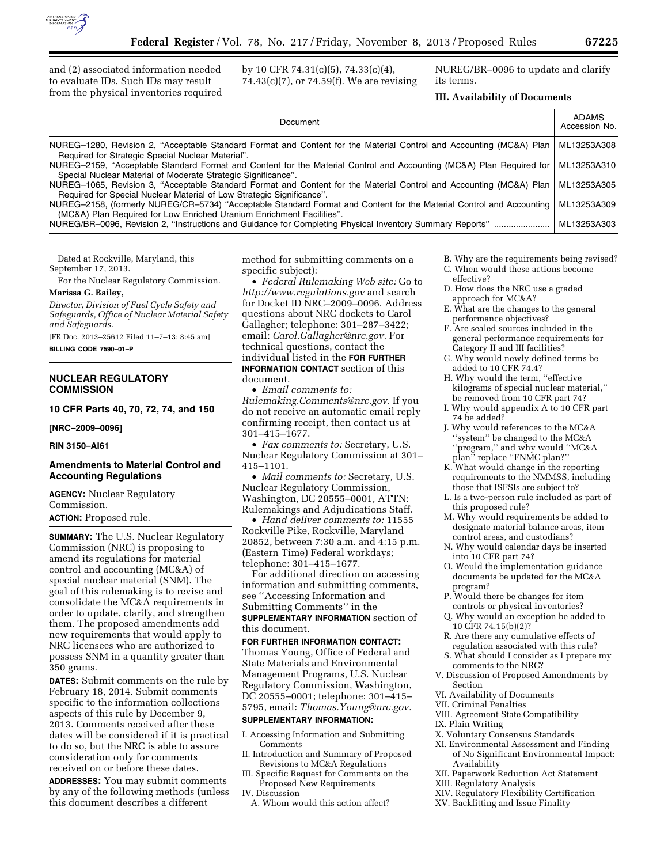

and (2) associated information needed to evaluate IDs. Such IDs may result from the physical inventories required by 10 CFR 74.31(c)(5), 74.33(c)(4), 74.43(c)(7), or 74.59(f). We are revising NUREG/BR–0096 to update and clarify its terms.

# **III. Availability of Documents**

| Document                                                                                                                                                                                      | <b>ADAMS</b><br>Accession No. |
|-----------------------------------------------------------------------------------------------------------------------------------------------------------------------------------------------|-------------------------------|
| NUREG-1280, Revision 2, "Acceptable Standard Format and Content for the Material Control and Accounting (MC&A) Plan<br>Required for Strategic Special Nuclear Material".                      | ML13253A308                   |
| NUREG-2159, "Acceptable Standard Format and Content for the Material Control and Accounting (MC&A) Plan Required for<br>Special Nuclear Material of Moderate Strategic Significance".         | ML13253A310                   |
| NUREG-1065, Revision 3, "Acceptable Standard Format and Content for the Material Control and Accounting (MC&A) Plan<br>Required for Special Nuclear Material of Low Strategic Significance".  | ML13253A305                   |
| NUREG–2158, (formerly NUREG/CR–5734) "Acceptable Standard Format and Content for the Material Control and Accounting<br>(MC&A) Plan Required for Low Enriched Uranium Enrichment Facilities". | ML13253A309                   |
| NUREG/BR-0096, Revision 2, "Instructions and Guidance for Completing Physical Inventory Summary Reports"                                                                                      | ML13253A303                   |

Dated at Rockville, Maryland, this September 17, 2013.

For the Nuclear Regulatory Commission.

# **Marissa G. Bailey,**

*Director, Division of Fuel Cycle Safety and Safeguards, Office of Nuclear Material Safety and Safeguards.* 

[FR Doc. 2013–25612 Filed 11–7–13; 8:45 am]

**BILLING CODE 7590–01–P** 

# **NUCLEAR REGULATORY COMMISSION**

**10 CFR Parts 40, 70, 72, 74, and 150** 

**[NRC–2009–0096]** 

#### **RIN 3150–AI61**

# **Amendments to Material Control and Accounting Regulations**

**AGENCY:** Nuclear Regulatory Commission.

# **ACTION:** Proposed rule.

**SUMMARY:** The U.S. Nuclear Regulatory Commission (NRC) is proposing to amend its regulations for material control and accounting (MC&A) of special nuclear material (SNM). The goal of this rulemaking is to revise and consolidate the MC&A requirements in order to update, clarify, and strengthen them. The proposed amendments add new requirements that would apply to NRC licensees who are authorized to possess SNM in a quantity greater than 350 grams.

**DATES:** Submit comments on the rule by February 18, 2014. Submit comments specific to the information collections aspects of this rule by December 9, 2013. Comments received after these dates will be considered if it is practical to do so, but the NRC is able to assure consideration only for comments received on or before these dates.

**ADDRESSES:** You may submit comments by any of the following methods (unless this document describes a different

method for submitting comments on a specific subject):

• *Federal Rulemaking Web site:* Go to *<http://www.regulations.gov>* and search for Docket ID NRC–2009–0096. Address questions about NRC dockets to Carol Gallagher; telephone: 301–287–3422; email: *[Carol.Gallagher@nrc.gov.](mailto:Carol.Gallagher@nrc.gov)* For technical questions, contact the individual listed in the **FOR FURTHER INFORMATION CONTACT** section of this

document.

• *Email comments to: [Rulemaking.Comments@nrc.gov.](mailto:Rulemaking.Comments@nrc.gov)* If you do not receive an automatic email reply confirming receipt, then contact us at 301–415–1677.

• *Fax comments to:* Secretary, U.S. Nuclear Regulatory Commission at 301– 415–1101.

• *Mail comments to:* Secretary, U.S. Nuclear Regulatory Commission, Washington, DC 20555–0001, ATTN: Rulemakings and Adjudications Staff.

• *Hand deliver comments to:* 11555 Rockville Pike, Rockville, Maryland 20852, between 7:30 a.m. and 4:15 p.m. (Eastern Time) Federal workdays; telephone: 301–415–1677.

For additional direction on accessing information and submitting comments, see ''Accessing Information and Submitting Comments'' in the **SUPPLEMENTARY INFORMATION** section of this document.

# **FOR FURTHER INFORMATION CONTACT:**

Thomas Young, Office of Federal and State Materials and Environmental Management Programs, U.S. Nuclear Regulatory Commission, Washington, DC 20555–0001; telephone: 301–415– 5795, email: *[Thomas.Young@nrc.gov.](mailto:Thomas.Young@nrc.gov)* 

# **SUPPLEMENTARY INFORMATION:**

I. Accessing Information and Submitting Comments

- II. Introduction and Summary of Proposed Revisions to MC&A Regulations
- III. Specific Request for Comments on the Proposed New Requirements IV. Discussion
- A. Whom would this action affect?
- B. Why are the requirements being revised?
- C. When would these actions become effective?
- D. How does the NRC use a graded approach for MC&A?
- E. What are the changes to the general performance objectives?
- F. Are sealed sources included in the general performance requirements for Category II and III facilities?
- G. Why would newly defined terms be added to 10 CFR 74.4?
- H. Why would the term, ''effective kilograms of special nuclear material,'' be removed from 10 CFR part 74?
- I. Why would appendix A to 10 CFR part 74 be added?
- J. Why would references to the MC&A ''system'' be changed to the MC&A ''program,'' and why would ''MC&A plan'' replace ''FNMC plan?''
- K. What would change in the reporting requirements to the NMMSS, including those that ISFSIs are subject to?
- L. Is a two-person rule included as part of this proposed rule?
- M. Why would requirements be added to designate material balance areas, item control areas, and custodians?
- N. Why would calendar days be inserted into 10 CFR part 74?
- O. Would the implementation guidance documents be updated for the MC&A program?
- P. Would there be changes for item controls or physical inventories?
- Q. Why would an exception be added to 10 CFR 74.15(b)(2)?
- R. Are there any cumulative effects of regulation associated with this rule?
- S. What should I consider as I prepare my comments to the NRC?
- V. Discussion of Proposed Amendments by Section
- VI. Availability of Documents
- VII. Criminal Penalties
- VIII. Agreement State Compatibility
- IX. Plain Writing
- X. Voluntary Consensus Standards
- XI. Environmental Assessment and Finding of No Significant Environmental Impact: Availability
- XII. Paperwork Reduction Act Statement
- XIII. Regulatory Analysis
- XIV. Regulatory Flexibility Certification
- XV. Backfitting and Issue Finality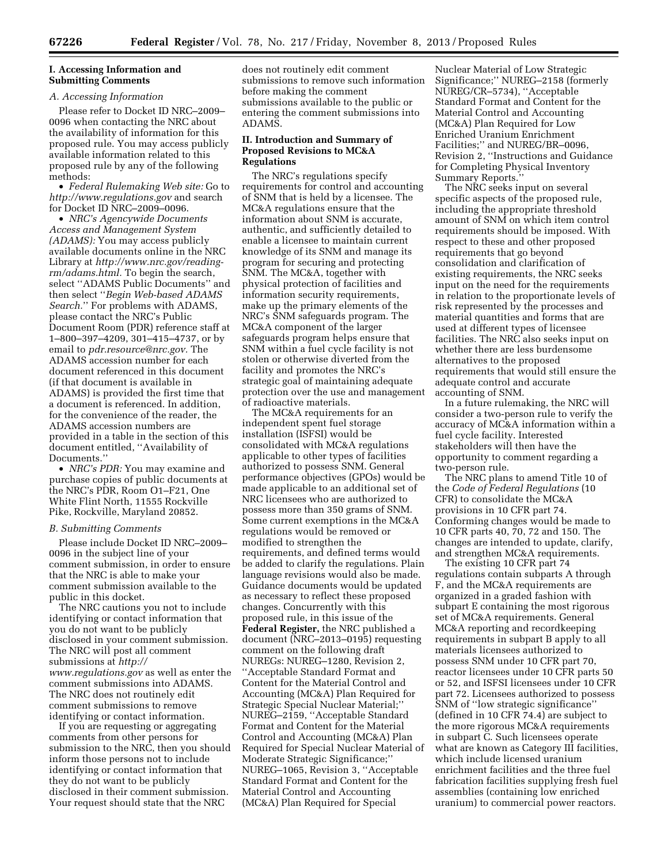# **I. Accessing Information and Submitting Comments**

#### *A. Accessing Information*

Please refer to Docket ID NRC–2009– 0096 when contacting the NRC about the availability of information for this proposed rule. You may access publicly available information related to this proposed rule by any of the following methods:

• *Federal Rulemaking Web site:* Go to *<http://www.regulations.gov>* and search for Docket ID NRC–2009–0096.

• *NRC's Agencywide Documents Access and Management System (ADAMS):* You may access publicly available documents online in the NRC Library at *[http://www.nrc.gov/reading](http://www.nrc.gov/reading-rm/adams.html)[rm/adams.html.](http://www.nrc.gov/reading-rm/adams.html)* To begin the search, select ''ADAMS Public Documents'' and then select ''*Begin Web-based ADAMS Search.*'' For problems with ADAMS, please contact the NRC's Public Document Room (PDR) reference staff at 1–800–397–4209, 301–415–4737, or by email to *[pdr.resource@nrc.gov.](mailto:pdr.resource@nrc.gov)* The ADAMS accession number for each document referenced in this document (if that document is available in ADAMS) is provided the first time that a document is referenced. In addition, for the convenience of the reader, the ADAMS accession numbers are provided in a table in the section of this document entitled, ''Availability of Documents.''

• *NRC's PDR:* You may examine and purchase copies of public documents at the NRC's PDR, Room O1–F21, One White Flint North, 11555 Rockville Pike, Rockville, Maryland 20852.

#### *B. Submitting Comments*

Please include Docket ID NRC–2009– 0096 in the subject line of your comment submission, in order to ensure that the NRC is able to make your comment submission available to the public in this docket.

The NRC cautions you not to include identifying or contact information that you do not want to be publicly disclosed in your comment submission. The NRC will post all comment submissions at *[http://](http://www.regulations.gov) [www.regulations.gov](http://www.regulations.gov)* as well as enter the comment submissions into ADAMS. The NRC does not routinely edit comment submissions to remove identifying or contact information.

If you are requesting or aggregating comments from other persons for submission to the NRC, then you should inform those persons not to include identifying or contact information that they do not want to be publicly disclosed in their comment submission. Your request should state that the NRC

does not routinely edit comment submissions to remove such information before making the comment submissions available to the public or entering the comment submissions into ADAMS.

# **II. Introduction and Summary of Proposed Revisions to MC&A Regulations**

The NRC's regulations specify requirements for control and accounting of SNM that is held by a licensee. The MC&A regulations ensure that the information about SNM is accurate, authentic, and sufficiently detailed to enable a licensee to maintain current knowledge of its SNM and manage its program for securing and protecting SNM. The MC&A, together with physical protection of facilities and information security requirements, make up the primary elements of the NRC's SNM safeguards program. The MC&A component of the larger safeguards program helps ensure that SNM within a fuel cycle facility is not stolen or otherwise diverted from the facility and promotes the NRC's strategic goal of maintaining adequate protection over the use and management of radioactive materials.

The MC&A requirements for an independent spent fuel storage installation (ISFSI) would be consolidated with MC&A regulations applicable to other types of facilities authorized to possess SNM. General performance objectives (GPOs) would be made applicable to an additional set of NRC licensees who are authorized to possess more than 350 grams of SNM. Some current exemptions in the MC&A regulations would be removed or modified to strengthen the requirements, and defined terms would be added to clarify the regulations. Plain language revisions would also be made. Guidance documents would be updated as necessary to reflect these proposed changes. Concurrently with this proposed rule, in this issue of the **Federal Register,** the NRC published a document (NRC–2013–0195) requesting comment on the following draft NUREGs: NUREG–1280, Revision 2, ''Acceptable Standard Format and Content for the Material Control and Accounting (MC&A) Plan Required for Strategic Special Nuclear Material;'' NUREG–2159, ''Acceptable Standard Format and Content for the Material Control and Accounting (MC&A) Plan Required for Special Nuclear Material of Moderate Strategic Significance;'' NUREG–1065, Revision 3, ''Acceptable Standard Format and Content for the Material Control and Accounting (MC&A) Plan Required for Special

Nuclear Material of Low Strategic Significance;'' NUREG–2158 (formerly NUREG/CR–5734), ''Acceptable Standard Format and Content for the Material Control and Accounting (MC&A) Plan Required for Low Enriched Uranium Enrichment Facilities;'' and NUREG/BR–0096, Revision 2, ''Instructions and Guidance for Completing Physical Inventory Summary Reports.''

The NRC seeks input on several specific aspects of the proposed rule, including the appropriate threshold amount of SNM on which item control requirements should be imposed. With respect to these and other proposed requirements that go beyond consolidation and clarification of existing requirements, the NRC seeks input on the need for the requirements in relation to the proportionate levels of risk represented by the processes and material quantities and forms that are used at different types of licensee facilities. The NRC also seeks input on whether there are less burdensome alternatives to the proposed requirements that would still ensure the adequate control and accurate accounting of SNM.

In a future rulemaking, the NRC will consider a two-person rule to verify the accuracy of MC&A information within a fuel cycle facility. Interested stakeholders will then have the opportunity to comment regarding a two-person rule.

The NRC plans to amend Title 10 of the *Code of Federal Regulations* (10 CFR) to consolidate the MC&A provisions in 10 CFR part 74. Conforming changes would be made to 10 CFR parts 40, 70, 72 and 150. The changes are intended to update, clarify, and strengthen MC&A requirements.

The existing 10 CFR part 74 regulations contain subparts A through F, and the MC&A requirements are organized in a graded fashion with subpart E containing the most rigorous set of MC&A requirements. General MC&A reporting and recordkeeping requirements in subpart B apply to all materials licensees authorized to possess SNM under 10 CFR part 70, reactor licensees under 10 CFR parts 50 or 52, and ISFSI licensees under 10 CFR part 72. Licensees authorized to possess SNM of ''low strategic significance'' (defined in 10 CFR 74.4) are subject to the more rigorous MC&A requirements in subpart C. Such licensees operate what are known as Category III facilities, which include licensed uranium enrichment facilities and the three fuel fabrication facilities supplying fresh fuel assemblies (containing low enriched uranium) to commercial power reactors.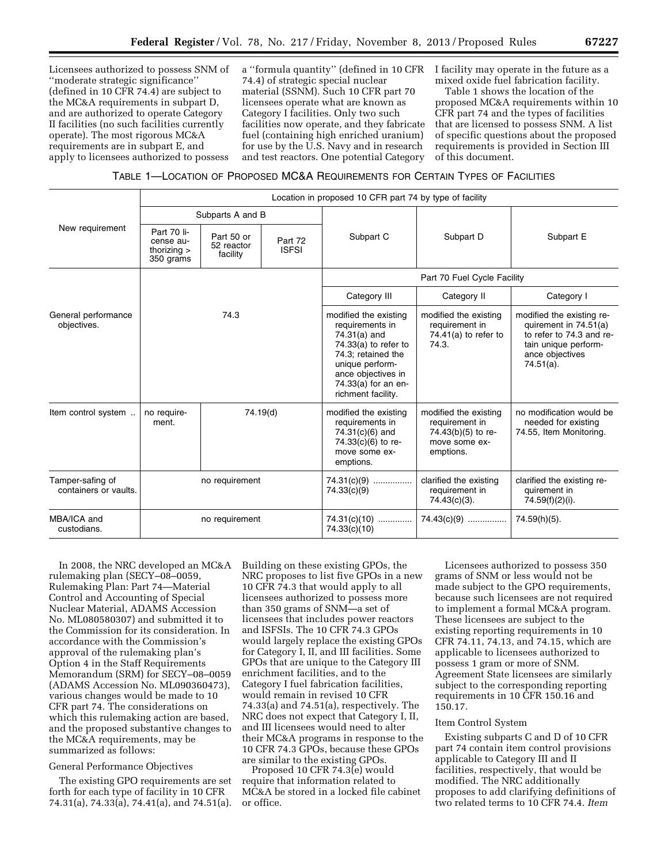Licensees authorized to possess SNM of ''moderate strategic significance'' (defined in 10 CFR 74.4) are subject to the MC&A requirements in subpart D, and are authorized to operate Category II facilities (no such facilities currently operate). The most rigorous MC&A requirements are in subpart E, and apply to licensees authorized to possess

a ''formula quantity'' (defined in 10 CFR 74.4) of strategic special nuclear material (SSNM). Such 10 CFR part 70 licensees operate what are known as Category I facilities. Only two such facilities now operate, and they fabricate fuel (containing high enriched uranium) for use by the U.S. Navy and in research and test reactors. One potential Category

I facility may operate in the future as a mixed oxide fuel fabrication facility.

Table 1 shows the location of the proposed MC&A requirements within 10 CFR part 74 and the types of facilities that are licensed to possess SNM. A list of specific questions about the proposed requirements is provided in Section III of this document.

# TABLE 1—LOCATION OF PROPOSED MC&A REQUIREMENTS FOR CERTAIN TYPES OF FACILITIES

|                                           | Location in proposed 10 CFR part 74 by type of facility |                                      |                                                                                                                                                                                                |                                                                                                                      |                                                                                                                                           |                                                                            |
|-------------------------------------------|---------------------------------------------------------|--------------------------------------|------------------------------------------------------------------------------------------------------------------------------------------------------------------------------------------------|----------------------------------------------------------------------------------------------------------------------|-------------------------------------------------------------------------------------------------------------------------------------------|----------------------------------------------------------------------------|
| New requirement                           | Subparts A and B                                        |                                      |                                                                                                                                                                                                |                                                                                                                      |                                                                                                                                           |                                                                            |
|                                           | Part 70 li-<br>cense au-<br>thorizing $>$<br>350 grams  | Part 50 or<br>52 reactor<br>facility | Part 72<br><b>ISFSI</b>                                                                                                                                                                        | Subpart C                                                                                                            | Subpart D                                                                                                                                 | Subpart E                                                                  |
|                                           | 74.3                                                    |                                      | Part 70 Fuel Cycle Facility                                                                                                                                                                    |                                                                                                                      |                                                                                                                                           |                                                                            |
|                                           |                                                         |                                      | Category III                                                                                                                                                                                   | Category II                                                                                                          | Category I                                                                                                                                |                                                                            |
| General performance<br>objectives.        |                                                         |                                      | modified the existing<br>requirements in<br>74.31(a) and<br>$74.33(a)$ to refer to<br>74.3: retained the<br>unique perform-<br>ance objectives in<br>74.33(a) for an en-<br>richment facility. | modified the existing<br>requirement in<br>74.41(a) to refer to<br>74.3.                                             | modified the existing re-<br>quirement in 74.51(a)<br>to refer to 74.3 and re-<br>tain unique perform-<br>ance objectives<br>$74.51(a)$ . |                                                                            |
| Item control system                       | no require-<br>ment.                                    | 74.19(d)                             |                                                                                                                                                                                                | modified the existing<br>requirements in<br>$74.31(c)(6)$ and<br>74.33 $(c)(6)$ to re-<br>move some ex-<br>emptions. | modified the existing<br>requirement in<br>74.43(b)(5) to re-<br>move some ex-<br>emptions.                                               | no modification would be<br>needed for existing<br>74.55, Item Monitoring. |
| Tamper-safing of<br>containers or vaults. | no requirement                                          |                                      | $74.31(c)(9)$<br>74.33(c)(9)                                                                                                                                                                   | clarified the existing<br>requirement in<br>74.43(c)(3).                                                             | clarified the existing re-<br>quirement in<br>74.59(f)(2)(i).                                                                             |                                                                            |
| MBA/ICA and<br>custodians.                | no requirement                                          |                                      | $74.31(c)(10)$<br>74.33(c)(10)                                                                                                                                                                 | $74.43(c)(9)$                                                                                                        | 74.59(h)(5).                                                                                                                              |                                                                            |

In 2008, the NRC developed an MC&A rulemaking plan (SECY–08–0059, Rulemaking Plan: Part 74—Material Control and Accounting of Special Nuclear Material, ADAMS Accession No. ML080580307) and submitted it to the Commission for its consideration. In accordance with the Commission's approval of the rulemaking plan's Option 4 in the Staff Requirements Memorandum (SRM) for SECY–08–0059 (ADAMS Accession No. ML090360473), various changes would be made to 10 CFR part 74. The considerations on which this rulemaking action are based, and the proposed substantive changes to the MC&A requirements, may be summarized as follows:

# General Performance Objectives

The existing GPO requirements are set forth for each type of facility in 10 CFR 74.31(a), 74.33(a), 74.41(a), and 74.51(a). Building on these existing GPOs, the NRC proposes to list five GPOs in a new 10 CFR 74.3 that would apply to all licensees authorized to possess more than 350 grams of SNM—a set of licensees that includes power reactors and ISFSIs. The 10 CFR 74.3 GPOs would largely replace the existing GPOs for Category I, II, and III facilities. Some GPOs that are unique to the Category III enrichment facilities, and to the Category I fuel fabrication facilities, would remain in revised 10 CFR 74.33(a) and 74.51(a), respectively. The NRC does not expect that Category I, II, and III licensees would need to alter their MC&A programs in response to the 10 CFR 74.3 GPOs, because these GPOs are similar to the existing GPOs.

Proposed 10 CFR 74.3(e) would require that information related to MC&A be stored in a locked file cabinet or office.

Licensees authorized to possess 350 grams of SNM or less would not be made subject to the GPO requirements, because such licensees are not required to implement a formal MC&A program. These licensees are subject to the existing reporting requirements in 10 CFR 74.11, 74.13, and 74.15, which are applicable to licensees authorized to possess 1 gram or more of SNM. Agreement State licensees are similarly subject to the corresponding reporting requirements in 10 CFR 150.16 and 150.17.

# Item Control System

Existing subparts C and D of 10 CFR part 74 contain item control provisions applicable to Category III and II facilities, respectively, that would be modified. The NRC additionally proposes to add clarifying definitions of two related terms to 10 CFR 74.4. *Item*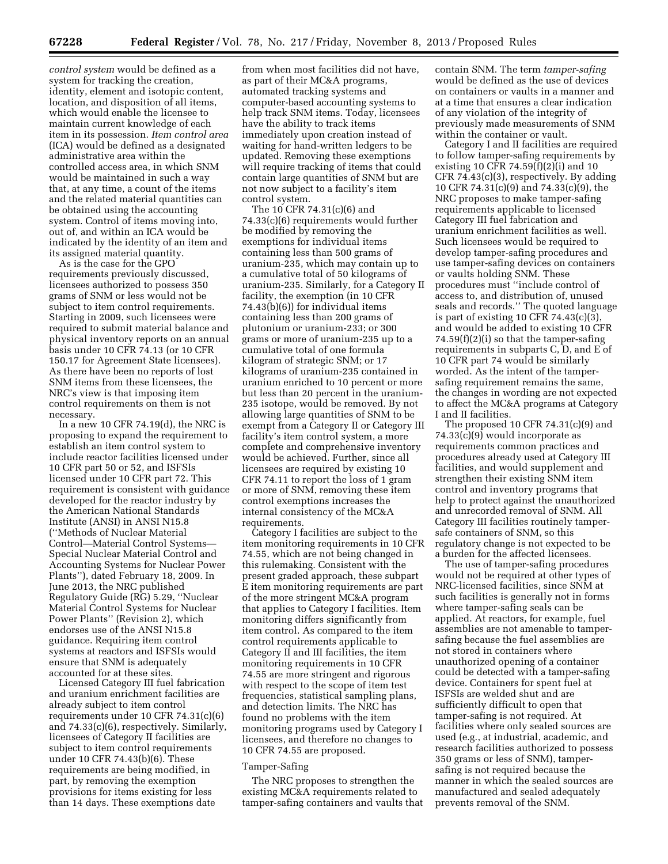*control system* would be defined as a system for tracking the creation, identity, element and isotopic content, location, and disposition of all items, which would enable the licensee to maintain current knowledge of each item in its possession. *Item control area*  (ICA) would be defined as a designated administrative area within the controlled access area, in which SNM would be maintained in such a way that, at any time, a count of the items and the related material quantities can be obtained using the accounting system. Control of items moving into, out of, and within an ICA would be indicated by the identity of an item and its assigned material quantity.

As is the case for the GPO requirements previously discussed, licensees authorized to possess 350 grams of SNM or less would not be subject to item control requirements. Starting in 2009, such licensees were required to submit material balance and physical inventory reports on an annual basis under 10 CFR 74.13 (or 10 CFR 150.17 for Agreement State licensees). As there have been no reports of lost SNM items from these licensees, the NRC's view is that imposing item control requirements on them is not necessary.

In a new 10 CFR 74.19(d), the NRC is proposing to expand the requirement to establish an item control system to include reactor facilities licensed under 10 CFR part 50 or 52, and ISFSIs licensed under 10 CFR part 72. This requirement is consistent with guidance developed for the reactor industry by the American National Standards Institute (ANSI) in ANSI N15.8 (''Methods of Nuclear Material Control—Material Control Systems— Special Nuclear Material Control and Accounting Systems for Nuclear Power Plants''), dated February 18, 2009. In June 2013, the NRC published Regulatory Guide (RG) 5.29, ''Nuclear Material Control Systems for Nuclear Power Plants'' (Revision 2), which endorses use of the ANSI N15.8 guidance. Requiring item control systems at reactors and ISFSIs would ensure that SNM is adequately accounted for at these sites.

Licensed Category III fuel fabrication and uranium enrichment facilities are already subject to item control requirements under 10 CFR 74.31(c)(6) and 74.33(c)(6), respectively. Similarly, licensees of Category II facilities are subject to item control requirements under 10 CFR 74.43(b)(6). These requirements are being modified, in part, by removing the exemption provisions for items existing for less than 14 days. These exemptions date

from when most facilities did not have, as part of their MC&A programs, automated tracking systems and computer-based accounting systems to help track SNM items. Today, licensees have the ability to track items immediately upon creation instead of waiting for hand-written ledgers to be updated. Removing these exemptions will require tracking of items that could contain large quantities of SNM but are not now subject to a facility's item control system.

The 10 CFR 74.31(c)(6) and 74.33(c)(6) requirements would further be modified by removing the exemptions for individual items containing less than 500 grams of uranium-235, which may contain up to a cumulative total of 50 kilograms of uranium-235. Similarly, for a Category II facility, the exemption (in 10 CFR 74.43(b)(6)) for individual items containing less than 200 grams of plutonium or uranium-233; or 300 grams or more of uranium-235 up to a cumulative total of one formula kilogram of strategic SNM; or 17 kilograms of uranium-235 contained in uranium enriched to 10 percent or more but less than 20 percent in the uranium-235 isotope, would be removed. By not allowing large quantities of SNM to be exempt from a Category II or Category III facility's item control system, a more complete and comprehensive inventory would be achieved. Further, since all licensees are required by existing 10 CFR 74.11 to report the loss of 1 gram or more of SNM, removing these item control exemptions increases the internal consistency of the MC&A requirements.

Category I facilities are subject to the item monitoring requirements in 10 CFR 74.55, which are not being changed in this rulemaking. Consistent with the present graded approach, these subpart E item monitoring requirements are part of the more stringent MC&A program that applies to Category I facilities. Item monitoring differs significantly from item control. As compared to the item control requirements applicable to Category II and III facilities, the item monitoring requirements in 10 CFR 74.55 are more stringent and rigorous with respect to the scope of item test frequencies, statistical sampling plans, and detection limits. The NRC has found no problems with the item monitoring programs used by Category I licensees, and therefore no changes to 10 CFR 74.55 are proposed.

#### Tamper-Safing

The NRC proposes to strengthen the existing MC&A requirements related to tamper-safing containers and vaults that contain SNM. The term *tamper-safing*  would be defined as the use of devices on containers or vaults in a manner and at a time that ensures a clear indication of any violation of the integrity of previously made measurements of SNM within the container or vault.

Category I and II facilities are required to follow tamper-safing requirements by existing 10 CFR 74.59(f)(2)(i) and 10 CFR 74.43(c)(3), respectively. By adding 10 CFR 74.31(c)(9) and 74.33(c)(9), the NRC proposes to make tamper-safing requirements applicable to licensed Category III fuel fabrication and uranium enrichment facilities as well. Such licensees would be required to develop tamper-safing procedures and use tamper-safing devices on containers or vaults holding SNM. These procedures must ''include control of access to, and distribution of, unused seals and records.'' The quoted language is part of existing 10 CFR 74.43(c)(3), and would be added to existing 10 CFR 74.59(f)(2)(i) so that the tamper-safing requirements in subparts C, D, and E of 10 CFR part 74 would be similarly worded. As the intent of the tampersafing requirement remains the same, the changes in wording are not expected to affect the MC&A programs at Category I and II facilities.

The proposed 10 CFR 74.31(c)(9) and 74.33(c)(9) would incorporate as requirements common practices and procedures already used at Category III facilities, and would supplement and strengthen their existing SNM item control and inventory programs that help to protect against the unauthorized and unrecorded removal of SNM. All Category III facilities routinely tampersafe containers of SNM, so this regulatory change is not expected to be a burden for the affected licensees.

The use of tamper-safing procedures would not be required at other types of NRC-licensed facilities, since SNM at such facilities is generally not in forms where tamper-safing seals can be applied. At reactors, for example, fuel assemblies are not amenable to tampersafing because the fuel assemblies are not stored in containers where unauthorized opening of a container could be detected with a tamper-safing device. Containers for spent fuel at ISFSIs are welded shut and are sufficiently difficult to open that tamper-safing is not required. At facilities where only sealed sources are used (e.g., at industrial, academic, and research facilities authorized to possess 350 grams or less of SNM), tampersafing is not required because the manner in which the sealed sources are manufactured and sealed adequately prevents removal of the SNM.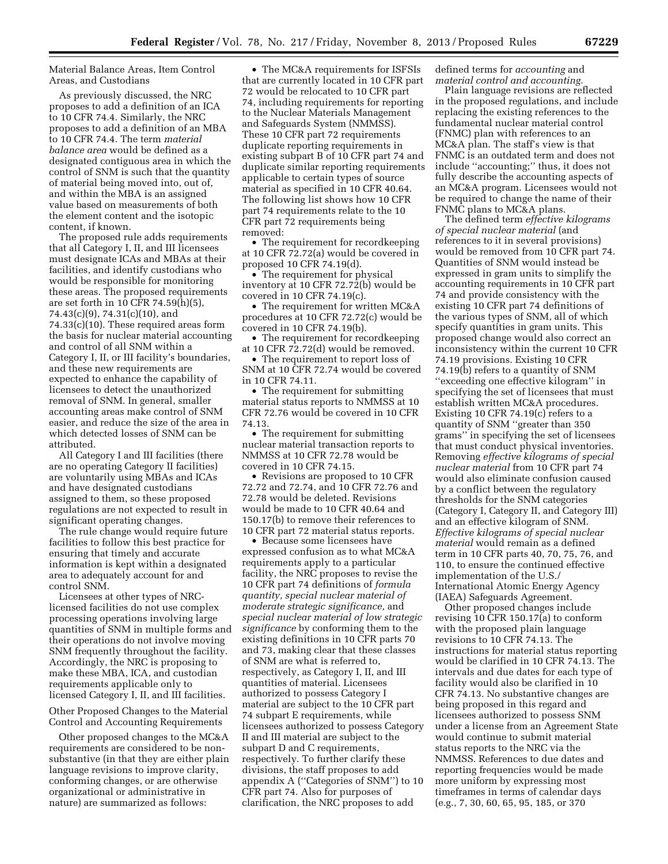Material Balance Areas, Item Control Areas, and Custodians

As previously discussed, the NRC proposes to add a definition of an ICA to 10 CFR 74.4. Similarly, the NRC proposes to add a definition of an MBA to 10 CFR 74.4. The term *material balance area* would be defined as a designated contiguous area in which the control of SNM is such that the quantity of material being moved into, out of, and within the MBA is an assigned value based on measurements of both the element content and the isotopic content, if known.

The proposed rule adds requirements that all Category I, II, and III licensees must designate ICAs and MBAs at their facilities, and identify custodians who would be responsible for monitoring these areas. The proposed requirements are set forth in 10 CFR 74.59(h)(5), 74.43(c)(9), 74.31(c)(10), and 74.33(c)(10). These required areas form the basis for nuclear material accounting and control of all SNM within a Category I, II, or III facility's boundaries, and these new requirements are expected to enhance the capability of licensees to detect the unauthorized removal of SNM. In general, smaller accounting areas make control of SNM easier, and reduce the size of the area in which detected losses of SNM can be attributed.

All Category I and III facilities (there are no operating Category II facilities) are voluntarily using MBAs and ICAs and have designated custodians assigned to them, so these proposed regulations are not expected to result in significant operating changes.

The rule change would require future facilities to follow this best practice for ensuring that timely and accurate information is kept within a designated area to adequately account for and control SNM.

Licensees at other types of NRClicensed facilities do not use complex processing operations involving large quantities of SNM in multiple forms and their operations do not involve moving SNM frequently throughout the facility. Accordingly, the NRC is proposing to make these MBA, ICA, and custodian requirements applicable only to licensed Category I, II, and III facilities.

Other Proposed Changes to the Material Control and Accounting Requirements

Other proposed changes to the MC&A requirements are considered to be nonsubstantive (in that they are either plain language revisions to improve clarity, conforming changes, or are otherwise organizational or administrative in nature) are summarized as follows:

• The MC&A requirements for ISFSIs that are currently located in 10 CFR part 72 would be relocated to 10 CFR part 74, including requirements for reporting to the Nuclear Materials Management and Safeguards System (NMMSS). These 10 CFR part 72 requirements duplicate reporting requirements in existing subpart B of 10 CFR part 74 and duplicate similar reporting requirements applicable to certain types of source material as specified in 10 CFR 40.64. The following list shows how 10 CFR part 74 requirements relate to the 10 CFR part 72 requirements being removed:

• The requirement for recordkeeping at 10 CFR 72.72(a) would be covered in proposed 10 CFR 74.19(d).

• The requirement for physical inventory at 10 CFR 72.72(b) would be covered in 10 CFR 74.19(c).

• The requirement for written MC&A procedures at 10 CFR 72.72(c) would be covered in 10 CFR 74.19(b).

• The requirement for recordkeeping at 10 CFR 72.72(d) would be removed.

• The requirement to report loss of SNM at 10 CFR 72.74 would be covered in 10 CFR 74.11.

• The requirement for submitting material status reports to NMMSS at 10 CFR 72.76 would be covered in 10 CFR 74.13.

• The requirement for submitting nuclear material transaction reports to NMMSS at 10 CFR 72.78 would be covered in 10 CFR 74.15.

• Revisions are proposed to 10 CFR 72.72 and 72.74, and 10 CFR 72.76 and 72.78 would be deleted. Revisions would be made to 10 CFR 40.64 and 150.17(b) to remove their references to 10 CFR part 72 material status reports.

• Because some licensees have expressed confusion as to what MC&A requirements apply to a particular facility, the NRC proposes to revise the 10 CFR part 74 definitions of *formula quantity, special nuclear material of moderate strategic significance,* and *special nuclear material of low strategic significance* by conforming them to the existing definitions in 10 CFR parts 70 and 73, making clear that these classes of SNM are what is referred to, respectively, as Category I, II, and III quantities of material. Licensees authorized to possess Category I material are subject to the 10 CFR part 74 subpart E requirements, while licensees authorized to possess Category II and III material are subject to the subpart D and C requirements, respectively. To further clarify these divisions, the staff proposes to add appendix A (''Categories of SNM'') to 10 CFR part 74. Also for purposes of clarification, the NRC proposes to add

defined terms for *accounting* and *material control and accounting.* 

Plain language revisions are reflected in the proposed regulations, and include replacing the existing references to the fundamental nuclear material control (FNMC) plan with references to an MC&A plan. The staff's view is that FNMC is an outdated term and does not include ''accounting;'' thus, it does not fully describe the accounting aspects of an MC&A program. Licensees would not be required to change the name of their FNMC plans to MC&A plans.

The defined term *effective kilograms of special nuclear material* (and references to it in several provisions) would be removed from 10 CFR part 74. Quantities of SNM would instead be expressed in gram units to simplify the accounting requirements in 10 CFR part 74 and provide consistency with the existing 10 CFR part 74 definitions of the various types of SNM, all of which specify quantities in gram units. This proposed change would also correct an inconsistency within the current 10 CFR 74.19 provisions. Existing 10 CFR 74.19(b) refers to a quantity of SNM ''exceeding one effective kilogram'' in specifying the set of licensees that must establish written MC&A procedures. Existing 10 CFR 74.19(c) refers to a quantity of SNM ''greater than 350 grams'' in specifying the set of licensees that must conduct physical inventories. Removing *effective kilograms of special nuclear material* from 10 CFR part 74 would also eliminate confusion caused by a conflict between the regulatory thresholds for the SNM categories (Category I, Category II, and Category III) and an effective kilogram of SNM. *Effective kilograms of special nuclear material* would remain as a defined term in 10 CFR parts 40, 70, 75, 76, and 110, to ensure the continued effective implementation of the U.S./ International Atomic Energy Agency (IAEA) Safeguards Agreement.

Other proposed changes include revising 10 CFR 150.17(a) to conform with the proposed plain language revisions to 10 CFR 74.13. The instructions for material status reporting would be clarified in 10 CFR 74.13. The intervals and due dates for each type of facility would also be clarified in 10 CFR 74.13. No substantive changes are being proposed in this regard and licensees authorized to possess SNM under a license from an Agreement State would continue to submit material status reports to the NRC via the NMMSS. References to due dates and reporting frequencies would be made more uniform by expressing most timeframes in terms of calendar days (e.g., 7, 30, 60, 65, 95, 185, or 370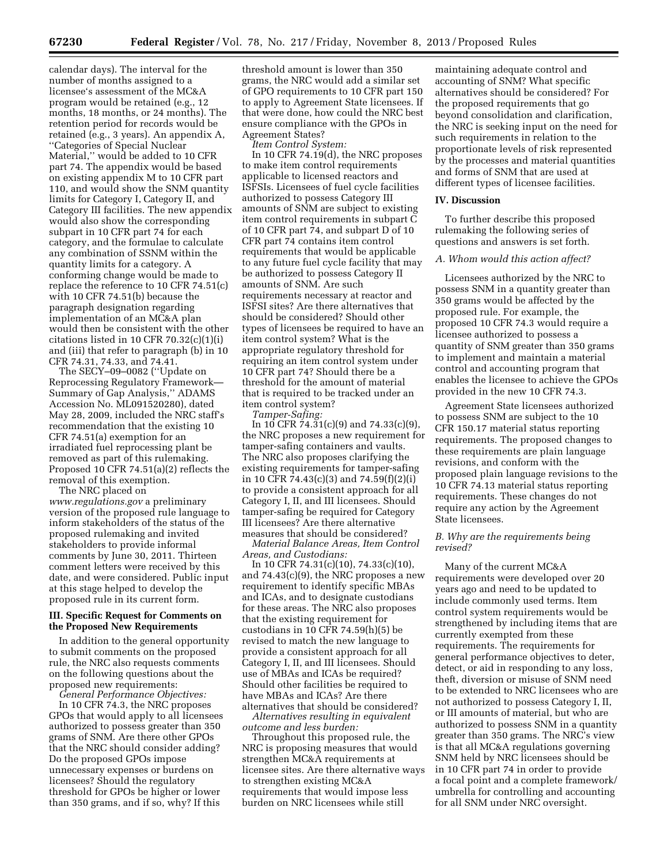calendar days). The interval for the number of months assigned to a licensee's assessment of the MC&A program would be retained (e.g., 12 months, 18 months, or 24 months). The retention period for records would be retained (e.g., 3 years). An appendix A, ''Categories of Special Nuclear Material,'' would be added to 10 CFR part 74. The appendix would be based on existing appendix M to 10 CFR part 110, and would show the SNM quantity limits for Category I, Category II, and Category III facilities. The new appendix would also show the corresponding subpart in 10 CFR part 74 for each category, and the formulae to calculate any combination of SSNM within the quantity limits for a category. A conforming change would be made to replace the reference to 10 CFR 74.51(c) with 10 CFR 74.51(b) because the paragraph designation regarding implementation of an MC&A plan would then be consistent with the other citations listed in 10 CFR  $70.32(c)(1)(i)$ and (iii) that refer to paragraph (b) in 10 CFR 74.31, 74.33, and 74.41.

The SECY–09–0082 (''Update on Reprocessing Regulatory Framework— Summary of Gap Analysis,'' ADAMS Accession No. ML091520280), dated May 28, 2009, included the NRC staff's recommendation that the existing 10 CFR 74.51(a) exemption for an irradiated fuel reprocessing plant be removed as part of this rulemaking. Proposed 10 CFR 74.51(a)(2) reflects the removal of this exemption.

The NRC placed on *[www.regulations.gov](http://www.regulations.gov)* a preliminary version of the proposed rule language to inform stakeholders of the status of the proposed rulemaking and invited stakeholders to provide informal comments by June 30, 2011. Thirteen comment letters were received by this date, and were considered. Public input at this stage helped to develop the proposed rule in its current form.

# **III. Specific Request for Comments on the Proposed New Requirements**

In addition to the general opportunity to submit comments on the proposed rule, the NRC also requests comments on the following questions about the proposed new requirements:

*General Performance Objectives:* 

In 10 CFR 74.3, the NRC proposes GPOs that would apply to all licensees authorized to possess greater than 350 grams of SNM. Are there other GPOs that the NRC should consider adding? Do the proposed GPOs impose unnecessary expenses or burdens on licensees? Should the regulatory threshold for GPOs be higher or lower than 350 grams, and if so, why? If this

threshold amount is lower than 350 grams, the NRC would add a similar set of GPO requirements to 10 CFR part 150 to apply to Agreement State licensees. If that were done, how could the NRC best ensure compliance with the GPOs in Agreement States?

*Item Control System:* 

In 10 CFR 74.19(d), the NRC proposes to make item control requirements applicable to licensed reactors and ISFSIs. Licensees of fuel cycle facilities authorized to possess Category III amounts of SNM are subject to existing item control requirements in subpart C of 10 CFR part 74, and subpart D of 10 CFR part 74 contains item control requirements that would be applicable to any future fuel cycle facility that may be authorized to possess Category II amounts of SNM. Are such requirements necessary at reactor and ISFSI sites? Are there alternatives that should be considered? Should other types of licensees be required to have an item control system? What is the appropriate regulatory threshold for requiring an item control system under 10 CFR part 74? Should there be a threshold for the amount of material that is required to be tracked under an item control system?

*Tamper-Safing:* 

In 10 CFR 74.31(c)(9) and 74.33(c)(9), the NRC proposes a new requirement for tamper-safing containers and vaults. The NRC also proposes clarifying the existing requirements for tamper-safing in 10 CFR 74.43(c)(3) and 74.59(f)(2)(i) to provide a consistent approach for all Category I, II, and III licensees. Should tamper-safing be required for Category III licensees? Are there alternative measures that should be considered?

*Material Balance Areas, Item Control Areas, and Custodians:* 

In 10 CFR 74.31(c)(10), 74.33(c)(10), and 74.43(c)(9), the NRC proposes a new requirement to identify specific MBAs and ICAs, and to designate custodians for these areas. The NRC also proposes that the existing requirement for custodians in 10 CFR 74.59(h)(5) be revised to match the new language to provide a consistent approach for all Category I, II, and III licensees. Should use of MBAs and ICAs be required? Should other facilities be required to have MBAs and ICAs? Are there alternatives that should be considered?

*Alternatives resulting in equivalent outcome and less burden:* 

Throughout this proposed rule, the NRC is proposing measures that would strengthen MC&A requirements at licensee sites. Are there alternative ways to strengthen existing MC&A requirements that would impose less burden on NRC licensees while still

maintaining adequate control and accounting of SNM? What specific alternatives should be considered? For the proposed requirements that go beyond consolidation and clarification, the NRC is seeking input on the need for such requirements in relation to the proportionate levels of risk represented by the processes and material quantities and forms of SNM that are used at different types of licensee facilities.

#### **IV. Discussion**

To further describe this proposed rulemaking the following series of questions and answers is set forth.

# *A. Whom would this action affect?*

Licensees authorized by the NRC to possess SNM in a quantity greater than 350 grams would be affected by the proposed rule. For example, the proposed 10 CFR 74.3 would require a licensee authorized to possess a quantity of SNM greater than 350 grams to implement and maintain a material control and accounting program that enables the licensee to achieve the GPOs provided in the new 10 CFR 74.3.

Agreement State licensees authorized to possess SNM are subject to the 10 CFR 150.17 material status reporting requirements. The proposed changes to these requirements are plain language revisions, and conform with the proposed plain language revisions to the 10 CFR 74.13 material status reporting requirements. These changes do not require any action by the Agreement State licensees.

# *B. Why are the requirements being revised?*

Many of the current MC&A requirements were developed over 20 years ago and need to be updated to include commonly used terms. Item control system requirements would be strengthened by including items that are currently exempted from these requirements. The requirements for general performance objectives to deter, detect, or aid in responding to any loss, theft, diversion or misuse of SNM need to be extended to NRC licensees who are not authorized to possess Category I, II, or III amounts of material, but who are authorized to possess SNM in a quantity greater than 350 grams. The NRC's view is that all MC&A regulations governing SNM held by NRC licensees should be in 10 CFR part 74 in order to provide a focal point and a complete framework/ umbrella for controlling and accounting for all SNM under NRC oversight.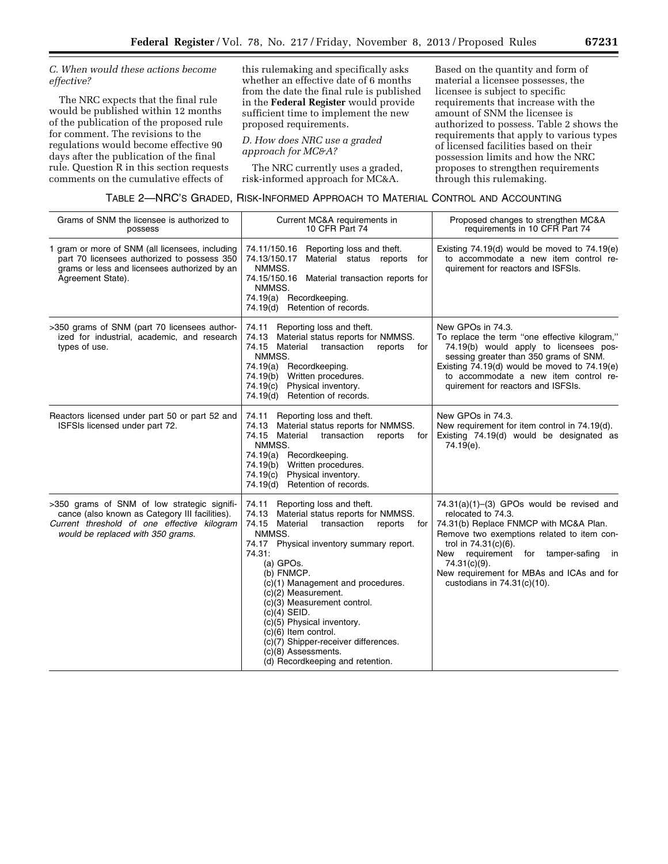# *C. When would these actions become effective?*

The NRC expects that the final rule would be published within 12 months of the publication of the proposed rule for comment. The revisions to the regulations would become effective 90 days after the publication of the final rule. Question R in this section requests comments on the cumulative effects of

this rulemaking and specifically asks whether an effective date of 6 months from the date the final rule is published in the **Federal Register** would provide sufficient time to implement the new proposed requirements.

*D. How does NRC use a graded approach for MC&A?* 

The NRC currently uses a graded, risk-informed approach for MC&A.

Based on the quantity and form of material a licensee possesses, the licensee is subject to specific requirements that increase with the amount of SNM the licensee is authorized to possess. Table 2 shows the requirements that apply to various types of licensed facilities based on their possession limits and how the NRC proposes to strengthen requirements through this rulemaking.

TABLE 2—NRC'S GRADED, RISK-INFORMED APPROACH TO MATERIAL CONTROL AND ACCOUNTING

| Grams of SNM the licensee is authorized to<br>possess                                                                                                                             | Current MC&A requirements in<br>10 CFR Part 74                                                                                                                                                                                                                                                                                                                                                                                                                                                          | Proposed changes to strengthen MC&A<br>requirements in 10 CFR Part 74                                                                                                                                                                                                                                                          |
|-----------------------------------------------------------------------------------------------------------------------------------------------------------------------------------|---------------------------------------------------------------------------------------------------------------------------------------------------------------------------------------------------------------------------------------------------------------------------------------------------------------------------------------------------------------------------------------------------------------------------------------------------------------------------------------------------------|--------------------------------------------------------------------------------------------------------------------------------------------------------------------------------------------------------------------------------------------------------------------------------------------------------------------------------|
| 1 gram or more of SNM (all licensees, including<br>part 70 licensees authorized to possess 350<br>grams or less and licensees authorized by an<br>Agreement State).               | 74.11/150.16 Reporting loss and theft.<br>74.13/150.17<br>Material status reports for<br>NMMSS.<br>74.15/150.16<br>Material transaction reports for<br>NMMSS.<br>Recordkeeping.<br>74.19(a)<br>74.19(d) Retention of records.                                                                                                                                                                                                                                                                           | Existing $74.19(d)$ would be moved to $74.19(e)$<br>to accommodate a new item control re-<br>quirement for reactors and ISFSIs.                                                                                                                                                                                                |
| >350 grams of SNM (part 70 licensees author-<br>ized for industrial, academic, and research<br>types of use.                                                                      | Reporting loss and theft.<br>74.11<br>Material status reports for NMMSS.<br>74.13<br>74.15 Material<br>transaction<br>reports<br>for<br>NMMSS.<br>74.19(a) Recordkeeping.<br>Written procedures.<br>74.19(b)<br>74.19(c)<br>Physical inventory.<br>74.19(d) Retention of records.                                                                                                                                                                                                                       | New GPOs in 74.3.<br>To replace the term "one effective kilogram,"<br>74.19(b) would apply to licensees pos-<br>sessing greater than 350 grams of SNM.<br>Existing 74.19(d) would be moved to 74.19(e)<br>to accommodate a new item control re-<br>quirement for reactors and ISFSIs.                                          |
| Reactors licensed under part 50 or part 52 and<br>ISFSIs licensed under part 72.                                                                                                  | Reporting loss and theft.<br>74.11<br>Material status reports for NMMSS.<br>74.13<br>74.15 Material<br>transaction<br>reports<br>for<br>NMMSS.<br>74.19(a) Recordkeeping.<br>74.19(b) Written procedures.<br>Physical inventory.<br>74.19(c)<br>74.19(d) Retention of records.                                                                                                                                                                                                                          | New GPOs in 74.3.<br>New requirement for item control in 74.19(d).<br>Existing 74.19(d) would be designated as<br>74.19(e).                                                                                                                                                                                                    |
| >350 grams of SNM of low strategic signifi-<br>cance (also known as Category III facilities).<br>Current threshold of one effective kilogram<br>would be replaced with 350 grams. | Reporting loss and theft.<br>74.11<br>Material status reports for NMMSS.<br>74.13<br>74.15 Material<br>transaction<br>reports<br>for<br>NMMSS.<br>74.17 Physical inventory summary report.<br>74.31:<br>(a) GPOs.<br>(b) FNMCP.<br>(c)(1) Management and procedures.<br>(c)(2) Measurement.<br>(c)(3) Measurement control.<br>$(c)(4)$ SEID.<br>(c)(5) Physical inventory.<br>$(c)(6)$ Item control.<br>(c)(7) Shipper-receiver differences.<br>(c)(8) Assessments.<br>(d) Recordkeeping and retention. | $74.31(a)(1)–(3)$ GPOs would be revised and<br>relocated to 74.3.<br>74.31(b) Replace FNMCP with MC&A Plan.<br>Remove two exemptions related to item con-<br>trol in 74.31(c)(6).<br>requirement for tamper-safing<br>New<br>in<br>74.31(c)(9).<br>New requirement for MBAs and ICAs and for<br>custodians in $74.31(c)(10)$ . |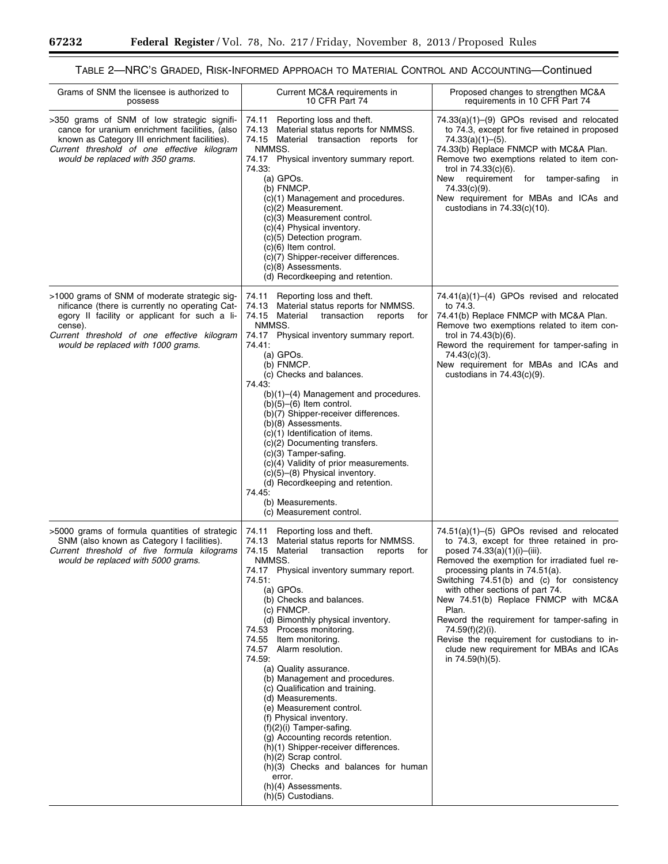#### Grams of SNM the licensee is authorized to possess Current MC&A requirements in 10 CFR Part 74 Proposed changes to strengthen MC&A requirements in 10 CFR Part 74 >350 grams of SNM of low strategic significance for uranium enrichment facilities, (also known as Category III enrichment facilities). *Current threshold of one effective kilogram would be replaced with 350 grams.*  74.11 Reporting loss and theft.<br>74.13 Material status reports for Material status reports for NMMSS. 74.15 Material transaction reports for NMMSS. 74.17 Physical inventory summary report. 74.33: (a) GPOs. (b) FNMCP. (c)(1) Management and procedures. (c)(2) Measurement. (c)(3) Measurement control. (c)(4) Physical inventory. (c)(5) Detection program. (c)(6) Item control. (c)(7) Shipper-receiver differences. (c)(8) Assessments. (d) Recordkeeping and retention. 74.33(a)(1)–(9) GPOs revised and relocated to 74.3, except for five retained in proposed 74.33(a)(1)–(5). 74.33(b) Replace FNMCP with MC&A Plan. Remove two exemptions related to item control in 74.33(c)(6). New requirement for tamper-safing in 74.33(c)(9). New requirement for MBAs and ICAs and custodians in 74.33(c)(10). >1000 grams of SNM of moderate strategic significance (there is currently no operating Category II facility or applicant for such a license). *Current threshold of one effective kilogram would be replaced with 1000 grams.*  74.11 Reporting loss and theft. 74.13 Material status reports for NMMSS. 74.15 Material transaction reports for NMMSS. 74.17 Physical inventory summary report. 74.41: (a) GPOs. (b) FNMCP. (c) Checks and balances. 74.43: (b)(1)–(4) Management and procedures.  $(b)(5)$ – $(6)$  Item control. (b)(7) Shipper-receiver differences. (b)(8) Assessments. (c)(1) Identification of items. (c)(2) Documenting transfers. (c)(3) Tamper-safing. (c)(4) Validity of prior measurements. (c)(5)–(8) Physical inventory. (d) Recordkeeping and retention. 74.45: (b) Measurements. (c) Measurement control. 74.41(a)(1)–(4) GPOs revised and relocated to 74.3. 74.41(b) Replace FNMCP with MC&A Plan. Remove two exemptions related to item control in 74.43(b)(6). Reword the requirement for tamper-safing in 74.43(c)(3). New requirement for MBAs and ICAs and custodians in 74.43(c)(9). >5000 grams of formula quantities of strategic SNM (also known as Category I facilities). *Current threshold of five formula kilograms would be replaced with 5000 grams.*  74.11 Reporting loss and theft.<br>74.13 Material status reports fo Material status reports for NMMSS.<br>Material transaction reports for 74.15 Material transaction reports NMMSS. 74.17 Physical inventory summary report. 74.51: (a) GPOs. (b) Checks and balances. (c) FNMCP. (d) Bimonthly physical inventory. 74.53 Process monitoring.<br>74.55 Item monitoring. Item monitoring. 74.57 Alarm resolution. 74.59: (a) Quality assurance. (b) Management and procedures. (c) Qualification and training. (d) Measurements. (e) Measurement control. (f) Physical inventory. (f)(2)(i) Tamper-safing. (g) Accounting records retention. (h)(1) Shipper-receiver differences. (h)(2) Scrap control. (h)(3) Checks and balances for human error. (h)(4) Assessments. (h)(5) Custodians. 74.51(a)(1)–(5) GPOs revised and relocated to 74.3, except for three retained in proposed 74.33(a)(1)(i)-(iii). Removed the exemption for irradiated fuel reprocessing plants in 74.51(a). Switching 74.51(b) and (c) for consistency with other sections of part 74. New 74.51(b) Replace FNMCP with MC&A Plan. Reword the requirement for tamper-safing in 74.59(f)(2)(i). Revise the requirement for custodians to include new requirement for MBAs and ICAs in 74.59(h)(5).

# TABLE 2—NRC'S GRADED, RISK-INFORMED APPROACH TO MATERIAL CONTROL AND ACCOUNTING—Continued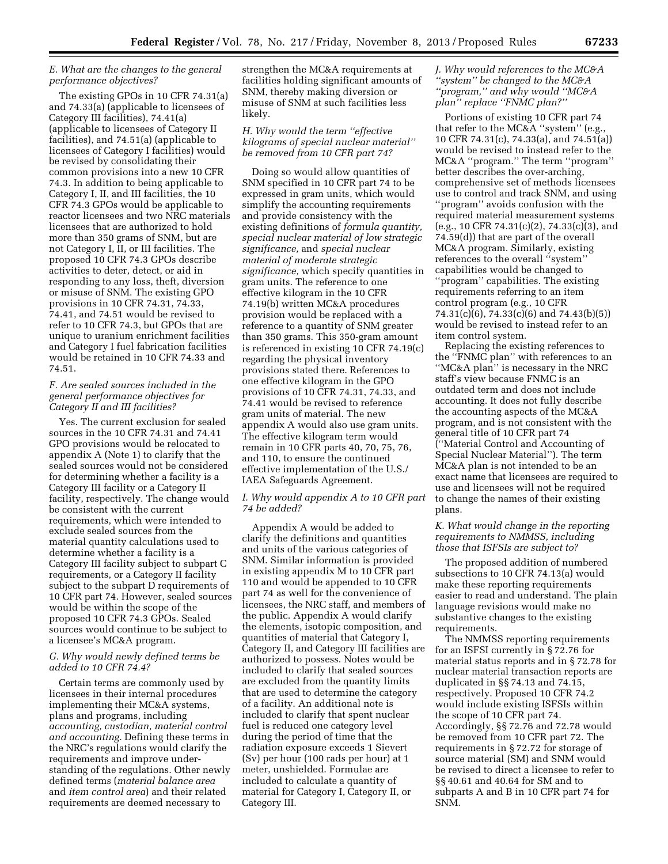# *E. What are the changes to the general performance objectives?*

The existing GPOs in 10 CFR 74.31(a) and 74.33(a) (applicable to licensees of Category III facilities), 74.41(a) (applicable to licensees of Category II facilities), and 74.51(a) (applicable to licensees of Category I facilities) would be revised by consolidating their common provisions into a new 10 CFR 74.3. In addition to being applicable to Category I, II, and III facilities, the 10 CFR 74.3 GPOs would be applicable to reactor licensees and two NRC materials licensees that are authorized to hold more than 350 grams of SNM, but are not Category I, II, or III facilities. The proposed 10 CFR 74.3 GPOs describe activities to deter, detect, or aid in responding to any loss, theft, diversion or misuse of SNM. The existing GPO provisions in 10 CFR 74.31, 74.33, 74.41, and 74.51 would be revised to refer to 10 CFR 74.3, but GPOs that are unique to uranium enrichment facilities and Category I fuel fabrication facilities would be retained in 10 CFR 74.33 and 74.51.

# *F. Are sealed sources included in the general performance objectives for Category II and III facilities?*

Yes. The current exclusion for sealed sources in the 10 CFR 74.31 and 74.41 GPO provisions would be relocated to appendix A (Note 1) to clarify that the sealed sources would not be considered for determining whether a facility is a Category III facility or a Category II facility, respectively. The change would be consistent with the current requirements, which were intended to exclude sealed sources from the material quantity calculations used to determine whether a facility is a Category III facility subject to subpart C requirements, or a Category II facility subject to the subpart D requirements of 10 CFR part 74. However, sealed sources would be within the scope of the proposed 10 CFR 74.3 GPOs. Sealed sources would continue to be subject to a licensee's MC&A program.

# *G. Why would newly defined terms be added to 10 CFR 74.4?*

Certain terms are commonly used by licensees in their internal procedures implementing their MC&A systems, plans and programs, including *accounting, custodian, material control and accounting.* Defining these terms in the NRC's regulations would clarify the requirements and improve understanding of the regulations. Other newly defined terms (*material balance area*  and *item control area*) and their related requirements are deemed necessary to

strengthen the MC&A requirements at facilities holding significant amounts of SNM, thereby making diversion or misuse of SNM at such facilities less likely.

# *H. Why would the term ''effective kilograms of special nuclear material'' be removed from 10 CFR part 74?*

Doing so would allow quantities of SNM specified in 10 CFR part 74 to be expressed in gram units, which would simplify the accounting requirements and provide consistency with the existing definitions of *formula quantity, special nuclear material of low strategic significance,* and *special nuclear material of moderate strategic significance,* which specify quantities in gram units. The reference to one effective kilogram in the 10 CFR 74.19(b) written MC&A procedures provision would be replaced with a reference to a quantity of SNM greater than 350 grams. This 350-gram amount is referenced in existing 10 CFR 74.19(c) regarding the physical inventory provisions stated there. References to one effective kilogram in the GPO provisions of 10 CFR 74.31, 74.33, and 74.41 would be revised to reference gram units of material. The new appendix A would also use gram units. The effective kilogram term would remain in 10 CFR parts 40, 70, 75, 76, and 110, to ensure the continued effective implementation of the U.S./ IAEA Safeguards Agreement.

# *I. Why would appendix A to 10 CFR part 74 be added?*

Appendix A would be added to clarify the definitions and quantities and units of the various categories of SNM. Similar information is provided in existing appendix M to 10 CFR part 110 and would be appended to 10 CFR part 74 as well for the convenience of licensees, the NRC staff, and members of the public. Appendix A would clarify the elements, isotopic composition, and quantities of material that Category I, Category II, and Category III facilities are authorized to possess. Notes would be included to clarify that sealed sources are excluded from the quantity limits that are used to determine the category of a facility. An additional note is included to clarify that spent nuclear fuel is reduced one category level during the period of time that the radiation exposure exceeds 1 Sievert (Sv) per hour (100 rads per hour) at 1 meter, unshielded. Formulae are included to calculate a quantity of material for Category I, Category II, or Category III.

# *J. Why would references to the MC&A ''system'' be changed to the MC&A ''program,'' and why would ''MC&A plan'' replace ''FNMC plan?''*

Portions of existing 10 CFR part 74 that refer to the MC&A ''system'' (e.g., 10 CFR 74.31(c), 74.33(a), and 74.51(a)) would be revised to instead refer to the MC&A ''program.'' The term ''program'' better describes the over-arching, comprehensive set of methods licensees use to control and track SNM, and using ''program'' avoids confusion with the required material measurement systems (e.g., 10 CFR 74.31(c)(2), 74.33(c)(3), and 74.59(d)) that are part of the overall MC&A program. Similarly, existing references to the overall ''system'' capabilities would be changed to ''program'' capabilities. The existing requirements referring to an item control program (e.g., 10 CFR 74.31(c)(6), 74.33(c)(6) and 74.43(b)(5)) would be revised to instead refer to an item control system.

Replacing the existing references to the ''FNMC plan'' with references to an ''MC&A plan'' is necessary in the NRC staff's view because FNMC is an outdated term and does not include accounting. It does not fully describe the accounting aspects of the MC&A program, and is not consistent with the general title of 10 CFR part 74 (''Material Control and Accounting of Special Nuclear Material''). The term MC&A plan is not intended to be an exact name that licensees are required to use and licensees will not be required to change the names of their existing plans.

# *K. What would change in the reporting requirements to NMMSS, including those that ISFSIs are subject to?*

The proposed addition of numbered subsections to 10 CFR 74.13(a) would make these reporting requirements easier to read and understand. The plain language revisions would make no substantive changes to the existing requirements.

The NMMSS reporting requirements for an ISFSI currently in § 72.76 for material status reports and in § 72.78 for nuclear material transaction reports are duplicated in §§ 74.13 and 74.15, respectively. Proposed 10 CFR 74.2 would include existing ISFSIs within the scope of 10 CFR part 74. Accordingly, §§ 72.76 and 72.78 would be removed from 10 CFR part 72. The requirements in § 72.72 for storage of source material (SM) and SNM would be revised to direct a licensee to refer to §§ 40.61 and 40.64 for SM and to subparts A and B in 10 CFR part 74 for SNM.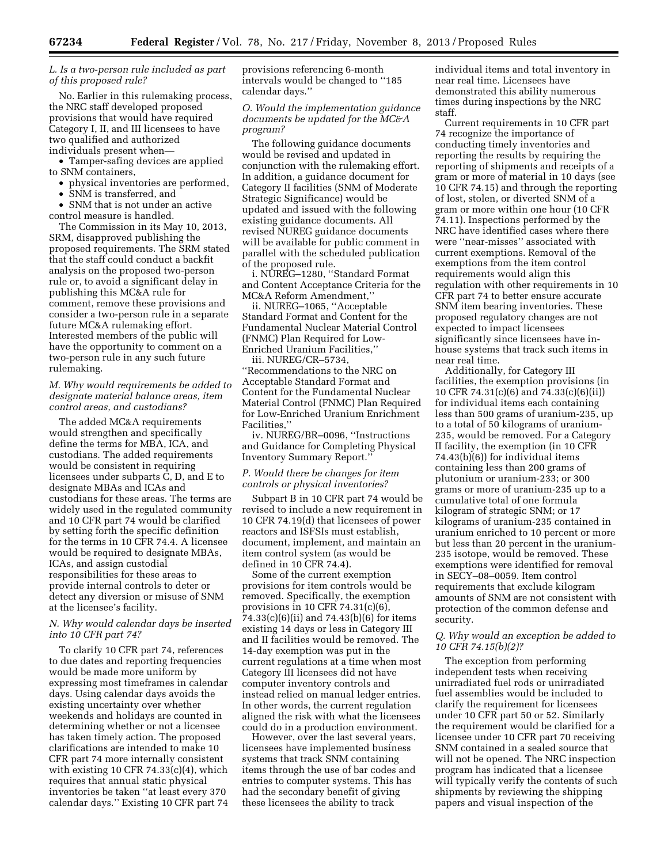# *L. Is a two-person rule included as part of this proposed rule?*

No. Earlier in this rulemaking process, the NRC staff developed proposed provisions that would have required Category I, II, and III licensees to have two qualified and authorized individuals present when—

• Tamper-safing devices are applied to SNM containers,

• physical inventories are performed,

• SNM is transferred, and

• SNM that is not under an active control measure is handled.

The Commission in its May 10, 2013, SRM, disapproved publishing the proposed requirements. The SRM stated that the staff could conduct a backfit analysis on the proposed two-person rule or, to avoid a significant delay in publishing this MC&A rule for comment, remove these provisions and consider a two-person rule in a separate future MC&A rulemaking effort. Interested members of the public will have the opportunity to comment on a two-person rule in any such future rulemaking.

# *M. Why would requirements be added to designate material balance areas, item control areas, and custodians?*

The added MC&A requirements would strengthen and specifically define the terms for MBA, ICA, and custodians. The added requirements would be consistent in requiring licensees under subparts C, D, and E to designate MBAs and ICAs and custodians for these areas. The terms are widely used in the regulated community and 10 CFR part 74 would be clarified by setting forth the specific definition for the terms in 10 CFR 74.4. A licensee would be required to designate MBAs, ICAs, and assign custodial responsibilities for these areas to provide internal controls to deter or detect any diversion or misuse of SNM at the licensee's facility.

# *N. Why would calendar days be inserted into 10 CFR part 74?*

To clarify 10 CFR part 74, references to due dates and reporting frequencies would be made more uniform by expressing most timeframes in calendar days. Using calendar days avoids the existing uncertainty over whether weekends and holidays are counted in determining whether or not a licensee has taken timely action. The proposed clarifications are intended to make 10 CFR part 74 more internally consistent with existing 10 CFR  $74.33(c)(4)$ , which requires that annual static physical inventories be taken ''at least every 370 calendar days.'' Existing 10 CFR part 74 provisions referencing 6-month intervals would be changed to ''185 calendar days.''

*O. Would the implementation guidance documents be updated for the MC&A program?* 

The following guidance documents would be revised and updated in conjunction with the rulemaking effort. In addition, a guidance document for Category II facilities (SNM of Moderate Strategic Significance) would be updated and issued with the following existing guidance documents. All revised NUREG guidance documents will be available for public comment in parallel with the scheduled publication of the proposed rule.

i. NUREG–1280, ''Standard Format and Content Acceptance Criteria for the MC&A Reform Amendment,''

ii. NUREG–1065, ''Acceptable Standard Format and Content for the Fundamental Nuclear Material Control (FNMC) Plan Required for Low-Enriched Uranium Facilities,''

iii. NUREG/CR–5734, ''Recommendations to the NRC on Acceptable Standard Format and Content for the Fundamental Nuclear Material Control (FNMC) Plan Required for Low-Enriched Uranium Enrichment Facilities,''

iv. NUREG/BR–0096, ''Instructions and Guidance for Completing Physical Inventory Summary Report.''

# *P. Would there be changes for item controls or physical inventories?*

Subpart B in 10 CFR part 74 would be revised to include a new requirement in 10 CFR 74.19(d) that licensees of power reactors and ISFSIs must establish, document, implement, and maintain an item control system (as would be defined in 10 CFR 74.4).

Some of the current exemption provisions for item controls would be removed. Specifically, the exemption provisions in 10 CFR 74.31(c)(6), 74.33(c)(6)(ii) and 74.43(b)(6) for items existing 14 days or less in Category III and II facilities would be removed. The 14-day exemption was put in the current regulations at a time when most Category III licensees did not have computer inventory controls and instead relied on manual ledger entries. In other words, the current regulation aligned the risk with what the licensees could do in a production environment.

However, over the last several years, licensees have implemented business systems that track SNM containing items through the use of bar codes and entries to computer systems. This has had the secondary benefit of giving these licensees the ability to track

individual items and total inventory in near real time. Licensees have demonstrated this ability numerous times during inspections by the NRC staff.

Current requirements in 10 CFR part 74 recognize the importance of conducting timely inventories and reporting the results by requiring the reporting of shipments and receipts of a gram or more of material in 10 days (see 10 CFR 74.15) and through the reporting of lost, stolen, or diverted SNM of a gram or more within one hour (10 CFR 74.11). Inspections performed by the NRC have identified cases where there were ''near-misses'' associated with current exemptions. Removal of the exemptions from the item control requirements would align this regulation with other requirements in 10 CFR part 74 to better ensure accurate SNM item bearing inventories. These proposed regulatory changes are not expected to impact licensees significantly since licensees have inhouse systems that track such items in near real time.

Additionally, for Category III facilities, the exemption provisions (in 10 CFR 74.31(c)(6) and 74.33(c)(6)(ii)) for individual items each containing less than 500 grams of uranium-235, up to a total of 50 kilograms of uranium-235, would be removed. For a Category II facility, the exemption (in 10 CFR 74.43(b)(6)) for individual items containing less than 200 grams of plutonium or uranium-233; or 300 grams or more of uranium-235 up to a cumulative total of one formula kilogram of strategic SNM; or 17 kilograms of uranium-235 contained in uranium enriched to 10 percent or more but less than 20 percent in the uranium-235 isotope, would be removed. These exemptions were identified for removal in SECY–08–0059. Item control requirements that exclude kilogram amounts of SNM are not consistent with protection of the common defense and security.

# *Q. Why would an exception be added to 10 CFR 74.15(b)(2)?*

The exception from performing independent tests when receiving unirradiated fuel rods or unirradiated fuel assemblies would be included to clarify the requirement for licensees under 10 CFR part 50 or 52. Similarly the requirement would be clarified for a licensee under 10 CFR part 70 receiving SNM contained in a sealed source that will not be opened. The NRC inspection program has indicated that a licensee will typically verify the contents of such shipments by reviewing the shipping papers and visual inspection of the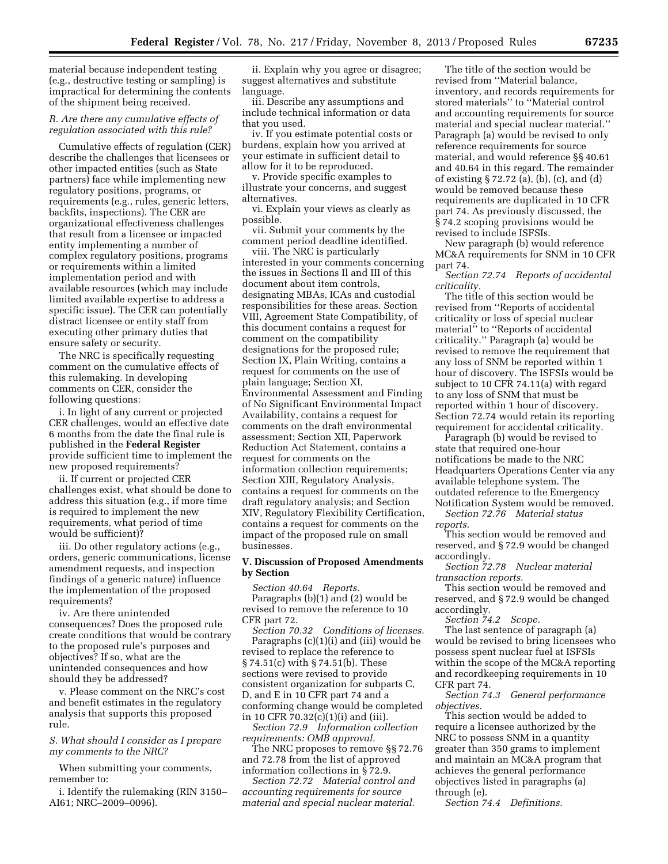material because independent testing (e.g., destructive testing or sampling) is impractical for determining the contents of the shipment being received.

# *R. Are there any cumulative effects of regulation associated with this rule?*

Cumulative effects of regulation (CER) describe the challenges that licensees or other impacted entities (such as State partners) face while implementing new regulatory positions, programs, or requirements (e.g., rules, generic letters, backfits, inspections). The CER are organizational effectiveness challenges that result from a licensee or impacted entity implementing a number of complex regulatory positions, programs or requirements within a limited implementation period and with available resources (which may include limited available expertise to address a specific issue). The CER can potentially distract licensee or entity staff from executing other primary duties that ensure safety or security.

The NRC is specifically requesting comment on the cumulative effects of this rulemaking. In developing comments on CER, consider the following questions:

i. In light of any current or projected CER challenges, would an effective date 6 months from the date the final rule is published in the **Federal Register**  provide sufficient time to implement the new proposed requirements?

ii. If current or projected CER challenges exist, what should be done to address this situation (e.g., if more time is required to implement the new requirements, what period of time would be sufficient)?

iii. Do other regulatory actions (e.g., orders, generic communications, license amendment requests, and inspection findings of a generic nature) influence the implementation of the proposed requirements?

iv. Are there unintended consequences? Does the proposed rule create conditions that would be contrary to the proposed rule's purposes and objectives? If so, what are the unintended consequences and how should they be addressed?

v. Please comment on the NRC's cost and benefit estimates in the regulatory analysis that supports this proposed rule.

# *S. What should I consider as I prepare my comments to the NRC?*

When submitting your comments, remember to:

i. Identify the rulemaking (RIN 3150– AI61; NRC–2009–0096).

ii. Explain why you agree or disagree; suggest alternatives and substitute language.

iii. Describe any assumptions and include technical information or data that you used.

iv. If you estimate potential costs or burdens, explain how you arrived at your estimate in sufficient detail to allow for it to be reproduced.

v. Provide specific examples to illustrate your concerns, and suggest alternatives.

vi. Explain your views as clearly as possible.

vii. Submit your comments by the comment period deadline identified.

viii. The NRC is particularly interested in your comments concerning the issues in Sections Il and III of this document about item controls, designating MBAs, ICAs and custodial responsibilities for these areas. Section VIII, Agreement State Compatibility, of this document contains a request for comment on the compatibility designations for the proposed rule; Section IX, Plain Writing, contains a request for comments on the use of plain language; Section XI, Environmental Assessment and Finding of No Significant Environmental Impact Availability, contains a request for comments on the draft environmental assessment; Section XII, Paperwork Reduction Act Statement, contains a request for comments on the information collection requirements; Section XIII, Regulatory Analysis, contains a request for comments on the draft regulatory analysis; and Section XIV, Regulatory Flexibility Certification, contains a request for comments on the impact of the proposed rule on small businesses.

# **V. Discussion of Proposed Amendments by Section**

*Section 40.64 Reports.*  Paragraphs (b)(1) and (2) would be revised to remove the reference to 10 CFR part 72.

*Section 70.32 Conditions of licenses.*  Paragraphs (c)(1)(i) and (iii) would be revised to replace the reference to § 74.51(c) with § 74.51(b). These sections were revised to provide consistent organization for subparts C, D, and E in 10 CFR part 74 and a conforming change would be completed in 10 CFR 70.32(c)(1)(i) and (iii).

*Section 72.9 Information collection requirements: OMB approval.* 

The NRC proposes to remove §§ 72.76 and 72.78 from the list of approved information collections in § 72.9.

*Section 72.72 Material control and accounting requirements for source material and special nuclear material.* 

The title of the section would be revised from ''Material balance, inventory, and records requirements for stored materials'' to ''Material control and accounting requirements for source material and special nuclear material.'' Paragraph (a) would be revised to only reference requirements for source material, and would reference §§ 40.61 and 40.64 in this regard. The remainder of existing § 72.72 (a), (b), (c), and (d) would be removed because these requirements are duplicated in 10 CFR part 74. As previously discussed, the § 74.2 scoping provisions would be revised to include ISFSIs.

New paragraph (b) would reference MC&A requirements for SNM in 10 CFR part 74.

*Section 72.74 Reports of accidental criticality.* 

The title of this section would be revised from ''Reports of accidental criticality or loss of special nuclear material'' to ''Reports of accidental criticality.'' Paragraph (a) would be revised to remove the requirement that any loss of SNM be reported within 1 hour of discovery. The ISFSIs would be subject to 10 CFR 74.11(a) with regard to any loss of SNM that must be reported within 1 hour of discovery. Section 72.74 would retain its reporting requirement for accidental criticality.

Paragraph (b) would be revised to state that required one-hour notifications be made to the NRC Headquarters Operations Center via any available telephone system. The outdated reference to the Emergency Notification System would be removed.

*Section 72.76 Material status reports.* 

This section would be removed and reserved, and § 72.9 would be changed accordingly.

*Section 72.78 Nuclear material transaction reports.* 

This section would be removed and reserved, and § 72.9 would be changed accordingly.

*Section 74.2 Scope.* 

The last sentence of paragraph (a) would be revised to bring licensees who possess spent nuclear fuel at ISFSIs within the scope of the MC&A reporting and recordkeeping requirements in 10 CFR part 74.

*Section 74.3 General performance objectives.* 

This section would be added to require a licensee authorized by the NRC to possess SNM in a quantity greater than 350 grams to implement and maintain an MC&A program that achieves the general performance objectives listed in paragraphs (a) through (e).

*Section 74.4 Definitions.*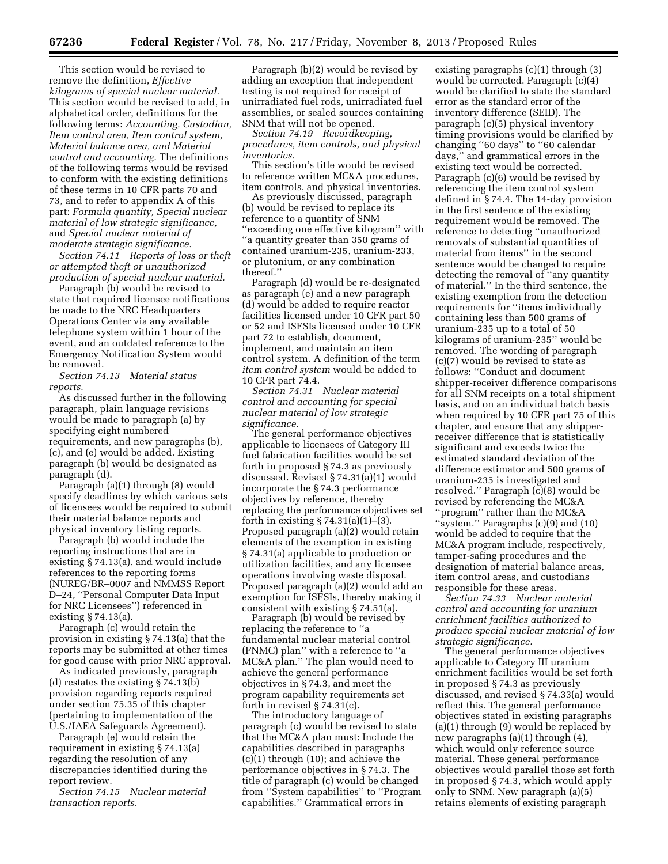This section would be revised to remove the definition, *Effective kilograms of special nuclear material.*  This section would be revised to add, in alphabetical order, definitions for the following terms: *Accounting, Custodian, Item control area, Item control system, Material balance area, and Material control and accounting.* The definitions of the following terms would be revised to conform with the existing definitions of these terms in 10 CFR parts 70 and 73, and to refer to appendix A of this part: *Formula quantity, Special nuclear material of low strategic significance,*  and *Special nuclear material of moderate strategic significance.* 

*Section 74.11 Reports of loss or theft or attempted theft or unauthorized production of special nuclear material.* 

Paragraph (b) would be revised to state that required licensee notifications be made to the NRC Headquarters Operations Center via any available telephone system within 1 hour of the event, and an outdated reference to the Emergency Notification System would be removed.

*Section 74.13 Material status reports.* 

As discussed further in the following paragraph, plain language revisions would be made to paragraph (a) by specifying eight numbered requirements, and new paragraphs (b), (c), and (e) would be added. Existing paragraph (b) would be designated as paragraph (d).

Paragraph (a)(1) through (8) would specify deadlines by which various sets of licensees would be required to submit their material balance reports and physical inventory listing reports.

Paragraph (b) would include the reporting instructions that are in existing § 74.13(a), and would include references to the reporting forms (NUREG/BR–0007 and NMMSS Report D–24, ''Personal Computer Data Input for NRC Licensees'') referenced in existing § 74.13(a).

Paragraph (c) would retain the provision in existing § 74.13(a) that the reports may be submitted at other times for good cause with prior NRC approval.

As indicated previously, paragraph (d) restates the existing § 74.13(b) provision regarding reports required under section 75.35 of this chapter (pertaining to implementation of the U.S./IAEA Safeguards Agreement).

Paragraph (e) would retain the requirement in existing § 74.13(a) regarding the resolution of any discrepancies identified during the report review.

*Section 74.15 Nuclear material transaction reports.* 

Paragraph (b)(2) would be revised by adding an exception that independent testing is not required for receipt of unirradiated fuel rods, unirradiated fuel assemblies, or sealed sources containing SNM that will not be opened.

*Section 74.19 Recordkeeping, procedures, item controls, and physical inventories.* 

This section's title would be revised to reference written MC&A procedures, item controls, and physical inventories.

As previously discussed, paragraph (b) would be revised to replace its reference to a quantity of SNM ''exceeding one effective kilogram'' with ''a quantity greater than 350 grams of contained uranium-235, uranium-233, or plutonium, or any combination thereof.''

Paragraph (d) would be re-designated as paragraph (e) and a new paragraph (d) would be added to require reactor facilities licensed under 10 CFR part 50 or 52 and ISFSIs licensed under 10 CFR part 72 to establish, document, implement, and maintain an item control system. A definition of the term *item control system* would be added to 10 CFR part 74.4.

*Section 74.31 Nuclear material control and accounting for special nuclear material of low strategic significance.* 

The general performance objectives applicable to licensees of Category III fuel fabrication facilities would be set forth in proposed § 74.3 as previously discussed. Revised § 74.31(a)(1) would incorporate the § 74.3 performance objectives by reference, thereby replacing the performance objectives set forth in existing  $\S 74.31(a)(1)–(3)$ . Proposed paragraph (a)(2) would retain elements of the exemption in existing § 74.31(a) applicable to production or utilization facilities, and any licensee operations involving waste disposal. Proposed paragraph (a)(2) would add an exemption for ISFSIs, thereby making it consistent with existing § 74.51(a).

Paragraph (b) would be revised by replacing the reference to ''a fundamental nuclear material control (FNMC) plan'' with a reference to ''a MC&A plan.'' The plan would need to achieve the general performance objectives in § 74.3, and meet the program capability requirements set forth in revised § 74.31(c).

The introductory language of paragraph (c) would be revised to state that the MC&A plan must: Include the capabilities described in paragraphs (c)(1) through (10); and achieve the performance objectives in § 74.3. The title of paragraph (c) would be changed from ''System capabilities'' to ''Program capabilities.'' Grammatical errors in

existing paragraphs (c)(1) through (3) would be corrected. Paragraph (c)(4) would be clarified to state the standard error as the standard error of the inventory difference (SEID). The paragraph (c)(5) physical inventory timing provisions would be clarified by changing ''60 days'' to ''60 calendar days,'' and grammatical errors in the existing text would be corrected. Paragraph (c)(6) would be revised by referencing the item control system defined in § 74.4. The 14-day provision in the first sentence of the existing requirement would be removed. The reference to detecting ''unauthorized removals of substantial quantities of material from items'' in the second sentence would be changed to require detecting the removal of ''any quantity of material.'' In the third sentence, the existing exemption from the detection requirements for ''items individually containing less than 500 grams of uranium-235 up to a total of 50 kilograms of uranium-235'' would be removed. The wording of paragraph (c)(7) would be revised to state as follows: ''Conduct and document shipper-receiver difference comparisons for all SNM receipts on a total shipment basis, and on an individual batch basis when required by 10 CFR part 75 of this chapter, and ensure that any shipperreceiver difference that is statistically significant and exceeds twice the estimated standard deviation of the difference estimator and 500 grams of uranium-235 is investigated and resolved.'' Paragraph (c)(8) would be revised by referencing the MC&A ''program'' rather than the MC&A ''system.'' Paragraphs (c)(9) and (10) would be added to require that the MC&A program include, respectively, tamper-safing procedures and the designation of material balance areas, item control areas, and custodians responsible for these areas.

*Section 74.33 Nuclear material control and accounting for uranium enrichment facilities authorized to produce special nuclear material of low strategic significance.* 

The general performance objectives applicable to Category III uranium enrichment facilities would be set forth in proposed § 74.3 as previously discussed, and revised § 74.33(a) would reflect this. The general performance objectives stated in existing paragraphs (a)(1) through (9) would be replaced by new paragraphs (a)(1) through (4), which would only reference source material. These general performance objectives would parallel those set forth in proposed § 74.3, which would apply only to SNM. New paragraph (a)(5) retains elements of existing paragraph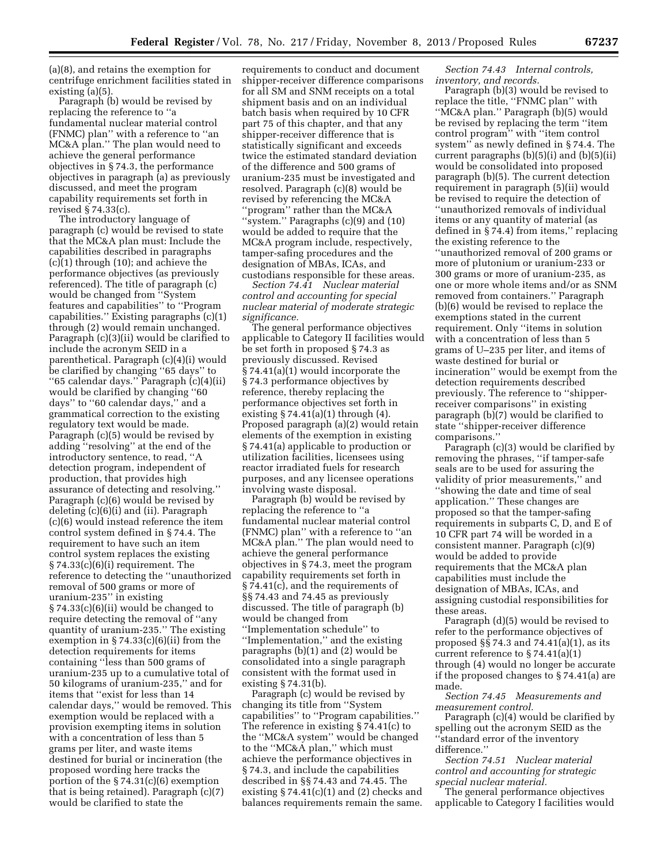(a)(8), and retains the exemption for centrifuge enrichment facilities stated in existing (a)(5).

Paragraph (b) would be revised by replacing the reference to ''a fundamental nuclear material control (FNMC) plan'' with a reference to ''an MC&A plan.'' The plan would need to achieve the general performance objectives in § 74.3, the performance objectives in paragraph (a) as previously discussed, and meet the program capability requirements set forth in revised § 74.33(c).

The introductory language of paragraph (c) would be revised to state that the MC&A plan must: Include the capabilities described in paragraphs (c)(1) through (10); and achieve the performance objectives (as previously referenced). The title of paragraph (c) would be changed from ''System features and capabilities'' to ''Program capabilities.'' Existing paragraphs (c)(1) through (2) would remain unchanged. Paragraph (c)(3)(ii) would be clarified to include the acronym SEID in a parenthetical. Paragraph (c)(4)(i) would be clarified by changing ''65 days'' to ''65 calendar days.'' Paragraph (c)(4)(ii) would be clarified by changing ''60 days'' to ''60 calendar days,'' and a grammatical correction to the existing regulatory text would be made. Paragraph (c)(5) would be revised by adding ''resolving'' at the end of the introductory sentence, to read, ''A detection program, independent of production, that provides high assurance of detecting and resolving.'' Paragraph (c)(6) would be revised by deleting (c)(6)(i) and (ii). Paragraph (c)(6) would instead reference the item control system defined in § 74.4. The requirement to have such an item control system replaces the existing § 74.33(c)(6)(i) requirement. The reference to detecting the ''unauthorized removal of 500 grams or more of uranium-235'' in existing § 74.33(c)(6)(ii) would be changed to require detecting the removal of ''any quantity of uranium-235.'' The existing exemption in  $\S 74.33(c)(6)(ii)$  from the detection requirements for items containing ''less than 500 grams of uranium-235 up to a cumulative total of 50 kilograms of uranium-235,'' and for items that ''exist for less than 14 calendar days,'' would be removed. This exemption would be replaced with a provision exempting items in solution with a concentration of less than 5 grams per liter, and waste items destined for burial or incineration (the proposed wording here tracks the portion of the § 74.31(c)(6) exemption that is being retained). Paragraph (c)(7) would be clarified to state the

requirements to conduct and document shipper-receiver difference comparisons for all SM and SNM receipts on a total shipment basis and on an individual batch basis when required by 10 CFR part 75 of this chapter, and that any shipper-receiver difference that is statistically significant and exceeds twice the estimated standard deviation of the difference and 500 grams of uranium-235 must be investigated and resolved. Paragraph (c)(8) would be revised by referencing the MC&A ''program'' rather than the MC&A ''system.'' Paragraphs (c)(9) and (10) would be added to require that the MC&A program include, respectively, tamper-safing procedures and the designation of MBAs, ICAs, and custodians responsible for these areas.

*Section 74.41 Nuclear material control and accounting for special nuclear material of moderate strategic significance.* 

The general performance objectives applicable to Category II facilities would be set forth in proposed § 74.3 as previously discussed. Revised § 74.41(a)(1) would incorporate the § 74.3 performance objectives by reference, thereby replacing the performance objectives set forth in existing  $\S 74.41(a)(1)$  through (4). Proposed paragraph (a)(2) would retain elements of the exemption in existing § 74.41(a) applicable to production or utilization facilities, licensees using reactor irradiated fuels for research purposes, and any licensee operations involving waste disposal.

Paragraph (b) would be revised by replacing the reference to ''a fundamental nuclear material control (FNMC) plan'' with a reference to ''an MC&A plan.'' The plan would need to achieve the general performance objectives in § 74.3, meet the program capability requirements set forth in § 74.41(c), and the requirements of §§ 74.43 and 74.45 as previously discussed. The title of paragraph (b) would be changed from ''Implementation schedule'' to ''Implementation,'' and the existing paragraphs (b)(1) and (2) would be consolidated into a single paragraph consistent with the format used in existing § 74.31(b).

Paragraph (c) would be revised by changing its title from ''System capabilities'' to ''Program capabilities.'' The reference in existing § 74.41(c) to the ''MC&A system'' would be changed to the ''MC&A plan,'' which must achieve the performance objectives in § 74.3, and include the capabilities described in §§ 74.43 and 74.45. The existing  $\S 74.41(c)(1)$  and (2) checks and balances requirements remain the same.

*Section 74.43 Internal controls, inventory, and records.* 

Paragraph (b)(3) would be revised to replace the title, ''FNMC plan'' with ''MC&A plan.'' Paragraph (b)(5) would be revised by replacing the term ''item control program'' with ''item control system'' as newly defined in § 74.4. The current paragraphs (b)(5)(i) and (b)(5)(ii) would be consolidated into proposed paragraph (b)(5). The current detection requirement in paragraph (5)(ii) would be revised to require the detection of ''unauthorized removals of individual items or any quantity of material (as defined in § 74.4) from items,'' replacing the existing reference to the ''unauthorized removal of 200 grams or more of plutonium or uranium-233 or 300 grams or more of uranium-235, as one or more whole items and/or as SNM removed from containers.'' Paragraph (b)(6) would be revised to replace the exemptions stated in the current requirement. Only ''items in solution with a concentration of less than 5 grams of U–235 per liter, and items of waste destined for burial or incineration'' would be exempt from the detection requirements described previously. The reference to ''shipperreceiver comparisons'' in existing paragraph (b)(7) would be clarified to state ''shipper-receiver difference comparisons.''

Paragraph (c)(3) would be clarified by removing the phrases, ''if tamper-safe seals are to be used for assuring the validity of prior measurements,'' and ''showing the date and time of seal application.'' These changes are proposed so that the tamper-safing requirements in subparts C, D, and E of 10 CFR part 74 will be worded in a consistent manner. Paragraph (c)(9) would be added to provide requirements that the MC&A plan capabilities must include the designation of MBAs, ICAs, and assigning custodial responsibilities for these areas.

Paragraph (d)(5) would be revised to refer to the performance objectives of proposed §§ 74.3 and 74.41(a)(1), as its current reference to  $\S 74.41(a)(1)$ through (4) would no longer be accurate if the proposed changes to § 74.41(a) are made.

*Section 74.45 Measurements and measurement control.* 

Paragraph (c)(4) would be clarified by spelling out the acronym SEID as the ''standard error of the inventory difference.''

*Section 74.51 Nuclear material control and accounting for strategic special nuclear material.* 

The general performance objectives applicable to Category I facilities would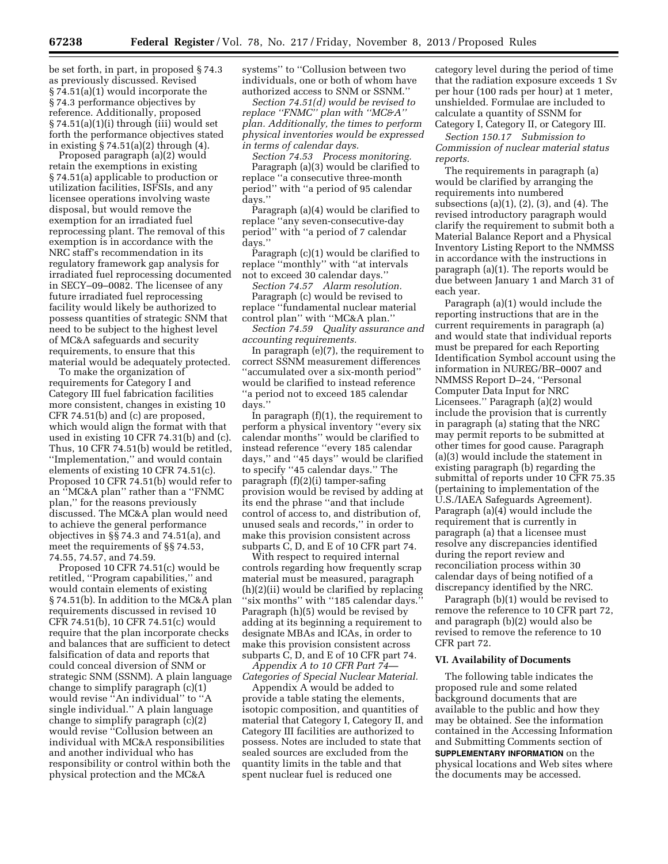be set forth, in part, in proposed § 74.3 as previously discussed. Revised § 74.51(a)(1) would incorporate the § 74.3 performance objectives by reference. Additionally, proposed § 74.51(a)(1)(i) through (iii) would set forth the performance objectives stated in existing § 74.51(a)(2) through (4).

Proposed paragraph (a)(2) would retain the exemptions in existing § 74.51(a) applicable to production or utilization facilities, ISFSIs, and any licensee operations involving waste disposal, but would remove the exemption for an irradiated fuel reprocessing plant. The removal of this exemption is in accordance with the NRC staff's recommendation in its regulatory framework gap analysis for irradiated fuel reprocessing documented in SECY–09–0082. The licensee of any future irradiated fuel reprocessing facility would likely be authorized to possess quantities of strategic SNM that need to be subject to the highest level of MC&A safeguards and security requirements, to ensure that this material would be adequately protected.

To make the organization of requirements for Category I and Category III fuel fabrication facilities more consistent, changes in existing 10 CFR 74.51(b) and (c) are proposed, which would align the format with that used in existing 10 CFR 74.31(b) and (c). Thus, 10 CFR 74.51(b) would be retitled, ''Implementation,'' and would contain elements of existing 10 CFR 74.51(c). Proposed 10 CFR 74.51(b) would refer to an ''MC&A plan'' rather than a ''FNMC plan,'' for the reasons previously discussed. The MC&A plan would need to achieve the general performance objectives in §§ 74.3 and 74.51(a), and meet the requirements of §§ 74.53, 74.55, 74.57, and 74.59.

Proposed 10 CFR 74.51(c) would be retitled, ''Program capabilities,'' and would contain elements of existing § 74.51(b). In addition to the MC&A plan requirements discussed in revised 10 CFR 74.51(b), 10 CFR 74.51(c) would require that the plan incorporate checks and balances that are sufficient to detect falsification of data and reports that could conceal diversion of SNM or strategic SNM (SSNM). A plain language change to simplify paragraph (c)(1) would revise ''An individual'' to ''A single individual.'' A plain language change to simplify paragraph (c)(2) would revise ''Collusion between an individual with MC&A responsibilities and another individual who has responsibility or control within both the physical protection and the MC&A

systems'' to ''Collusion between two individuals, one or both of whom have authorized access to SNM or SSNM.''

*Section 74.51(d) would be revised to replace ''FNMC'' plan with ''MC&A'' plan. Additionally, the times to perform physical inventories would be expressed in terms of calendar days.* 

*Section 74.53 Process monitoring.*  Paragraph (a)(3) would be clarified to replace ''a consecutive three-month period'' with ''a period of 95 calendar days.''

Paragraph (a)(4) would be clarified to replace ''any seven-consecutive-day period'' with ''a period of 7 calendar days.''

Paragraph (c)(1) would be clarified to replace ''monthly'' with ''at intervals not to exceed 30 calendar days.''

*Section 74.57 Alarm resolution.* 

Paragraph (c) would be revised to replace ''fundamental nuclear material control plan'' with ''MC&A plan.''

*Section 74.59 Quality assurance and accounting requirements.* 

In paragraph (e)(7), the requirement to correct SSNM measurement differences ''accumulated over a six-month period'' would be clarified to instead reference ''a period not to exceed 185 calendar days.''

In paragraph (f)(1), the requirement to perform a physical inventory ''every six calendar months'' would be clarified to instead reference ''every 185 calendar days,'' and ''45 days'' would be clarified to specify ''45 calendar days.'' The paragraph (f)(2)(i) tamper-safing provision would be revised by adding at its end the phrase ''and that include control of access to, and distribution of, unused seals and records,'' in order to make this provision consistent across subparts C, D, and E of 10 CFR part 74.

With respect to required internal controls regarding how frequently scrap material must be measured, paragraph (h)(2)(ii) would be clarified by replacing "six months" with "185 calendar days." Paragraph (h)(5) would be revised by adding at its beginning a requirement to designate MBAs and ICAs, in order to make this provision consistent across subparts C, D, and E of 10 CFR part 74.

*Appendix A to 10 CFR Part 74— Categories of Special Nuclear Material.* 

Appendix A would be added to provide a table stating the elements, isotopic composition, and quantities of material that Category I, Category II, and Category III facilities are authorized to possess. Notes are included to state that sealed sources are excluded from the quantity limits in the table and that spent nuclear fuel is reduced one

category level during the period of time that the radiation exposure exceeds 1 Sv per hour (100 rads per hour) at 1 meter, unshielded. Formulae are included to calculate a quantity of SSNM for Category I, Category II, or Category III.

*Section 150.17 Submission to Commission of nuclear material status reports.* 

The requirements in paragraph (a) would be clarified by arranging the requirements into numbered subsections (a)(1), (2), (3), and (4). The revised introductory paragraph would clarify the requirement to submit both a Material Balance Report and a Physical Inventory Listing Report to the NMMSS in accordance with the instructions in paragraph (a)(1). The reports would be due between January 1 and March 31 of each year.

Paragraph (a)(1) would include the reporting instructions that are in the current requirements in paragraph (a) and would state that individual reports must be prepared for each Reporting Identification Symbol account using the information in NUREG/BR–0007 and NMMSS Report D–24, ''Personal Computer Data Input for NRC Licensees.'' Paragraph (a)(2) would include the provision that is currently in paragraph (a) stating that the NRC may permit reports to be submitted at other times for good cause. Paragraph (a)(3) would include the statement in existing paragraph (b) regarding the submittal of reports under 10 CFR 75.35 (pertaining to implementation of the U.S./IAEA Safeguards Agreement). Paragraph (a)(4) would include the requirement that is currently in paragraph (a) that a licensee must resolve any discrepancies identified during the report review and reconciliation process within 30 calendar days of being notified of a discrepancy identified by the NRC.

Paragraph (b)(1) would be revised to remove the reference to 10 CFR part 72, and paragraph (b)(2) would also be revised to remove the reference to 10 CFR part 72.

# **VI. Availability of Documents**

The following table indicates the proposed rule and some related background documents that are available to the public and how they may be obtained. See the information contained in the Accessing Information and Submitting Comments section of **SUPPLEMENTARY INFORMATION** on the physical locations and Web sites where the documents may be accessed.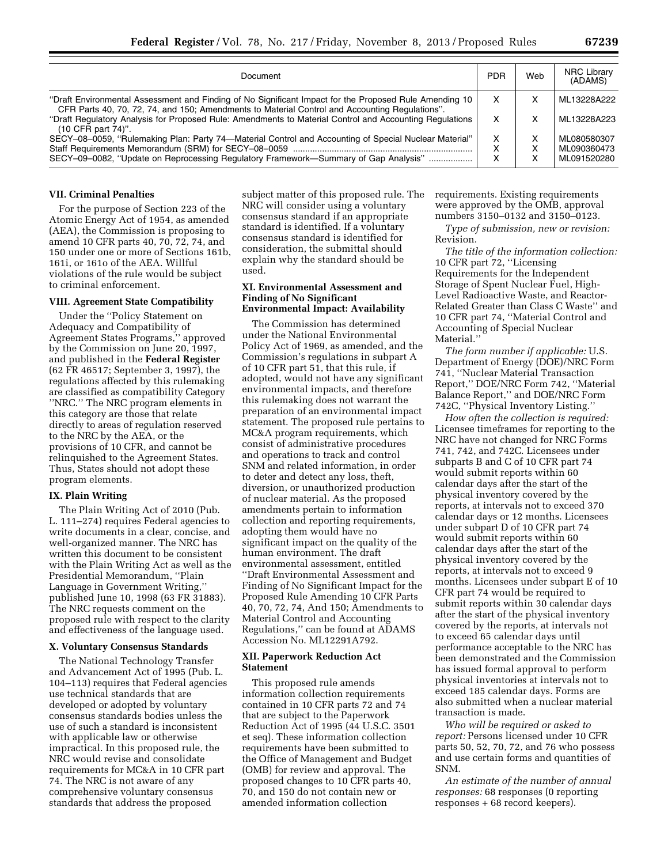| Document                                                                                                                                                                                                 | <b>PDR</b> | Web | <b>NRC Library</b><br>(ADAMS) |
|----------------------------------------------------------------------------------------------------------------------------------------------------------------------------------------------------------|------------|-----|-------------------------------|
| "Draft Environmental Assessment and Finding of No Significant Impact for the Proposed Rule Amending 10<br>CFR Parts 40, 70, 72, 74, and 150; Amendments to Material Control and Accounting Regulations". | х          | х   | ML13228A222                   |
| "Draft Regulatory Analysis for Proposed Rule: Amendments to Material Control and Accounting Regulations<br>$(10$ CFR part $74$ <sup>".</sup>                                                             |            | x   | ML13228A223                   |
| SECY-08-0059, "Rulemaking Plan: Party 74—Material Control and Accounting of Special Nuclear Material"                                                                                                    | х          |     | ML080580307                   |
|                                                                                                                                                                                                          | x          |     | ML090360473                   |
| SECY-09-0082, "Update on Reprocessing Regulatory Framework-Summary of Gap Analysis"                                                                                                                      | x          | x   | ML091520280                   |

#### **VII. Criminal Penalties**

For the purpose of Section 223 of the Atomic Energy Act of 1954, as amended (AEA), the Commission is proposing to amend 10 CFR parts 40, 70, 72, 74, and 150 under one or more of Sections 161b, 161i, or 161o of the AEA. Willful violations of the rule would be subject to criminal enforcement.

### **VIII. Agreement State Compatibility**

Under the ''Policy Statement on Adequacy and Compatibility of Agreement States Programs,'' approved by the Commission on June 20, 1997, and published in the **Federal Register**  (62 FR 46517; September 3, 1997), the regulations affected by this rulemaking are classified as compatibility Category ''NRC.'' The NRC program elements in this category are those that relate directly to areas of regulation reserved to the NRC by the AEA, or the provisions of 10 CFR, and cannot be relinquished to the Agreement States. Thus, States should not adopt these program elements.

# **IX. Plain Writing**

The Plain Writing Act of 2010 (Pub. L. 111–274) requires Federal agencies to write documents in a clear, concise, and well-organized manner. The NRC has written this document to be consistent with the Plain Writing Act as well as the Presidential Memorandum, ''Plain Language in Government Writing,'' published June 10, 1998 (63 FR 31883). The NRC requests comment on the proposed rule with respect to the clarity and effectiveness of the language used.

### **X. Voluntary Consensus Standards**

The National Technology Transfer and Advancement Act of 1995 (Pub. L. 104–113) requires that Federal agencies use technical standards that are developed or adopted by voluntary consensus standards bodies unless the use of such a standard is inconsistent with applicable law or otherwise impractical. In this proposed rule, the NRC would revise and consolidate requirements for MC&A in 10 CFR part 74. The NRC is not aware of any comprehensive voluntary consensus standards that address the proposed

subject matter of this proposed rule. The NRC will consider using a voluntary consensus standard if an appropriate standard is identified. If a voluntary consensus standard is identified for consideration, the submittal should explain why the standard should be used.

# **XI. Environmental Assessment and Finding of No Significant Environmental Impact: Availability**

The Commission has determined under the National Environmental Policy Act of 1969, as amended, and the Commission's regulations in subpart A of 10 CFR part 51, that this rule, if adopted, would not have any significant environmental impacts, and therefore this rulemaking does not warrant the preparation of an environmental impact statement. The proposed rule pertains to MC&A program requirements, which consist of administrative procedures and operations to track and control SNM and related information, in order to deter and detect any loss, theft, diversion, or unauthorized production of nuclear material. As the proposed amendments pertain to information collection and reporting requirements, adopting them would have no significant impact on the quality of the human environment. The draft environmental assessment, entitled ''Draft Environmental Assessment and Finding of No Significant Impact for the Proposed Rule Amending 10 CFR Parts 40, 70, 72, 74, And 150; Amendments to Material Control and Accounting Regulations,'' can be found at ADAMS Accession No. ML12291A792.

# **XII. Paperwork Reduction Act Statement**

This proposed rule amends information collection requirements contained in 10 CFR parts 72 and 74 that are subject to the Paperwork Reduction Act of 1995 (44 U.S.C. 3501 et seq). These information collection requirements have been submitted to the Office of Management and Budget (OMB) for review and approval. The proposed changes to 10 CFR parts 40, 70, and 150 do not contain new or amended information collection

requirements. Existing requirements were approved by the OMB, approval numbers 3150–0132 and 3150–0123.

*Type of submission, new or revision:*  Revision.

*The title of the information collection:*  10 CFR part 72, ''Licensing Requirements for the Independent Storage of Spent Nuclear Fuel, High-Level Radioactive Waste, and Reactor-Related Greater than Class C Waste'' and 10 CFR part 74, ''Material Control and Accounting of Special Nuclear Material.''

*The form number if applicable:* U.S. Department of Energy (DOE)/NRC Form 741, ''Nuclear Material Transaction Report,'' DOE/NRC Form 742, ''Material Balance Report,'' and DOE/NRC Form 742C, ''Physical Inventory Listing.''

*How often the collection is required:*  Licensee timeframes for reporting to the NRC have not changed for NRC Forms 741, 742, and 742C. Licensees under subparts B and C of 10 CFR part 74 would submit reports within 60 calendar days after the start of the physical inventory covered by the reports, at intervals not to exceed 370 calendar days or 12 months. Licensees under subpart D of 10 CFR part 74 would submit reports within 60 calendar days after the start of the physical inventory covered by the reports, at intervals not to exceed 9 months. Licensees under subpart E of 10 CFR part 74 would be required to submit reports within 30 calendar days after the start of the physical inventory covered by the reports, at intervals not to exceed 65 calendar days until performance acceptable to the NRC has been demonstrated and the Commission has issued formal approval to perform physical inventories at intervals not to exceed 185 calendar days. Forms are also submitted when a nuclear material transaction is made.

*Who will be required or asked to report:* Persons licensed under 10 CFR parts 50, 52, 70, 72, and 76 who possess and use certain forms and quantities of SNM.

*An estimate of the number of annual responses:* 68 responses (0 reporting responses + 68 record keepers).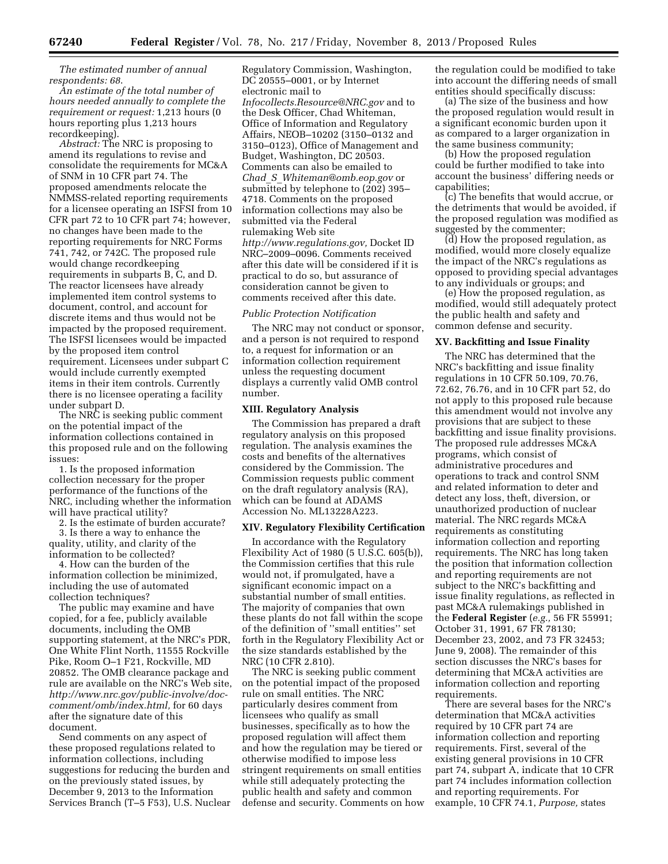*The estimated number of annual respondents: 68*.

*An estimate of the total number of hours needed annually to complete the requirement or request:* 1,213 hours (0 hours reporting plus 1,213 hours recordkeeping).

*Abstract:* The NRC is proposing to amend its regulations to revise and consolidate the requirements for MC&A of SNM in 10 CFR part 74. The proposed amendments relocate the NMMSS-related reporting requirements for a licensee operating an ISFSI from 10 CFR part 72 to 10 CFR part 74; however, no changes have been made to the reporting requirements for NRC Forms 741, 742, or 742C. The proposed rule would change recordkeeping requirements in subparts B, C, and D. The reactor licensees have already implemented item control systems to document, control, and account for discrete items and thus would not be impacted by the proposed requirement. The ISFSI licensees would be impacted by the proposed item control requirement. Licensees under subpart C would include currently exempted items in their item controls. Currently there is no licensee operating a facility under subpart D.

The NRC is seeking public comment on the potential impact of the information collections contained in this proposed rule and on the following issues:

1. Is the proposed information collection necessary for the proper performance of the functions of the NRC, including whether the information will have practical utility?

2. Is the estimate of burden accurate?

3. Is there a way to enhance the quality, utility, and clarity of the information to be collected?

4. How can the burden of the information collection be minimized, including the use of automated collection techniques?

The public may examine and have copied, for a fee, publicly available documents, including the OMB supporting statement, at the NRC's PDR, One White Flint North, 11555 Rockville Pike, Room O–1 F21, Rockville, MD 20852. The OMB clearance package and rule are available on the NRC's Web site, *[http://www.nrc.gov/public-involve/doc](http://www.nrc.gov/public-involve/doc-comment/omb/index.html)[comment/omb/index.html,](http://www.nrc.gov/public-involve/doc-comment/omb/index.html)* for 60 days after the signature date of this document.

Send comments on any aspect of these proposed regulations related to information collections, including suggestions for reducing the burden and on the previously stated issues, by December 9, 2013 to the Information Services Branch (T–5 F53), U.S. Nuclear

Regulatory Commission, Washington, DC 20555–0001, or by Internet electronic mail to *[Infocollects.Resource@NRC.gov](mailto:Infocollects.Resource@NRC.gov)* and to the Desk Officer, Chad Whiteman, Office of Information and Regulatory Affairs, NEOB–10202 (3150–0132 and 3150–0123), Office of Management and Budget, Washington, DC 20503. Comments can also be emailed to *Chad*\_*S*\_*[Whiteman@omb.eop.gov](mailto:Chad_S_Whiteman@omb.eop.gov)* or submitted by telephone to (202) 395– 4718. Comments on the proposed information collections may also be submitted via the Federal rulemaking Web site *[http://www.regulations.gov,](http://www.regulations.gov)* Docket ID NRC–2009–0096. Comments received after this date will be considered if it is practical to do so, but assurance of consideration cannot be given to comments received after this date.

### *Public Protection Notification*

The NRC may not conduct or sponsor, and a person is not required to respond to, a request for information or an information collection requirement unless the requesting document displays a currently valid OMB control number.

#### **XIII. Regulatory Analysis**

The Commission has prepared a draft regulatory analysis on this proposed regulation. The analysis examines the costs and benefits of the alternatives considered by the Commission. The Commission requests public comment on the draft regulatory analysis (RA), which can be found at ADAMS Accession No. ML13228A223.

### **XIV. Regulatory Flexibility Certification**

In accordance with the Regulatory Flexibility Act of 1980 (5 U.S.C. 605(b)), the Commission certifies that this rule would not, if promulgated, have a significant economic impact on a substantial number of small entities. The majority of companies that own these plants do not fall within the scope of the definition of ''small entities'' set forth in the Regulatory Flexibility Act or the size standards established by the NRC (10 CFR 2.810).

The NRC is seeking public comment on the potential impact of the proposed rule on small entities. The NRC particularly desires comment from licensees who qualify as small businesses, specifically as to how the proposed regulation will affect them and how the regulation may be tiered or otherwise modified to impose less stringent requirements on small entities while still adequately protecting the public health and safety and common defense and security. Comments on how the regulation could be modified to take into account the differing needs of small entities should specifically discuss:

(a) The size of the business and how the proposed regulation would result in a significant economic burden upon it as compared to a larger organization in the same business community;

(b) How the proposed regulation could be further modified to take into account the business' differing needs or capabilities;

(c) The benefits that would accrue, or the detriments that would be avoided, if the proposed regulation was modified as suggested by the commenter;

(d) How the proposed regulation, as modified, would more closely equalize the impact of the NRC's regulations as opposed to providing special advantages to any individuals or groups; and

(e) How the proposed regulation, as modified, would still adequately protect the public health and safety and common defense and security.

#### **XV. Backfitting and Issue Finality**

The NRC has determined that the NRC's backfitting and issue finality regulations in 10 CFR 50.109, 70.76, 72.62, 76.76, and in 10 CFR part 52, do not apply to this proposed rule because this amendment would not involve any provisions that are subject to these backfitting and issue finality provisions. The proposed rule addresses MC&A programs, which consist of administrative procedures and operations to track and control SNM and related information to deter and detect any loss, theft, diversion, or unauthorized production of nuclear material. The NRC regards MC&A requirements as constituting information collection and reporting requirements. The NRC has long taken the position that information collection and reporting requirements are not subject to the NRC's backfitting and issue finality regulations, as reflected in past MC&A rulemakings published in the **Federal Register** (*e.g.,* 56 FR 55991; October 31, 1991, 67 FR 78130; December 23, 2002, and 73 FR 32453; June 9, 2008). The remainder of this section discusses the NRC's bases for determining that MC&A activities are information collection and reporting requirements.

There are several bases for the NRC's determination that MC&A activities required by 10 CFR part 74 are information collection and reporting requirements. First, several of the existing general provisions in 10 CFR part 74, subpart A, indicate that 10 CFR part 74 includes information collection and reporting requirements. For example, 10 CFR 74.1, *Purpose,* states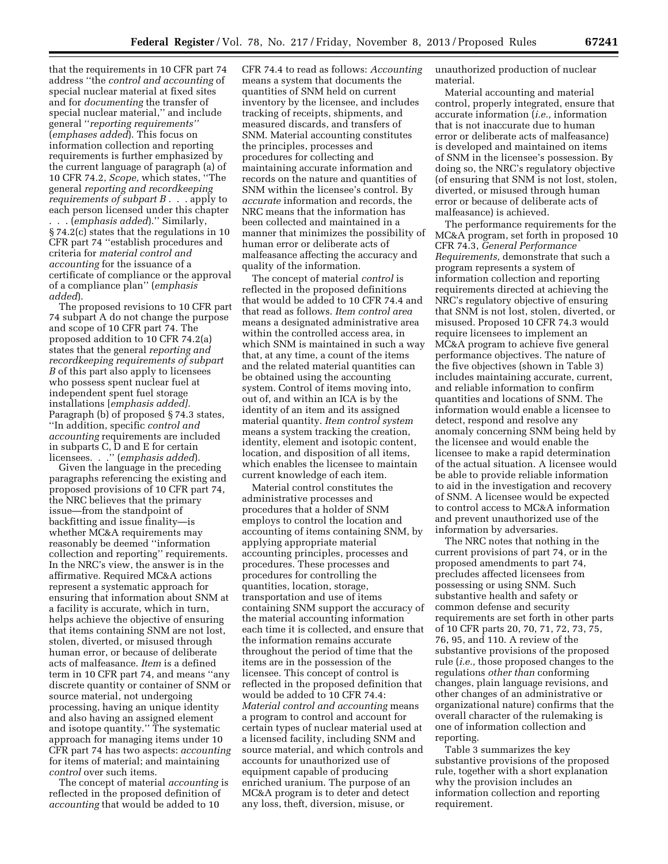that the requirements in 10 CFR part 74 address ''the *control and accounting* of special nuclear material at fixed sites and for *documenting* the transfer of special nuclear material,'' and include general ''*reporting requirements''*  (*emphases added*). This focus on information collection and reporting requirements is further emphasized by the current language of paragraph (a) of 10 CFR 74.2, *Scope,* which states, ''The general *reporting and recordkeeping requirements of subpart B* . . . apply to each person licensed under this chapter . . . (*emphasis added*).'' Similarly, § 74.2(c) states that the regulations in 10 CFR part 74 ''establish procedures and criteria for *material control and accounting* for the issuance of a certificate of compliance or the approval of a compliance plan'' (*emphasis added*).

The proposed revisions to 10 CFR part 74 subpart A do not change the purpose and scope of 10 CFR part 74. The proposed addition to 10 CFR 74.2(a) states that the general *reporting and recordkeeping requirements of subpart B* of this part also apply to licensees who possess spent nuclear fuel at independent spent fuel storage installations [*emphasis added].*  Paragraph (b) of proposed § 74.3 states, ''In addition, specific *control and accounting* requirements are included in subparts C, D and E for certain licensees. . .'' (*emphasis added*).

Given the language in the preceding paragraphs referencing the existing and proposed provisions of 10 CFR part 74, the NRC believes that the primary issue—from the standpoint of backfitting and issue finality—is whether MC&A requirements may reasonably be deemed ''information collection and reporting'' requirements. In the NRC's view, the answer is in the affirmative. Required MC&A actions represent a systematic approach for ensuring that information about SNM at a facility is accurate, which in turn, helps achieve the objective of ensuring that items containing SNM are not lost, stolen, diverted, or misused through human error, or because of deliberate acts of malfeasance. *Item* is a defined term in 10 CFR part 74, and means ''any discrete quantity or container of SNM or source material, not undergoing processing, having an unique identity and also having an assigned element and isotope quantity.'' The systematic approach for managing items under 10 CFR part 74 has two aspects: *accounting*  for items of material; and maintaining *control* over such items.

The concept of material *accounting* is reflected in the proposed definition of *accounting* that would be added to 10

CFR 74.4 to read as follows: *Accounting*  means a system that documents the quantities of SNM held on current inventory by the licensee, and includes tracking of receipts, shipments, and measured discards, and transfers of SNM. Material accounting constitutes the principles, processes and procedures for collecting and maintaining accurate information and records on the nature and quantities of SNM within the licensee's control. By *accurate* information and records, the NRC means that the information has been collected and maintained in a manner that minimizes the possibility of human error or deliberate acts of malfeasance affecting the accuracy and quality of the information.

The concept of material *control* is reflected in the proposed definitions that would be added to 10 CFR 74.4 and that read as follows. *Item control area*  means a designated administrative area within the controlled access area, in which SNM is maintained in such a way that, at any time, a count of the items and the related material quantities can be obtained using the accounting system. Control of items moving into, out of, and within an ICA is by the identity of an item and its assigned material quantity. *Item control system*  means a system tracking the creation, identity, element and isotopic content, location, and disposition of all items, which enables the licensee to maintain current knowledge of each item.

Material control constitutes the administrative processes and procedures that a holder of SNM employs to control the location and accounting of items containing SNM, by applying appropriate material accounting principles, processes and procedures. These processes and procedures for controlling the quantities, location, storage, transportation and use of items containing SNM support the accuracy of the material accounting information each time it is collected, and ensure that the information remains accurate throughout the period of time that the items are in the possession of the licensee. This concept of control is reflected in the proposed definition that would be added to 10 CFR 74.4: *Material control and accounting* means a program to control and account for certain types of nuclear material used at a licensed facility, including SNM and source material, and which controls and accounts for unauthorized use of equipment capable of producing enriched uranium. The purpose of an MC&A program is to deter and detect any loss, theft, diversion, misuse, or

unauthorized production of nuclear material.

Material accounting and material control, properly integrated, ensure that accurate information (*i.e.,* information that is not inaccurate due to human error or deliberate acts of malfeasance) is developed and maintained on items of SNM in the licensee's possession. By doing so, the NRC's regulatory objective (of ensuring that SNM is not lost, stolen, diverted, or misused through human error or because of deliberate acts of malfeasance) is achieved.

The performance requirements for the MC&A program, set forth in proposed 10 CFR 74.3, *General Performance Requirements,* demonstrate that such a program represents a system of information collection and reporting requirements directed at achieving the NRC's regulatory objective of ensuring that SNM is not lost, stolen, diverted, or misused. Proposed 10 CFR 74.3 would require licensees to implement an MC&A program to achieve five general performance objectives. The nature of the five objectives (shown in Table 3) includes maintaining accurate, current, and reliable information to confirm quantities and locations of SNM. The information would enable a licensee to detect, respond and resolve any anomaly concerning SNM being held by the licensee and would enable the licensee to make a rapid determination of the actual situation. A licensee would be able to provide reliable information to aid in the investigation and recovery of SNM. A licensee would be expected to control access to MC&A information and prevent unauthorized use of the information by adversaries.

The NRC notes that nothing in the current provisions of part 74, or in the proposed amendments to part 74, precludes affected licensees from possessing or using SNM. Such substantive health and safety or common defense and security requirements are set forth in other parts of 10 CFR parts 20, 70, 71, 72, 73, 75, 76, 95, and 110. A review of the substantive provisions of the proposed rule (*i.e.,* those proposed changes to the regulations *other than* conforming changes, plain language revisions, and other changes of an administrative or organizational nature) confirms that the overall character of the rulemaking is one of information collection and reporting.

Table 3 summarizes the key substantive provisions of the proposed rule, together with a short explanation why the provision includes an information collection and reporting requirement.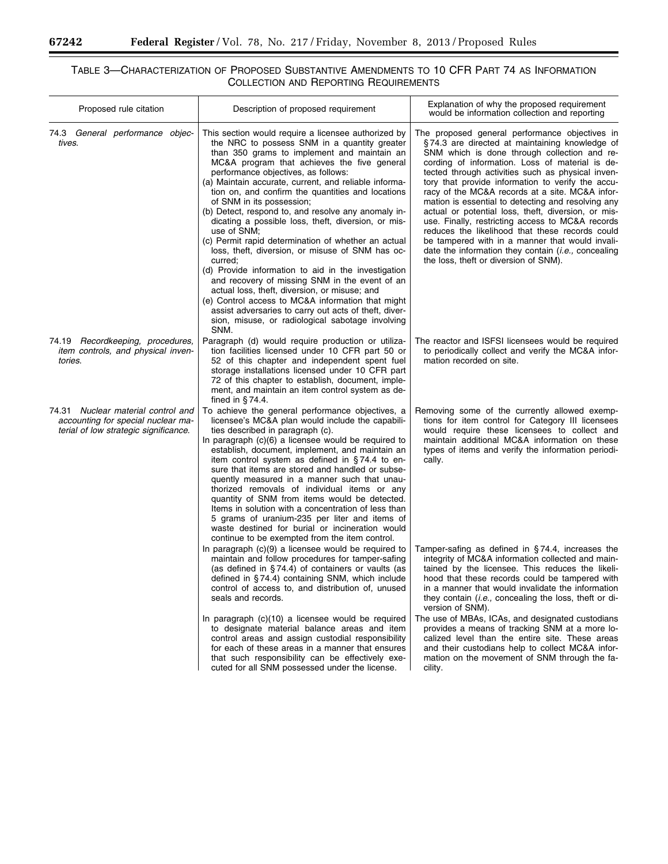۳

▀

# TABLE 3—CHARACTERIZATION OF PROPOSED SUBSTANTIVE AMENDMENTS TO 10 CFR PART 74 AS INFORMATION COLLECTION AND REPORTING REQUIREMENTS

| Proposed rule citation                                                                                            | Description of proposed requirement                                                                                                                                                                                                                                                                                                                                                                                                                                                                                                                                                                                                                                                                                                                                                                                                                                                                                                                                        | Explanation of why the proposed requirement<br>would be information collection and reporting                                                                                                                                                                                                                                                                                                                                                                                                                                                                                                                                                                                                                                                   |
|-------------------------------------------------------------------------------------------------------------------|----------------------------------------------------------------------------------------------------------------------------------------------------------------------------------------------------------------------------------------------------------------------------------------------------------------------------------------------------------------------------------------------------------------------------------------------------------------------------------------------------------------------------------------------------------------------------------------------------------------------------------------------------------------------------------------------------------------------------------------------------------------------------------------------------------------------------------------------------------------------------------------------------------------------------------------------------------------------------|------------------------------------------------------------------------------------------------------------------------------------------------------------------------------------------------------------------------------------------------------------------------------------------------------------------------------------------------------------------------------------------------------------------------------------------------------------------------------------------------------------------------------------------------------------------------------------------------------------------------------------------------------------------------------------------------------------------------------------------------|
| 74.3 General performance objec-<br>tives.                                                                         | This section would require a licensee authorized by<br>the NRC to possess SNM in a quantity greater<br>than 350 grams to implement and maintain an<br>MC&A program that achieves the five general<br>performance objectives, as follows:<br>(a) Maintain accurate, current, and reliable informa-<br>tion on, and confirm the quantities and locations<br>of SNM in its possession;<br>(b) Detect, respond to, and resolve any anomaly in-<br>dicating a possible loss, theft, diversion, or mis-<br>use of SNM;<br>(c) Permit rapid determination of whether an actual<br>loss, theft, diversion, or misuse of SNM has oc-<br>curred:<br>(d) Provide information to aid in the investigation<br>and recovery of missing SNM in the event of an<br>actual loss, theft, diversion, or misuse; and<br>(e) Control access to MC&A information that might<br>assist adversaries to carry out acts of theft, diver-<br>sion, misuse, or radiological sabotage involving<br>SNM. | The proposed general performance objectives in<br>§74.3 are directed at maintaining knowledge of<br>SNM which is done through collection and re-<br>cording of information. Loss of material is de-<br>tected through activities such as physical inven-<br>tory that provide information to verify the accu-<br>racy of the MC&A records at a site. MC&A infor-<br>mation is essential to detecting and resolving any<br>actual or potential loss, theft, diversion, or mis-<br>use. Finally, restricting access to MC&A records<br>reduces the likelihood that these records could<br>be tampered with in a manner that would invali-<br>date the information they contain <i>(i.e.,</i> concealing<br>the loss, theft or diversion of SNM). |
| 74.19 Recordkeeping, procedures,<br>item controls, and physical inven-<br>tories.                                 | Paragraph (d) would require production or utiliza-<br>tion facilities licensed under 10 CFR part 50 or<br>52 of this chapter and independent spent fuel<br>storage installations licensed under 10 CFR part<br>72 of this chapter to establish, document, imple-<br>ment, and maintain an item control system as de-<br>fined in $§$ 74.4.                                                                                                                                                                                                                                                                                                                                                                                                                                                                                                                                                                                                                                 | The reactor and ISFSI licensees would be required<br>to periodically collect and verify the MC&A infor-<br>mation recorded on site.                                                                                                                                                                                                                                                                                                                                                                                                                                                                                                                                                                                                            |
| 74.31 Nuclear material control and<br>accounting for special nuclear ma-<br>terial of low strategic significance. | To achieve the general performance objectives, a<br>licensee's MC&A plan would include the capabili-<br>ties described in paragraph (c).<br>In paragraph (c)(6) a licensee would be required to<br>establish, document, implement, and maintain an<br>item control system as defined in §74.4 to en-<br>sure that items are stored and handled or subse-<br>quently measured in a manner such that unau-<br>thorized removals of individual items or any<br>quantity of SNM from items would be detected.<br>Items in solution with a concentration of less than<br>5 grams of uranium-235 per liter and items of<br>waste destined for burial or incineration would<br>continue to be exempted from the item control.                                                                                                                                                                                                                                                     | Removing some of the currently allowed exemp-<br>tions for item control for Category III licensees<br>would require these licensees to collect and<br>maintain additional MC&A information on these<br>types of items and verify the information periodi-<br>cally.                                                                                                                                                                                                                                                                                                                                                                                                                                                                            |
|                                                                                                                   | In paragraph $(c)(9)$ a licensee would be required to<br>maintain and follow procedures for tamper-safing<br>(as defined in $\S 74.4$ ) of containers or vaults (as<br>defined in $\S$ 74.4) containing SNM, which include<br>control of access to, and distribution of, unused<br>seals and records.<br>In paragraph (c)(10) a licensee would be required                                                                                                                                                                                                                                                                                                                                                                                                                                                                                                                                                                                                                 | Tamper-safing as defined in $\S$ 74.4, increases the<br>integrity of MC&A information collected and main-<br>tained by the licensee. This reduces the likeli-<br>hood that these records could be tampered with<br>in a manner that would invalidate the information<br>they contain ( <i>i.e.</i> , concealing the loss, theft or di-<br>version of SNM).<br>The use of MBAs, ICAs, and designated custodians                                                                                                                                                                                                                                                                                                                                 |
|                                                                                                                   | to designate material balance areas and item<br>control areas and assign custodial responsibility<br>for each of these areas in a manner that ensures<br>that such responsibility can be effectively exe-<br>cuted for all SNM possessed under the license.                                                                                                                                                                                                                                                                                                                                                                                                                                                                                                                                                                                                                                                                                                                | provides a means of tracking SNM at a more lo-<br>calized level than the entire site. These areas<br>and their custodians help to collect MC&A infor-<br>mation on the movement of SNM through the fa-<br>cility.                                                                                                                                                                                                                                                                                                                                                                                                                                                                                                                              |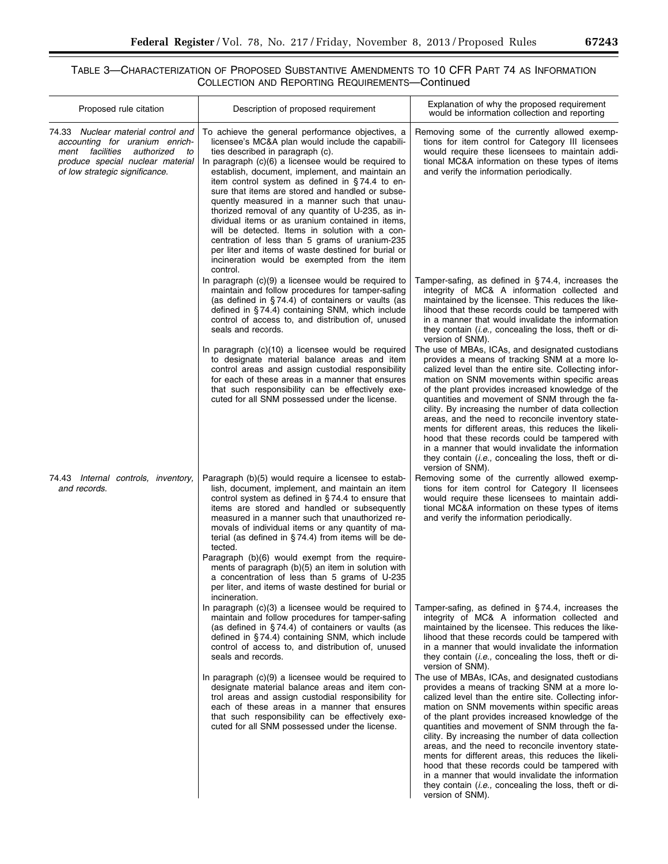$\equiv$ 

# TABLE 3—CHARACTERIZATION OF PROPOSED SUBSTANTIVE AMENDMENTS TO 10 CFR PART 74 AS INFORMATION COLLECTION AND REPORTING REQUIREMENTS—Continued

| Proposed rule citation                                                                                                                                                            | Description of proposed requirement                                                                                                                                                                                                                                                                                                                                                                                                                                                                                                                                                                                                                                                                                                         | Explanation of why the proposed requirement<br>would be information collection and reporting                                                                                                                                                                                                                                                                                                                                                                                                                                                                                                                                                                                     |
|-----------------------------------------------------------------------------------------------------------------------------------------------------------------------------------|---------------------------------------------------------------------------------------------------------------------------------------------------------------------------------------------------------------------------------------------------------------------------------------------------------------------------------------------------------------------------------------------------------------------------------------------------------------------------------------------------------------------------------------------------------------------------------------------------------------------------------------------------------------------------------------------------------------------------------------------|----------------------------------------------------------------------------------------------------------------------------------------------------------------------------------------------------------------------------------------------------------------------------------------------------------------------------------------------------------------------------------------------------------------------------------------------------------------------------------------------------------------------------------------------------------------------------------------------------------------------------------------------------------------------------------|
| 74.33 Nuclear material control and<br>accounting for uranium enrich-<br>ment facilities<br>authorized<br>to<br>produce special nuclear material<br>of low strategic significance. | To achieve the general performance objectives, a<br>licensee's MC&A plan would include the capabili-<br>ties described in paragraph (c).<br>In paragraph $(c)(6)$ a licensee would be required to<br>establish, document, implement, and maintain an<br>item control system as defined in §74.4 to en-<br>sure that items are stored and handled or subse-<br>quently measured in a manner such that unau-<br>thorized removal of any quantity of U-235, as in-<br>dividual items or as uranium contained in items,<br>will be detected. Items in solution with a con-<br>centration of less than 5 grams of uranium-235<br>per liter and items of waste destined for burial or<br>incineration would be exempted from the item<br>control. | Removing some of the currently allowed exemp-<br>tions for item control for Category III licensees<br>would require these licensees to maintain addi-<br>tional MC&A information on these types of items<br>and verify the information periodically.                                                                                                                                                                                                                                                                                                                                                                                                                             |
|                                                                                                                                                                                   | In paragraph $(c)(9)$ a licensee would be required to<br>maintain and follow procedures for tamper-safing<br>(as defined in §74.4) of containers or vaults (as<br>defined in §74.4) containing SNM, which include<br>control of access to, and distribution of, unused<br>seals and records.                                                                                                                                                                                                                                                                                                                                                                                                                                                | Tamper-safing, as defined in $\S$ 74.4, increases the<br>integrity of MC& A information collected and<br>maintained by the licensee. This reduces the like-<br>lihood that these records could be tampered with<br>in a manner that would invalidate the information<br>they contain ( <i>i.e.</i> , concealing the loss, theft or di-<br>version of SNM).                                                                                                                                                                                                                                                                                                                       |
|                                                                                                                                                                                   | In paragraph (c)(10) a licensee would be required<br>to designate material balance areas and item<br>control areas and assign custodial responsibility<br>for each of these areas in a manner that ensures<br>that such responsibility can be effectively exe-<br>cuted for all SNM possessed under the license.                                                                                                                                                                                                                                                                                                                                                                                                                            | The use of MBAs, ICAs, and designated custodians<br>provides a means of tracking SNM at a more lo-<br>calized level than the entire site. Collecting infor-<br>mation on SNM movements within specific areas<br>of the plant provides increased knowledge of the<br>quantities and movement of SNM through the fa-<br>cility. By increasing the number of data collection<br>areas, and the need to reconcile inventory state-<br>ments for different areas, this reduces the likeli-<br>hood that these records could be tampered with<br>in a manner that would invalidate the information<br>they contain <i>(i.e.,</i> concealing the loss, theft or di-<br>version of SNM). |
| 74.43 Internal controls, inventory,<br>and records.                                                                                                                               | Paragraph (b)(5) would require a licensee to estab-<br>lish, document, implement, and maintain an item<br>control system as defined in $\S$ 74.4 to ensure that<br>items are stored and handled or subsequently<br>measured in a manner such that unauthorized re-<br>movals of individual items or any quantity of ma-<br>terial (as defined in §74.4) from items will be de-<br>tected.<br>Paragraph (b)(6) would exempt from the require-                                                                                                                                                                                                                                                                                                | Removing some of the currently allowed exemp-<br>tions for item control for Category II licensees<br>would require these licensees to maintain addi-<br>tional MC&A information on these types of items<br>and verify the information periodically.                                                                                                                                                                                                                                                                                                                                                                                                                              |
|                                                                                                                                                                                   | ments of paragraph (b)(5) an item in solution with<br>a concentration of less than 5 grams of U-235<br>per liter, and items of waste destined for burial or<br>incineration.                                                                                                                                                                                                                                                                                                                                                                                                                                                                                                                                                                |                                                                                                                                                                                                                                                                                                                                                                                                                                                                                                                                                                                                                                                                                  |
|                                                                                                                                                                                   | In paragraph (c)(3) a licensee would be required to<br>maintain and follow procedures for tamper-safing<br>(as defined in $\S$ 74.4) of containers or vaults (as<br>defined in §74.4) containing SNM, which include<br>control of access to, and distribution of, unused<br>seals and records.<br>In paragraph $(c)(9)$ a licensee would be required to                                                                                                                                                                                                                                                                                                                                                                                     | Tamper-safing, as defined in $\S$ 74.4, increases the<br>integrity of MC& A information collected and<br>maintained by the licensee. This reduces the like-<br>lihood that these records could be tampered with<br>in a manner that would invalidate the information<br>they contain ( <i>i.e.</i> , concealing the loss, theft or di-<br>version of SNM).<br>The use of MBAs, ICAs, and designated custodians                                                                                                                                                                                                                                                                   |
|                                                                                                                                                                                   | designate material balance areas and item con-<br>trol areas and assign custodial responsibility for<br>each of these areas in a manner that ensures<br>that such responsibility can be effectively exe-<br>cuted for all SNM possessed under the license.                                                                                                                                                                                                                                                                                                                                                                                                                                                                                  | provides a means of tracking SNM at a more lo-<br>calized level than the entire site. Collecting infor-<br>mation on SNM movements within specific areas<br>of the plant provides increased knowledge of the<br>quantities and movement of SNM through the fa-<br>cility. By increasing the number of data collection<br>areas, and the need to reconcile inventory state-<br>ments for different areas, this reduces the likeli-<br>hood that these records could be tampered with<br>in a manner that would invalidate the information<br>they contain <i>(i.e.,</i> concealing the loss, theft or di-<br>version of SNM).                                                     |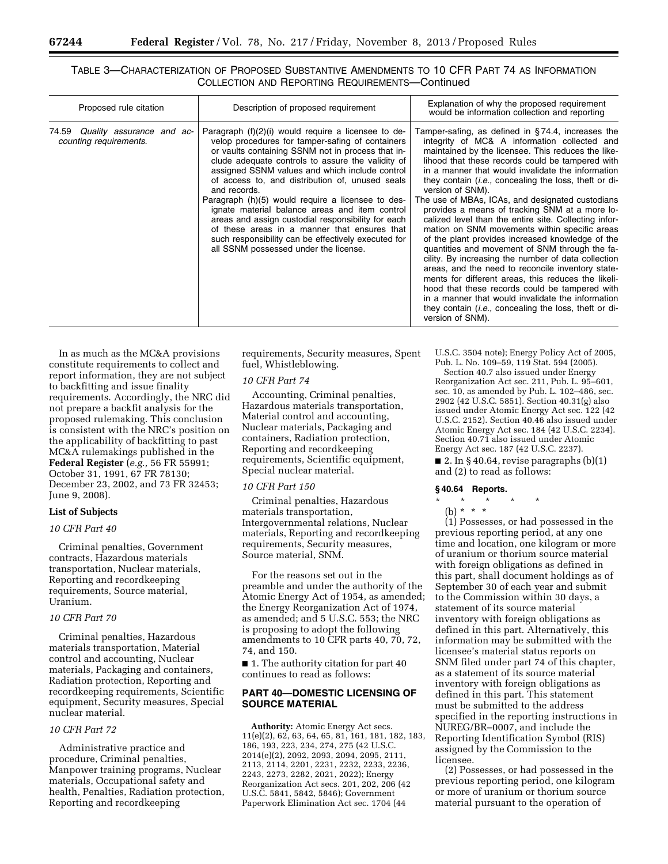# TABLE 3—CHARACTERIZATION OF PROPOSED SUBSTANTIVE AMENDMENTS TO 10 CFR PART 74 AS INFORMATION COLLECTION AND REPORTING REQUIREMENTS—Continued

| Proposed rule citation                                    | Description of proposed requirement                                                                                                                                                                                                                                                                                                                                                                                                                                                                                                                                                                                                                   | Explanation of why the proposed requirement<br>would be information collection and reporting                                                                                                                                                                                                                                                                                                                                                                                                                                                                                                                                                                                                                                                                                                                                                                                                                                                                                                                                             |
|-----------------------------------------------------------|-------------------------------------------------------------------------------------------------------------------------------------------------------------------------------------------------------------------------------------------------------------------------------------------------------------------------------------------------------------------------------------------------------------------------------------------------------------------------------------------------------------------------------------------------------------------------------------------------------------------------------------------------------|------------------------------------------------------------------------------------------------------------------------------------------------------------------------------------------------------------------------------------------------------------------------------------------------------------------------------------------------------------------------------------------------------------------------------------------------------------------------------------------------------------------------------------------------------------------------------------------------------------------------------------------------------------------------------------------------------------------------------------------------------------------------------------------------------------------------------------------------------------------------------------------------------------------------------------------------------------------------------------------------------------------------------------------|
| 74.59 Quality assurance and ac-<br>counting requirements. | Paragraph $(f)(2)(i)$ would require a licensee to de-<br>velop procedures for tamper-safing of containers<br>or vaults containing SSNM not in process that in-<br>clude adequate controls to assure the validity of<br>assigned SSNM values and which include control<br>of access to, and distribution of, unused seals<br>and records.<br>Paragraph (h)(5) would require a licensee to des-<br>ignate material balance areas and item control<br>areas and assign custodial responsibility for each<br>of these areas in a manner that ensures that<br>such responsibility can be effectively executed for<br>all SSNM possessed under the license. | Famper-safing, as defined in §74.4, increases the<br>integrity of MC& A information collected and<br>maintained by the licensee. This reduces the like-<br>lihood that these records could be tampered with<br>in a manner that would invalidate the information<br>they contain <i>(i.e.,</i> concealing the loss, theft or di-<br>version of SNM).<br>The use of MBAs, ICAs, and designated custodians<br>provides a means of tracking SNM at a more lo-<br>calized level than the entire site. Collecting infor-<br>mation on SNM movements within specific areas<br>of the plant provides increased knowledge of the<br>quantities and movement of SNM through the fa-<br>cility. By increasing the number of data collection<br>areas, and the need to reconcile inventory state-<br>ments for different areas, this reduces the likeli-<br>hood that these records could be tampered with<br>in a manner that would invalidate the information<br>they contain <i>(i.e.,</i> concealing the loss, theft or di-<br>version of SNM). |

In as much as the MC&A provisions constitute requirements to collect and report information, they are not subject to backfitting and issue finality requirements. Accordingly, the NRC did not prepare a backfit analysis for the proposed rulemaking. This conclusion is consistent with the NRC's position on the applicability of backfitting to past MC&A rulemakings published in the **Federal Register** (*e.g.,* 56 FR 55991; October 31, 1991, 67 FR 78130; December 23, 2002, and 73 FR 32453; June 9, 2008).

# **List of Subjects**

# *10 CFR Part 40*

Criminal penalties, Government contracts, Hazardous materials transportation, Nuclear materials, Reporting and recordkeeping requirements, Source material, Uranium.

# *10 CFR Part 70*

Criminal penalties, Hazardous materials transportation, Material control and accounting, Nuclear materials, Packaging and containers, Radiation protection, Reporting and recordkeeping requirements, Scientific equipment, Security measures, Special nuclear material.

### *10 CFR Part 72*

Administrative practice and procedure, Criminal penalties, Manpower training programs, Nuclear materials, Occupational safety and health, Penalties, Radiation protection, Reporting and recordkeeping

requirements, Security measures, Spent fuel, Whistleblowing.

#### *10 CFR Part 74*

Accounting, Criminal penalties, Hazardous materials transportation, Material control and accounting, Nuclear materials, Packaging and containers, Radiation protection, Reporting and recordkeeping requirements, Scientific equipment, Special nuclear material.

#### *10 CFR Part 150*

Criminal penalties, Hazardous materials transportation, Intergovernmental relations, Nuclear materials, Reporting and recordkeeping requirements, Security measures, Source material, SNM.

For the reasons set out in the preamble and under the authority of the Atomic Energy Act of 1954, as amended; the Energy Reorganization Act of 1974, as amended; and 5 U.S.C. 553; the NRC is proposing to adopt the following amendments to 10 CFR parts 40, 70, 72, 74, and 150.

■ 1. The authority citation for part 40 continues to read as follows:

# **PART 40—DOMESTIC LICENSING OF SOURCE MATERIAL**

**Authority:** Atomic Energy Act secs. 11(e)(2), 62, 63, 64, 65, 81, 161, 181, 182, 183, 186, 193, 223, 234, 274, 275 (42 U.S.C. 2014(e)(2), 2092, 2093, 2094, 2095, 2111, 2113, 2114, 2201, 2231, 2232, 2233, 2236, 2243, 2273, 2282, 2021, 2022); Energy Reorganization Act secs. 201, 202, 206 (42 U.S.C. 5841, 5842, 5846); Government Paperwork Elimination Act sec. 1704 (44

U.S.C. 3504 note); Energy Policy Act of 2005, Pub. L. No. 109–59, 119 Stat. 594 (2005). Section 40.7 also issued under Energy Reorganization Act sec. 211, Pub. L. 95–601, sec. 10, as amended by Pub. L. 102-486, sec. 2902 (42 U.S.C. 5851). Section 40.31(g) also issued under Atomic Energy Act sec. 122 (42 U.S.C. 2152). Section 40.46 also issued under Atomic Energy Act sec. 184 (42 U.S.C. 2234). Section 40.71 also issued under Atomic Energy Act sec. 187 (42 U.S.C. 2237).

■ 2. In § 40.64, revise paragraphs  $(b)(1)$ and (2) to read as follows:

#### **§ 40.64 Reports.**

- \* \* \* \* \*
- (b) \* \* \*

(1) Possesses, or had possessed in the previous reporting period, at any one time and location, one kilogram or more of uranium or thorium source material with foreign obligations as defined in this part, shall document holdings as of September 30 of each year and submit to the Commission within 30 days, a statement of its source material inventory with foreign obligations as defined in this part. Alternatively, this information may be submitted with the licensee's material status reports on SNM filed under part 74 of this chapter, as a statement of its source material inventory with foreign obligations as defined in this part. This statement must be submitted to the address specified in the reporting instructions in NUREG/BR–0007, and include the Reporting Identification Symbol (RIS) assigned by the Commission to the licensee.

(2) Possesses, or had possessed in the previous reporting period, one kilogram or more of uranium or thorium source material pursuant to the operation of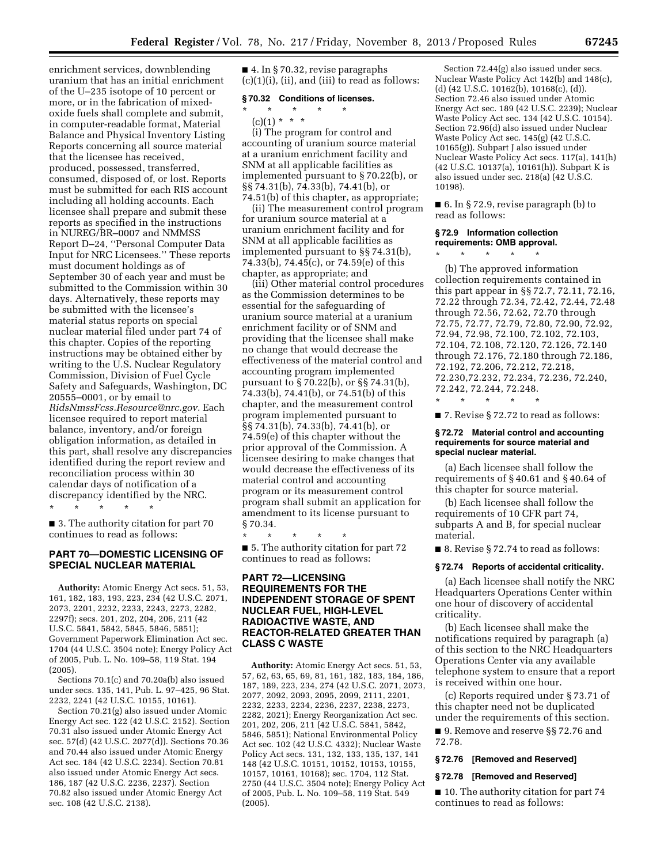enrichment services, downblending uranium that has an initial enrichment of the U–235 isotope of 10 percent or more, or in the fabrication of mixedoxide fuels shall complete and submit, in computer-readable format, Material Balance and Physical Inventory Listing Reports concerning all source material that the licensee has received, produced, possessed, transferred, consumed, disposed of, or lost. Reports must be submitted for each RIS account including all holding accounts. Each licensee shall prepare and submit these reports as specified in the instructions in NUREG/BR–0007 and NMMSS Report D–24, ''Personal Computer Data Input for NRC Licensees.'' These reports must document holdings as of September 30 of each year and must be submitted to the Commission within 30 days. Alternatively, these reports may be submitted with the licensee's material status reports on special nuclear material filed under part 74 of this chapter. Copies of the reporting instructions may be obtained either by writing to the U.S. Nuclear Regulatory Commission, Division of Fuel Cycle Safety and Safeguards, Washington, DC 20555–0001, or by email to *[RidsNmssFcss.Resource@nrc.gov.](mailto:RidsNmssFcss.Resource@nrc.gov)* Each licensee required to report material balance, inventory, and/or foreign obligation information, as detailed in this part, shall resolve any discrepancies identified during the report review and reconciliation process within 30 calendar days of notification of a discrepancy identified by the NRC.

\* \* \* \* \*

■ 3. The authority citation for part 70 continues to read as follows:

#### **PART 70—DOMESTIC LICENSING OF SPECIAL NUCLEAR MATERIAL**

**Authority:** Atomic Energy Act secs. 51, 53, 161, 182, 183, 193, 223, 234 (42 U.S.C. 2071, 2073, 2201, 2232, 2233, 2243, 2273, 2282, 2297f); secs. 201, 202, 204, 206, 211 (42 U.S.C. 5841, 5842, 5845, 5846, 5851); Government Paperwork Elimination Act sec. 1704 (44 U.S.C. 3504 note); Energy Policy Act of 2005, Pub. L. No. 109–58, 119 Stat. 194 (2005).

Sections 70.1(c) and 70.20a(b) also issued under secs. 135, 141, Pub. L. 97–425, 96 Stat. 2232, 2241 (42 U.S.C. 10155, 10161).

Section 70.21(g) also issued under Atomic Energy Act sec. 122 (42 U.S.C. 2152). Section 70.31 also issued under Atomic Energy Act sec. 57(d) (42 U.S.C. 2077(d)). Sections 70.36 and 70.44 also issued under Atomic Energy Act sec. 184 (42 U.S.C. 2234). Section 70.81 also issued under Atomic Energy Act secs. 186, 187 (42 U.S.C. 2236, 2237). Section 70.82 also issued under Atomic Energy Act sec. 108 (42 U.S.C. 2138).

■ 4. In § 70.32, revise paragraphs  $(c)(1)(i)$ ,  $(ii)$ , and  $(iii)$  to read as follows:

#### **§ 70.32 Conditions of licenses.**

\* \* \* \* \*

 $(c)(1) * * * *$ 

(i) The program for control and accounting of uranium source material at a uranium enrichment facility and SNM at all applicable facilities as implemented pursuant to § 70.22(b), or §§ 74.31(b), 74.33(b), 74.41(b), or 74.51(b) of this chapter, as appropriate;

(ii) The measurement control program for uranium source material at a uranium enrichment facility and for SNM at all applicable facilities as implemented pursuant to §§ 74.31(b), 74.33(b), 74.45(c), or 74.59(e) of this chapter, as appropriate; and

(iii) Other material control procedures as the Commission determines to be essential for the safeguarding of uranium source material at a uranium enrichment facility or of SNM and providing that the licensee shall make no change that would decrease the effectiveness of the material control and accounting program implemented pursuant to § 70.22(b), or §§ 74.31(b), 74.33(b), 74.41(b), or 74.51(b) of this chapter, and the measurement control program implemented pursuant to §§ 74.31(b), 74.33(b), 74.41(b), or 74.59(e) of this chapter without the prior approval of the Commission. A licensee desiring to make changes that would decrease the effectiveness of its material control and accounting program or its measurement control program shall submit an application for amendment to its license pursuant to § 70.34.

\* \* \* \* \*

■ 5. The authority citation for part 72 continues to read as follows:

# **PART 72—LICENSING REQUIREMENTS FOR THE INDEPENDENT STORAGE OF SPENT NUCLEAR FUEL, HIGH-LEVEL RADIOACTIVE WASTE, AND REACTOR-RELATED GREATER THAN CLASS C WASTE**

**Authority:** Atomic Energy Act secs. 51, 53, 57, 62, 63, 65, 69, 81, 161, 182, 183, 184, 186, 187, 189, 223, 234, 274 (42 U.S.C. 2071, 2073, 2077, 2092, 2093, 2095, 2099, 2111, 2201, 2232, 2233, 2234, 2236, 2237, 2238, 2273, 2282, 2021); Energy Reorganization Act sec. 201, 202, 206, 211 (42 U.S.C. 5841, 5842, 5846, 5851); National Environmental Policy Act sec. 102 (42 U.S.C. 4332); Nuclear Waste Policy Act secs. 131, 132, 133, 135, 137, 141 148 (42 U.S.C. 10151, 10152, 10153, 10155, 10157, 10161, 10168); sec. 1704, 112 Stat. 2750 (44 U.S.C. 3504 note); Energy Policy Act of 2005, Pub. L. No. 109–58, 119 Stat. 549 (2005).

Section 72.44(g) also issued under secs. Nuclear Waste Policy Act 142(b) and 148(c), (d) (42 U.S.C. 10162(b), 10168(c), (d)). Section 72.46 also issued under Atomic Energy Act sec. 189 (42 U.S.C. 2239); Nuclear Waste Policy Act sec. 134 (42 U.S.C. 10154). Section 72.96(d) also issued under Nuclear Waste Policy Act sec. 145(g) (42 U.S.C. 10165(g)). Subpart J also issued under Nuclear Waste Policy Act secs. 117(a), 141(h) (42 U.S.C. 10137(a), 10161(h)). Subpart K is also issued under sec. 218(a) (42 U.S.C. 10198).

■ 6. In § 72.9, revise paragraph (b) to read as follows:

# **§ 72.9 Information collection requirements: OMB approval.**

\* \* \* \* \*

(b) The approved information collection requirements contained in this part appear in §§ 72.7, 72.11, 72.16, 72.22 through 72.34, 72.42, 72.44, 72.48 through 72.56, 72.62, 72.70 through 72.75, 72.77, 72.79, 72.80, 72.90, 72.92, 72.94, 72.98, 72.100, 72.102, 72.103, 72.104, 72.108, 72.120, 72.126, 72.140 through 72.176, 72.180 through 72.186, 72.192, 72.206, 72.212, 72.218, 72.230,72.232, 72.234, 72.236, 72.240, 72.242, 72.244, 72.248.

\* \* \* \* \*

■ 7. Revise § 72.72 to read as follows:

#### **§ 72.72 Material control and accounting requirements for source material and special nuclear material.**

(a) Each licensee shall follow the requirements of § 40.61 and § 40.64 of this chapter for source material.

(b) Each licensee shall follow the requirements of 10 CFR part 74, subparts A and B, for special nuclear material.

■ 8. Revise § 72.74 to read as follows:

#### **§ 72.74 Reports of accidental criticality.**

(a) Each licensee shall notify the NRC Headquarters Operations Center within one hour of discovery of accidental criticality.

(b) Each licensee shall make the notifications required by paragraph (a) of this section to the NRC Headquarters Operations Center via any available telephone system to ensure that a report is received within one hour.

(c) Reports required under § 73.71 of this chapter need not be duplicated under the requirements of this section.

■ 9. Remove and reserve §§ 72.76 and 72.78.

#### **§ 72.76 [Removed and Reserved]**

#### **§ 72.78 [Removed and Reserved]**

■ 10. The authority citation for part 74 continues to read as follows: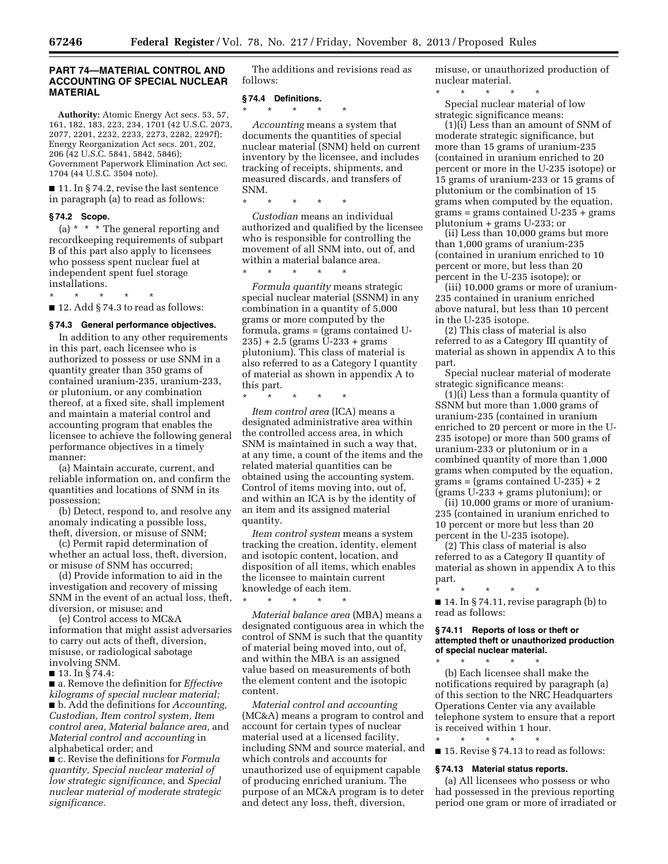# **PART 74—MATERIAL CONTROL AND ACCOUNTING OF SPECIAL NUCLEAR MATERIAL**

**Authority:** Atomic Energy Act secs. 53, 57, 161, 182, 183, 223, 234, 1701 (42 U.S.C. 2073, 2077, 2201, 2232, 2233, 2273, 2282, 2297f); Energy Reorganization Act secs. 201, 202, 206 (42 U.S.C. 5841, 5842, 5846); Government Paperwork Elimination Act sec. 1704 (44 U.S.C. 3504 note).

■ 11. In § 74.2, revise the last sentence in paragraph (a) to read as follows:

#### **§ 74.2 Scope.**

(a) \* \* \* The general reporting and recordkeeping requirements of subpart B of this part also apply to licensees who possess spent nuclear fuel at independent spent fuel storage installations.

\* \* \* \* \*

 $\blacksquare$  12. Add § 74.3 to read as follows:

# **§ 74.3 General performance objectives.**

In addition to any other requirements in this part, each licensee who is authorized to possess or use SNM in a quantity greater than 350 grams of contained uranium-235, uranium-233, or plutonium, or any combination thereof, at a fixed site, shall implement and maintain a material control and accounting program that enables the licensee to achieve the following general performance objectives in a timely manner:

(a) Maintain accurate, current, and reliable information on, and confirm the quantities and locations of SNM in its possession;

(b) Detect, respond to, and resolve any anomaly indicating a possible loss, theft, diversion, or misuse of SNM;

(c) Permit rapid determination of whether an actual loss, theft, diversion, or misuse of SNM has occurred;

(d) Provide information to aid in the investigation and recovery of missing SNM in the event of an actual loss, theft, diversion, or misuse; and

(e) Control access to MC&A information that might assist adversaries to carry out acts of theft, diversion, misuse, or radiological sabotage involving SNM.

■ 13. In § 74.4:

■ a. Remove the definition for *Effective kilograms of special nuclear material;*  ■ b. Add the definitions for *Accounting, Custodian, Item control system, Item control area, Material balance area,* and *Material control and accounting* in alphabetical order; and

■ c. Revise the definitions for *Formula quantity, Special nuclear material of low strategic significance,* and *Special nuclear material of moderate strategic significance.* 

The additions and revisions read as follows:

# **§ 74.4 Definitions.**

\* \* \* \* \*

*Accounting* means a system that documents the quantities of special nuclear material (SNM) held on current inventory by the licensee, and includes tracking of receipts, shipments, and measured discards, and transfers of SNM.

\* \* \* \* \*

\* \* \* \* \*

*Custodian* means an individual authorized and qualified by the licensee who is responsible for controlling the movement of all SNM into, out of, and within a material balance area.

*Formula quantity* means strategic special nuclear material (SSNM) in any combination in a quantity of 5,000 grams or more computed by the  $formula, grams = (grams contained U-$ 235) + 2.5 (grams U-233 + grams plutonium). This class of material is also referred to as a Category I quantity of material as shown in appendix A to this part.

\* \* \* \* \*

*Item control area* (ICA) means a designated administrative area within the controlled access area, in which SNM is maintained in such a way that, at any time, a count of the items and the related material quantities can be obtained using the accounting system. Control of items moving into, out of, and within an ICA is by the identity of an item and its assigned material quantity.

*Item control system* means a system tracking the creation, identity, element and isotopic content, location, and disposition of all items, which enables the licensee to maintain current knowledge of each item.

\* \* \* \* \*

*Material balance area* (MBA) means a designated contiguous area in which the control of SNM is such that the quantity of material being moved into, out of, and within the MBA is an assigned value based on measurements of both the element content and the isotopic content.

*Material control and accounting*  (MC&A) means a program to control and account for certain types of nuclear material used at a licensed facility, including SNM and source material, and which controls and accounts for unauthorized use of equipment capable of producing enriched uranium. The purpose of an MC&A program is to deter and detect any loss, theft, diversion,

misuse, or unauthorized production of nuclear material.

\* \* \* \* \* Special nuclear material of low strategic significance means:

(1)(i) Less than an amount of SNM of moderate strategic significance, but more than 15 grams of uranium-235 (contained in uranium enriched to 20 percent or more in the U-235 isotope) or 15 grams of uranium-233 or 15 grams of plutonium or the combination of 15 grams when computed by the equation, grams = grams contained U-235 + grams plutonium + grams U-233; or

(ii) Less than 10,000 grams but more than 1,000 grams of uranium-235 (contained in uranium enriched to 10 percent or more, but less than 20 percent in the U-235 isotope); or

(iii) 10,000 grams or more of uranium-235 contained in uranium enriched above natural, but less than 10 percent in the U-235 isotope.

(2) This class of material is also referred to as a Category III quantity of material as shown in appendix A to this part.

Special nuclear material of moderate strategic significance means:

 $(1)(i)$  Less than a formula quantity of SSNM but more than 1,000 grams of uranium-235 (contained in uranium enriched to 20 percent or more in the U-235 isotope) or more than 500 grams of uranium-233 or plutonium or in a combined quantity of more than 1,000 grams when computed by the equation,  $grams = (grams contained U-235) + 2$ (grams U-233 + grams plutonium); or

(ii) 10,000 grams or more of uranium-235 (contained in uranium enriched to 10 percent or more but less than 20 percent in the U-235 isotope).

(2) This class of material is also referred to as a Category II quantity of material as shown in appendix A to this part.

\* \* \* \* \* ■ 14. In § 74.11, revise paragraph (b) to read as follows:

#### **§ 74.11 Reports of loss or theft or attempted theft or unauthorized production of special nuclear material.**

\* \* \* \* \* (b) Each licensee shall make the notifications required by paragraph (a) of this section to the NRC Headquarters Operations Center via any available telephone system to ensure that a report is received within 1 hour. \* \* \* \* \*

■ 15. Revise § 74.13 to read as follows:

### **§ 74.13 Material status reports.**

(a) All licensees who possess or who had possessed in the previous reporting period one gram or more of irradiated or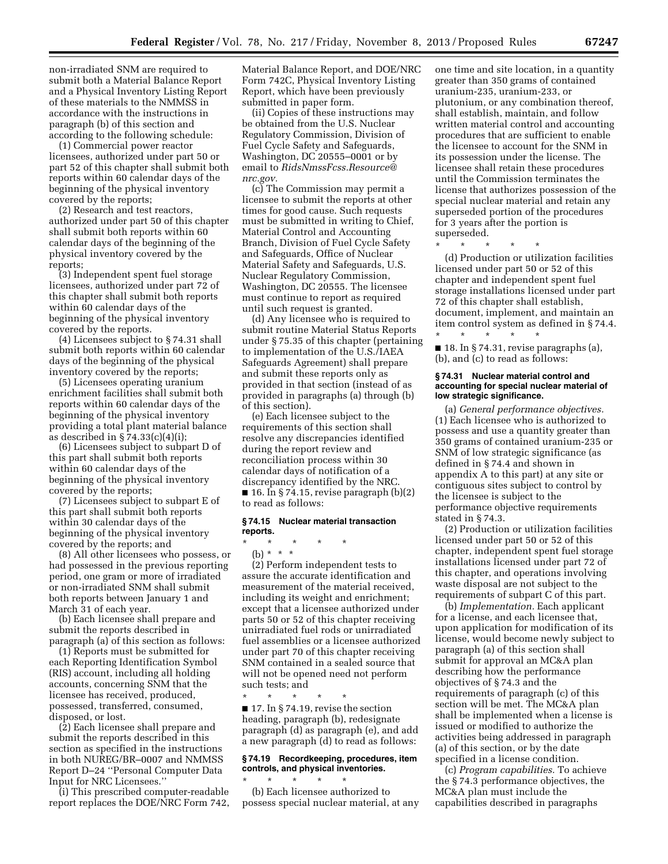non-irradiated SNM are required to submit both a Material Balance Report and a Physical Inventory Listing Report of these materials to the NMMSS in accordance with the instructions in paragraph (b) of this section and according to the following schedule:

(1) Commercial power reactor licensees, authorized under part 50 or part 52 of this chapter shall submit both reports within 60 calendar days of the beginning of the physical inventory covered by the reports;

(2) Research and test reactors, authorized under part 50 of this chapter shall submit both reports within 60 calendar days of the beginning of the physical inventory covered by the reports;

(3) Independent spent fuel storage licensees, authorized under part 72 of this chapter shall submit both reports within 60 calendar days of the beginning of the physical inventory covered by the reports.

(4) Licensees subject to § 74.31 shall submit both reports within 60 calendar days of the beginning of the physical inventory covered by the reports;

(5) Licensees operating uranium enrichment facilities shall submit both reports within 60 calendar days of the beginning of the physical inventory providing a total plant material balance as described in  $\S 74.33(c)(4)(i);$ 

(6) Licensees subject to subpart D of this part shall submit both reports within 60 calendar days of the beginning of the physical inventory covered by the reports;

(7) Licensees subject to subpart E of this part shall submit both reports within 30 calendar days of the beginning of the physical inventory covered by the reports; and

(8) All other licensees who possess, or had possessed in the previous reporting period, one gram or more of irradiated or non-irradiated SNM shall submit both reports between January 1 and March 31 of each year.

(b) Each licensee shall prepare and submit the reports described in paragraph (a) of this section as follows:

(1) Reports must be submitted for each Reporting Identification Symbol (RIS) account, including all holding accounts, concerning SNM that the licensee has received, produced, possessed, transferred, consumed, disposed, or lost.

(2) Each licensee shall prepare and submit the reports described in this section as specified in the instructions in both NUREG/BR–0007 and NMMSS Report D–24 ''Personal Computer Data Input for NRC Licensees.''

(i) This prescribed computer-readable report replaces the DOE/NRC Form 742, Material Balance Report, and DOE/NRC Form 742C, Physical Inventory Listing Report, which have been previously submitted in paper form.

(ii) Copies of these instructions may be obtained from the U.S. Nuclear Regulatory Commission, Division of Fuel Cycle Safety and Safeguards, Washington, DC 20555–0001 or by email to *[RidsNmssFcss.Resource@](mailto:RidsNmssFcss.Resource@nrc.gov) [nrc.gov.](mailto:RidsNmssFcss.Resource@nrc.gov)* 

(c) The Commission may permit a licensee to submit the reports at other times for good cause. Such requests must be submitted in writing to Chief, Material Control and Accounting Branch, Division of Fuel Cycle Safety and Safeguards, Office of Nuclear Material Safety and Safeguards, U.S. Nuclear Regulatory Commission, Washington, DC 20555. The licensee must continue to report as required until such request is granted.

(d) Any licensee who is required to submit routine Material Status Reports under § 75.35 of this chapter (pertaining to implementation of the U.S./IAEA Safeguards Agreement) shall prepare and submit these reports only as provided in that section (instead of as provided in paragraphs (a) through (b) of this section).

(e) Each licensee subject to the requirements of this section shall resolve any discrepancies identified during the report review and reconciliation process within 30 calendar days of notification of a discrepancy identified by the NRC.  $\blacksquare$  16. In § 74.15, revise paragraph (b)(2) to read as follows:

# **§ 74.15 Nuclear material transaction reports.**

\* \* \* \* \*

(b) \* \* \* (2) Perform independent tests to assure the accurate identification and measurement of the material received, including its weight and enrichment; except that a licensee authorized under parts 50 or 52 of this chapter receiving unirradiated fuel rods or unirradiated fuel assemblies or a licensee authorized under part 70 of this chapter receiving SNM contained in a sealed source that will not be opened need not perform such tests; and

\* \* \* \* \*  $\blacksquare$  17. In § 74.19, revise the section heading, paragraph (b), redesignate paragraph (d) as paragraph (e), and add a new paragraph (d) to read as follows:

# **§ 74.19 Recordkeeping, procedures, item controls, and physical inventories.**

\* \* \* \* \* (b) Each licensee authorized to possess special nuclear material, at any one time and site location, in a quantity greater than 350 grams of contained uranium-235, uranium-233, or plutonium, or any combination thereof, shall establish, maintain, and follow written material control and accounting procedures that are sufficient to enable the licensee to account for the SNM in its possession under the license. The licensee shall retain these procedures until the Commission terminates the license that authorizes possession of the special nuclear material and retain any superseded portion of the procedures for 3 years after the portion is superseded.

\* \* \* \* \*

(d) Production or utilization facilities licensed under part 50 or 52 of this chapter and independent spent fuel storage installations licensed under part 72 of this chapter shall establish, document, implement, and maintain an item control system as defined in § 74.4. \* \* \* \* \*

 $\blacksquare$  18. In § 74.31, revise paragraphs (a), (b), and (c) to read as follows:

## **§ 74.31 Nuclear material control and accounting for special nuclear material of low strategic significance.**

(a) *General performance objectives.*  (1) Each licensee who is authorized to possess and use a quantity greater than 350 grams of contained uranium-235 or SNM of low strategic significance (as defined in § 74.4 and shown in appendix A to this part) at any site or contiguous sites subject to control by the licensee is subject to the performance objective requirements stated in § 74.3.

(2) Production or utilization facilities licensed under part 50 or 52 of this chapter, independent spent fuel storage installations licensed under part 72 of this chapter, and operations involving waste disposal are not subject to the requirements of subpart C of this part.

(b) *Implementation.* Each applicant for a license, and each licensee that, upon application for modification of its license, would become newly subject to paragraph (a) of this section shall submit for approval an MC&A plan describing how the performance objectives of § 74.3 and the requirements of paragraph (c) of this section will be met. The MC&A plan shall be implemented when a license is issued or modified to authorize the activities being addressed in paragraph (a) of this section, or by the date specified in a license condition.

(c) *Program capabilities.* To achieve the § 74.3 performance objectives, the MC&A plan must include the capabilities described in paragraphs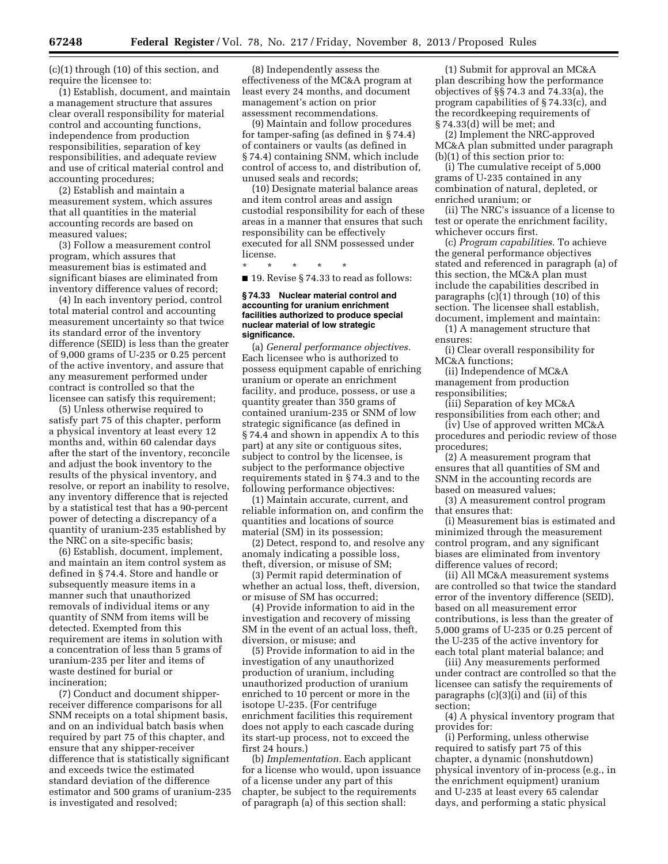(c)(1) through (10) of this section, and require the licensee to:

(1) Establish, document, and maintain a management structure that assures clear overall responsibility for material control and accounting functions, independence from production responsibilities, separation of key responsibilities, and adequate review and use of critical material control and accounting procedures;

(2) Establish and maintain a measurement system, which assures that all quantities in the material accounting records are based on measured values;

(3) Follow a measurement control program, which assures that measurement bias is estimated and significant biases are eliminated from inventory difference values of record;

(4) In each inventory period, control total material control and accounting measurement uncertainty so that twice its standard error of the inventory difference (SEID) is less than the greater of 9,000 grams of U-235 or 0.25 percent of the active inventory, and assure that any measurement performed under contract is controlled so that the licensee can satisfy this requirement;

(5) Unless otherwise required to satisfy part 75 of this chapter, perform a physical inventory at least every 12 months and, within 60 calendar days after the start of the inventory, reconcile and adjust the book inventory to the results of the physical inventory, and resolve, or report an inability to resolve, any inventory difference that is rejected by a statistical test that has a 90-percent power of detecting a discrepancy of a quantity of uranium-235 established by the NRC on a site-specific basis;

(6) Establish, document, implement, and maintain an item control system as defined in § 74.4. Store and handle or subsequently measure items in a manner such that unauthorized removals of individual items or any quantity of SNM from items will be detected. Exempted from this requirement are items in solution with a concentration of less than 5 grams of uranium-235 per liter and items of waste destined for burial or incineration;

(7) Conduct and document shipperreceiver difference comparisons for all SNM receipts on a total shipment basis, and on an individual batch basis when required by part 75 of this chapter, and ensure that any shipper-receiver difference that is statistically significant and exceeds twice the estimated standard deviation of the difference estimator and 500 grams of uranium-235 is investigated and resolved;

(8) Independently assess the effectiveness of the MC&A program at least every 24 months, and document management's action on prior assessment recommendations.

(9) Maintain and follow procedures for tamper-safing (as defined in § 74.4) of containers or vaults (as defined in § 74.4) containing SNM, which include control of access to, and distribution of, unused seals and records;

(10) Designate material balance areas and item control areas and assign custodial responsibility for each of these areas in a manner that ensures that such responsibility can be effectively executed for all SNM possessed under license.

\* \* \* \* \*

■ 19. Revise § 74.33 to read as follows:

#### **§ 74.33 Nuclear material control and accounting for uranium enrichment facilities authorized to produce special nuclear material of low strategic significance.**

(a) *General performance objectives.*  Each licensee who is authorized to possess equipment capable of enriching uranium or operate an enrichment facility, and produce, possess, or use a quantity greater than 350 grams of contained uranium-235 or SNM of low strategic significance (as defined in § 74.4 and shown in appendix A to this part) at any site or contiguous sites, subject to control by the licensee, is subject to the performance objective requirements stated in § 74.3 and to the following performance objectives:

(1) Maintain accurate, current, and reliable information on, and confirm the quantities and locations of source material (SM) in its possession;

(2) Detect, respond to, and resolve any anomaly indicating a possible loss, theft, diversion, or misuse of SM;

(3) Permit rapid determination of whether an actual loss, theft, diversion, or misuse of SM has occurred;

(4) Provide information to aid in the investigation and recovery of missing SM in the event of an actual loss, theft, diversion, or misuse; and

(5) Provide information to aid in the investigation of any unauthorized production of uranium, including unauthorized production of uranium enriched to 10 percent or more in the isotope U-235. (For centrifuge enrichment facilities this requirement does not apply to each cascade during its start-up process, not to exceed the first 24 hours.)

(b) *Implementation.* Each applicant for a license who would, upon issuance of a license under any part of this chapter, be subject to the requirements of paragraph (a) of this section shall:

(1) Submit for approval an MC&A plan describing how the performance objectives of §§ 74.3 and 74.33(a), the program capabilities of § 74.33(c), and the recordkeeping requirements of § 74.33(d) will be met; and

(2) Implement the NRC-approved MC&A plan submitted under paragraph (b)(1) of this section prior to:

(i) The cumulative receipt of 5,000 grams of U-235 contained in any combination of natural, depleted, or enriched uranium; or

(ii) The NRC's issuance of a license to test or operate the enrichment facility, whichever occurs first.

(c) *Program capabilities.* To achieve the general performance objectives stated and referenced in paragraph (a) of this section, the MC&A plan must include the capabilities described in paragraphs (c)(1) through (10) of this section. The licensee shall establish, document, implement and maintain:

(1) A management structure that ensures:

(i) Clear overall responsibility for MC&A functions;

(ii) Independence of MC&A management from production responsibilities;

(iii) Separation of key MC&A responsibilities from each other; and

(iv) Use of approved written MC&A procedures and periodic review of those procedures;

(2) A measurement program that ensures that all quantities of SM and SNM in the accounting records are based on measured values;

(3) A measurement control program that ensures that:

(i) Measurement bias is estimated and minimized through the measurement control program, and any significant biases are eliminated from inventory difference values of record;

(ii) All MC&A measurement systems are controlled so that twice the standard error of the inventory difference (SEID), based on all measurement error contributions, is less than the greater of 5,000 grams of U-235 or 0.25 percent of the U-235 of the active inventory for each total plant material balance; and

(iii) Any measurements performed under contract are controlled so that the licensee can satisfy the requirements of paragraphs (c)(3)(i) and (ii) of this section;

(4) A physical inventory program that provides for:

(i) Performing, unless otherwise required to satisfy part 75 of this chapter, a dynamic (nonshutdown) physical inventory of in-process (e.g., in the enrichment equipment) uranium and U-235 at least every 65 calendar days, and performing a static physical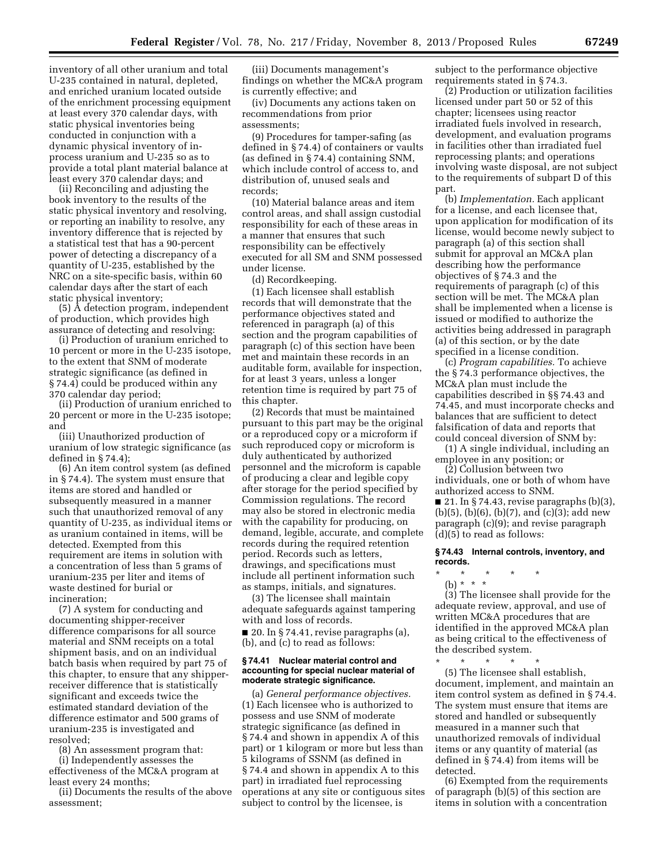inventory of all other uranium and total U-235 contained in natural, depleted, and enriched uranium located outside of the enrichment processing equipment at least every 370 calendar days, with static physical inventories being conducted in conjunction with a dynamic physical inventory of inprocess uranium and U-235 so as to provide a total plant material balance at least every 370 calendar days; and

(ii) Reconciling and adjusting the book inventory to the results of the static physical inventory and resolving, or reporting an inability to resolve, any inventory difference that is rejected by a statistical test that has a 90-percent power of detecting a discrepancy of a quantity of U-235, established by the NRC on a site-specific basis, within 60 calendar days after the start of each static physical inventory;

(5) A detection program, independent of production, which provides high assurance of detecting and resolving:

(i) Production of uranium enriched to 10 percent or more in the U-235 isotope, to the extent that SNM of moderate strategic significance (as defined in § 74.4) could be produced within any 370 calendar day period;

(ii) Production of uranium enriched to 20 percent or more in the U-235 isotope; and

(iii) Unauthorized production of uranium of low strategic significance (as defined in § 74.4);

(6) An item control system (as defined in § 74.4). The system must ensure that items are stored and handled or subsequently measured in a manner such that unauthorized removal of any quantity of U-235, as individual items or as uranium contained in items, will be detected. Exempted from this requirement are items in solution with a concentration of less than 5 grams of uranium-235 per liter and items of waste destined for burial or incineration;

(7) A system for conducting and documenting shipper-receiver difference comparisons for all source material and SNM receipts on a total shipment basis, and on an individual batch basis when required by part 75 of this chapter, to ensure that any shipperreceiver difference that is statistically significant and exceeds twice the estimated standard deviation of the difference estimator and 500 grams of uranium-235 is investigated and resolved;

(8) An assessment program that:

(i) Independently assesses the effectiveness of the MC&A program at least every 24 months;

(ii) Documents the results of the above assessment;

(iii) Documents management's findings on whether the MC&A program is currently effective; and

(iv) Documents any actions taken on recommendations from prior assessments;

(9) Procedures for tamper-safing (as defined in § 74.4) of containers or vaults (as defined in § 74.4) containing SNM, which include control of access to, and distribution of, unused seals and records;

(10) Material balance areas and item control areas, and shall assign custodial responsibility for each of these areas in a manner that ensures that such responsibility can be effectively executed for all SM and SNM possessed under license.

(d) Recordkeeping.

(1) Each licensee shall establish records that will demonstrate that the performance objectives stated and referenced in paragraph (a) of this section and the program capabilities of paragraph (c) of this section have been met and maintain these records in an auditable form, available for inspection, for at least 3 years, unless a longer retention time is required by part 75 of this chapter.

(2) Records that must be maintained pursuant to this part may be the original or a reproduced copy or a microform if such reproduced copy or microform is duly authenticated by authorized personnel and the microform is capable of producing a clear and legible copy after storage for the period specified by Commission regulations. The record may also be stored in electronic media with the capability for producing, on demand, legible, accurate, and complete records during the required retention period. Records such as letters, drawings, and specifications must include all pertinent information such as stamps, initials, and signatures.

(3) The licensee shall maintain adequate safeguards against tampering with and loss of records.

 $\blacksquare$  20. In § 74.41, revise paragraphs (a), (b), and (c) to read as follows:

#### **§ 74.41 Nuclear material control and accounting for special nuclear material of moderate strategic significance.**

(a) *General performance objectives.*  (1) Each licensee who is authorized to possess and use SNM of moderate strategic significance (as defined in § 74.4 and shown in appendix A of this part) or 1 kilogram or more but less than 5 kilograms of SSNM (as defined in § 74.4 and shown in appendix A to this part) in irradiated fuel reprocessing operations at any site or contiguous sites subject to control by the licensee, is

subject to the performance objective requirements stated in § 74.3.

(2) Production or utilization facilities licensed under part 50 or 52 of this chapter; licensees using reactor irradiated fuels involved in research, development, and evaluation programs in facilities other than irradiated fuel reprocessing plants; and operations involving waste disposal, are not subject to the requirements of subpart D of this part.

(b) *Implementation.* Each applicant for a license, and each licensee that, upon application for modification of its license, would become newly subject to paragraph (a) of this section shall submit for approval an MC&A plan describing how the performance objectives of § 74.3 and the requirements of paragraph (c) of this section will be met. The MC&A plan shall be implemented when a license is issued or modified to authorize the activities being addressed in paragraph (a) of this section, or by the date specified in a license condition.

(c) *Program capabilities.* To achieve the § 74.3 performance objectives, the MC&A plan must include the capabilities described in §§ 74.43 and 74.45, and must incorporate checks and balances that are sufficient to detect falsification of data and reports that could conceal diversion of SNM by:

(1) A single individual, including an employee in any position; or

(2) Collusion between two individuals, one or both of whom have authorized access to SNM.

 $\blacksquare$  21. In § 74.43, revise paragraphs (b)(3), (b)(5), (b)(6), (b)(7), and (c)(3); add new paragraph (c)(9); and revise paragraph (d)(5) to read as follows:

# **§ 74.43 Internal controls, inventory, and records.**

\* \* \* \* \*

(b) \* \* \* (3) The licensee shall provide for the adequate review, approval, and use of written MC&A procedures that are identified in the approved MC&A plan as being critical to the effectiveness of the described system.

\* \* \* \* \* (5) The licensee shall establish, document, implement, and maintain an item control system as defined in § 74.4. The system must ensure that items are stored and handled or subsequently measured in a manner such that unauthorized removals of individual items or any quantity of material (as defined in § 74.4) from items will be detected.

(6) Exempted from the requirements of paragraph (b)(5) of this section are items in solution with a concentration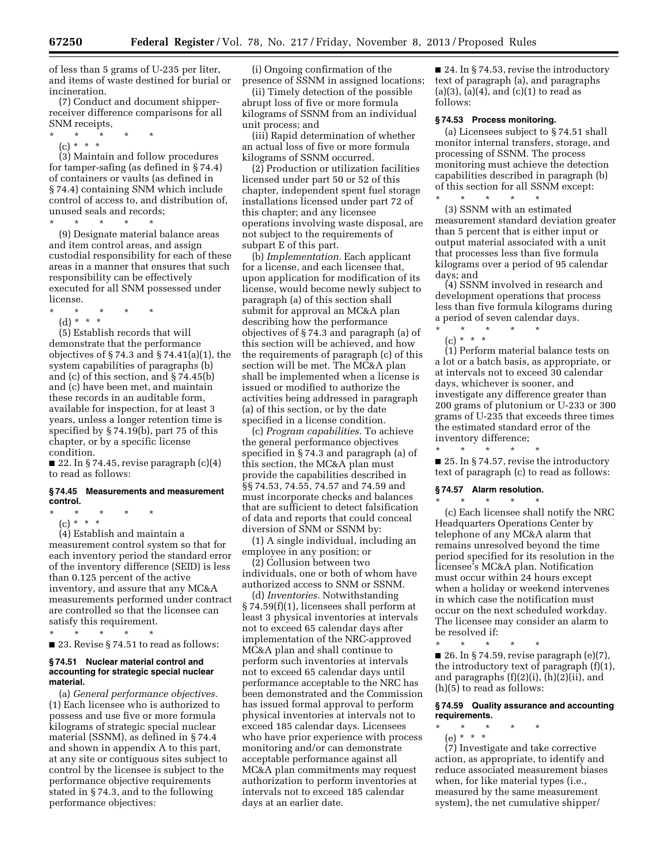of less than 5 grams of U-235 per liter, and items of waste destined for burial or incineration.

(7) Conduct and document shipperreceiver difference comparisons for all SNM receipts,

- \* \* \* \* \*
	- (c) \* \* \*

(3) Maintain and follow procedures for tamper-safing (as defined in § 74.4) of containers or vaults (as defined in § 74.4) containing SNM which include control of access to, and distribution of, unused seals and records;<br> $\begin{array}{ccc} \star \end{array}$   $\begin{array}{ccc} \star \end{array}$   $\begin{array}{ccc} \star \end{array}$ 

\* \* \* \* \*

(9) Designate material balance areas and item control areas, and assign custodial responsibility for each of these areas in a manner that ensures that such responsibility can be effectively executed for all SNM possessed under license.

\* \* \* \* \* (d) \* \* \*

(5) Establish records that will demonstrate that the performance objectives of  $\S 74.3$  and  $\S 74.41(a)(1)$ , the system capabilities of paragraphs (b) and (c) of this section, and § 74.45(b) and (c) have been met, and maintain these records in an auditable form, available for inspection, for at least 3 years, unless a longer retention time is specified by § 74.19(b), part 75 of this chapter, or by a specific license condition.

 $\blacksquare$  22. In § 74.45, revise paragraph  $(c)(4)$ to read as follows:

# **§ 74.45 Measurements and measurement control.**

- \* \* \* \* \*
	- (c) \* \* \*

(4) Establish and maintain a measurement control system so that for each inventory period the standard error of the inventory difference (SEID) is less than 0.125 percent of the active inventory, and assure that any MC&A measurements performed under contract are controlled so that the licensee can satisfy this requirement.

\* \* \* \* \* ■ 23. Revise § 74.51 to read as follows:

#### **§ 74.51 Nuclear material control and accounting for strategic special nuclear material.**

(a) *General performance objectives.*  (1) Each licensee who is authorized to possess and use five or more formula kilograms of strategic special nuclear material (SSNM), as defined in § 74.4 and shown in appendix A to this part, at any site or contiguous sites subject to control by the licensee is subject to the performance objective requirements stated in § 74.3, and to the following performance objectives:

(i) Ongoing confirmation of the presence of SSNM in assigned locations;

(ii) Timely detection of the possible abrupt loss of five or more formula kilograms of SSNM from an individual unit process; and

(iii) Rapid determination of whether an actual loss of five or more formula kilograms of SSNM occurred.

(2) Production or utilization facilities licensed under part 50 or 52 of this chapter, independent spent fuel storage installations licensed under part 72 of this chapter; and any licensee operations involving waste disposal, are not subject to the requirements of subpart E of this part.

(b) *Implementation.* Each applicant for a license, and each licensee that, upon application for modification of its license, would become newly subject to paragraph (a) of this section shall submit for approval an MC&A plan describing how the performance objectives of § 74.3 and paragraph (a) of this section will be achieved, and how the requirements of paragraph (c) of this section will be met. The MC&A plan shall be implemented when a license is issued or modified to authorize the activities being addressed in paragraph (a) of this section, or by the date specified in a license condition.

(c) *Program capabilities.* To achieve the general performance objectives specified in § 74.3 and paragraph (a) of this section, the MC&A plan must provide the capabilities described in §§ 74.53, 74.55, 74.57 and 74.59 and must incorporate checks and balances that are sufficient to detect falsification of data and reports that could conceal diversion of SNM or SSNM by:

(1) A single individual, including an employee in any position; or

(2) Collusion between two individuals, one or both of whom have authorized access to SNM or SSNM.

(d) *Inventories.* Notwithstanding § 74.59(f)(1), licensees shall perform at least 3 physical inventories at intervals not to exceed 65 calendar days after implementation of the NRC-approved MC&A plan and shall continue to perform such inventories at intervals not to exceed 65 calendar days until performance acceptable to the NRC has been demonstrated and the Commission has issued formal approval to perform physical inventories at intervals not to exceed 185 calendar days. Licensees who have prior experience with process monitoring and/or can demonstrate acceptable performance against all MC&A plan commitments may request authorization to perform inventories at intervals not to exceed 185 calendar days at an earlier date.

■ 24. In § 74.53, revise the introductory text of paragraph (a), and paragraphs  $(a)(3)$ ,  $(a)(4)$ , and  $(c)(1)$  to read as follows:

#### **§ 74.53 Process monitoring.**

(a) Licensees subject to § 74.51 shall monitor internal transfers, storage, and processing of SSNM. The process monitoring must achieve the detection capabilities described in paragraph (b) of this section for all SSNM except:

\* \* \* \* \* (3) SSNM with an estimated measurement standard deviation greater than 5 percent that is either input or output material associated with a unit that processes less than five formula kilograms over a period of 95 calendar days; and

(4) SSNM involved in research and development operations that process less than five formula kilograms during a period of seven calendar days.

\* \* \* \* \* (c) \* \* \*

(1) Perform material balance tests on a lot or a batch basis, as appropriate, or at intervals not to exceed 30 calendar days, whichever is sooner, and investigate any difference greater than 200 grams of plutonium or U-233 or 300 grams of U-235 that exceeds three times the estimated standard error of the inventory difference;

\* \* \* \* \*

■ 25. In § 74.57, revise the introductory text of paragraph (c) to read as follows:

#### **§ 74.57 Alarm resolution.**

\* \* \* \* \* (c) Each licensee shall notify the NRC Headquarters Operations Center by telephone of any MC&A alarm that remains unresolved beyond the time period specified for its resolution in the licensee's MC&A plan. Notification must occur within 24 hours except when a holiday or weekend intervenes in which case the notification must occur on the next scheduled workday. The licensee may consider an alarm to be resolved if:

\* \* \* \* \* ■ 26. In § 74.59, revise paragraph (e)(7), the introductory text of paragraph (f)(1), and paragraphs (f)(2)(i), (h)(2)(ii), and (h)(5) to read as follows:

# **§ 74.59 Quality assurance and accounting requirements.**

- \* \* \* \* \*
- (e) \* \* \*

(7) Investigate and take corrective action, as appropriate, to identify and reduce associated measurement biases when, for like material types (i.e., measured by the same measurement system), the net cumulative shipper/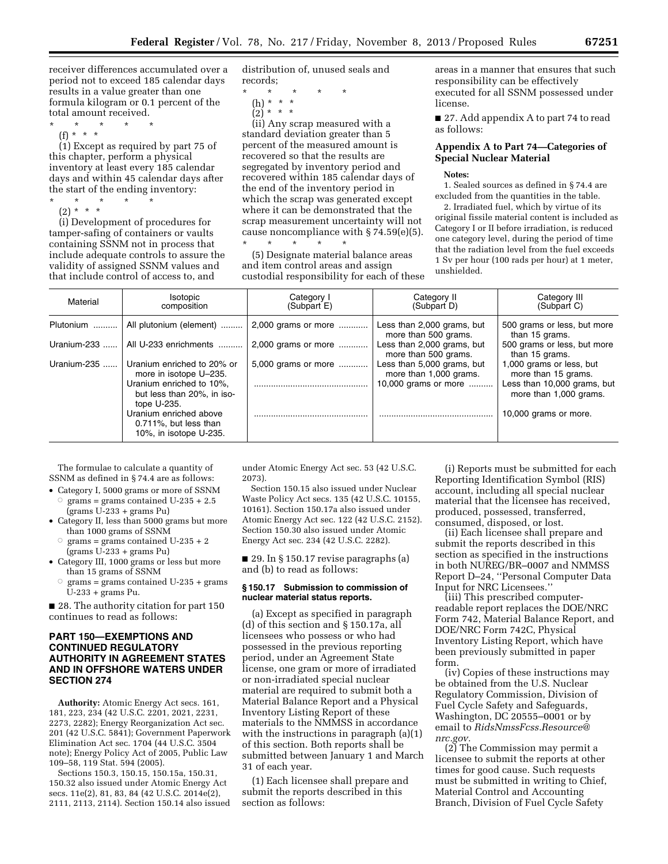receiver differences accumulated over a period not to exceed 185 calendar days results in a value greater than one formula kilogram or 0.1 percent of the total amount received.

- \* \* \* \* \*
- $(f) * * * *$

(1) Except as required by part 75 of this chapter, perform a physical inventory at least every 185 calendar days and within 45 calendar days after the start of the ending inventory:

\* \* \* \* \*

(2) \* \* \* (i) Development of procedures for tamper-safing of containers or vaults containing SSNM not in process that include adequate controls to assure the validity of assigned SSNM values and that include control of access to, and

distribution of, unused seals and records;

- \* \* \* \* \*
	- (h) \* \* \*  $(2)^{*}$  \* \*

(ii) Any scrap measured with a standard deviation greater than 5 percent of the measured amount is recovered so that the results are segregated by inventory period and recovered within 185 calendar days of the end of the inventory period in which the scrap was generated except where it can be demonstrated that the scrap measurement uncertainty will not cause noncompliance with § 74.59(e)(5). \* \* \* \* \*

(5) Designate material balance areas and item control areas and assign custodial responsibility for each of these areas in a manner that ensures that such responsibility can be effectively executed for all SSNM possessed under license.

■ 27. Add appendix A to part 74 to read as follows:

# **Appendix A to Part 74—Categories of Special Nuclear Material**

#### **Notes:**

1. Sealed sources as defined in § 74.4 are excluded from the quantities in the table.

2. Irradiated fuel, which by virtue of its original fissile material content is included as Category I or II before irradiation, is reduced one category level, during the period of time that the radiation level from the fuel exceeds 1 Sv per hour (100 rads per hour) at 1 meter, unshielded.

| Material    | Isotopic<br>composition                                                   | Category I<br>(Subpart E) | Category II<br>(Subpart D)                           | Category III<br>(Subpart C)                           |
|-------------|---------------------------------------------------------------------------|---------------------------|------------------------------------------------------|-------------------------------------------------------|
| Plutonium   | All plutonium (element)                                                   | 2,000 grams or more       | Less than 2,000 grams, but<br>more than 500 grams.   | 500 grams or less, but more<br>than 15 grams.         |
| Uranium-233 | All U-233 enrichments                                                     | 2,000 grams or more       | Less than 2,000 grams, but<br>more than 500 grams.   | 500 grams or less, but more<br>than 15 grams.         |
| Uranium-235 | Uranium enriched to 20% or<br>more in isotope U-235.                      | 5,000 grams or more       | Less than 5,000 grams, but<br>more than 1,000 grams. | 1,000 grams or less, but<br>more than 15 grams.       |
|             | Uranium enriched to 10%.<br>but less than 20%, in iso-<br>tope U-235.     |                           | 10,000 grams or more                                 | Less than 10,000 grams, but<br>more than 1,000 grams. |
|             | Uranium enriched above<br>0.711%, but less than<br>10%, in isotope U-235. |                           |                                                      | 10,000 grams or more.                                 |

The formulae to calculate a quantity of SSNM as defined in § 74.4 are as follows:

- Category I, 5000 grams or more of SSNM<br>  $\circ$  grams = grams contained U-235 + 2.5 grams = grams contained  $U-235 + 2.5$ (grams U-233 + grams Pu)
- Category II, less than 5000 grams but more than 1000 grams of SSNM
	- $\circ$  grams = grams contained U-235 + 2 (grams U-233 + grams Pu)
- Category III, 1000 grams or less but more than 15 grams of SSNM
	- $\circ$  grams = grams contained U-235 + grams U-233 + grams Pu.

■ 28. The authority citation for part 150 continues to read as follows:

# **PART 150—EXEMPTIONS AND CONTINUED REGULATORY AUTHORITY IN AGREEMENT STATES AND IN OFFSHORE WATERS UNDER SECTION 274**

**Authority:** Atomic Energy Act secs. 161, 181, 223, 234 (42 U.S.C. 2201, 2021, 2231, 2273, 2282); Energy Reorganization Act sec. 201 (42 U.S.C. 5841); Government Paperwork Elimination Act sec. 1704 (44 U.S.C. 3504 note); Energy Policy Act of 2005, Public Law 109–58, 119 Stat. 594 (2005).

Sections 150.3, 150.15, 150.15a, 150.31, 150.32 also issued under Atomic Energy Act secs. 11e(2), 81, 83, 84 (42 U.S.C. 2014e(2), 2111, 2113, 2114). Section 150.14 also issued

under Atomic Energy Act sec. 53 (42 U.S.C. 2073).

Section 150.15 also issued under Nuclear Waste Policy Act secs. 135 (42 U.S.C. 10155, 10161). Section 150.17a also issued under Atomic Energy Act sec. 122 (42 U.S.C. 2152). Section 150.30 also issued under Atomic Energy Act sec. 234 (42 U.S.C. 2282).

■ 29. In § 150.17 revise paragraphs (a) and (b) to read as follows:

### **§ 150.17 Submission to commission of nuclear material status reports.**

(a) Except as specified in paragraph (d) of this section and § 150.17a, all licensees who possess or who had possessed in the previous reporting period, under an Agreement State license, one gram or more of irradiated or non-irradiated special nuclear material are required to submit both a Material Balance Report and a Physical Inventory Listing Report of these materials to the NMMSS in accordance with the instructions in paragraph (a)(1) of this section. Both reports shall be submitted between January 1 and March 31 of each year.

(1) Each licensee shall prepare and submit the reports described in this section as follows:

(i) Reports must be submitted for each Reporting Identification Symbol (RIS) account, including all special nuclear material that the licensee has received, produced, possessed, transferred, consumed, disposed, or lost.

(ii) Each licensee shall prepare and submit the reports described in this section as specified in the instructions in both NUREG/BR–0007 and NMMSS Report D–24, ''Personal Computer Data Input for NRC Licensees.''

(iii) This prescribed computerreadable report replaces the DOE/NRC Form 742, Material Balance Report, and DOE/NRC Form 742C, Physical Inventory Listing Report, which have been previously submitted in paper form.

(iv) Copies of these instructions may be obtained from the U.S. Nuclear Regulatory Commission, Division of Fuel Cycle Safety and Safeguards, Washington, DC 20555–0001 or by email to *[RidsNmssFcss.Resource@](mailto:RidsNmssFcss.Resource@nrc.gov) [nrc.gov.](mailto:RidsNmssFcss.Resource@nrc.gov)* 

(2) The Commission may permit a licensee to submit the reports at other times for good cause. Such requests must be submitted in writing to Chief, Material Control and Accounting Branch, Division of Fuel Cycle Safety